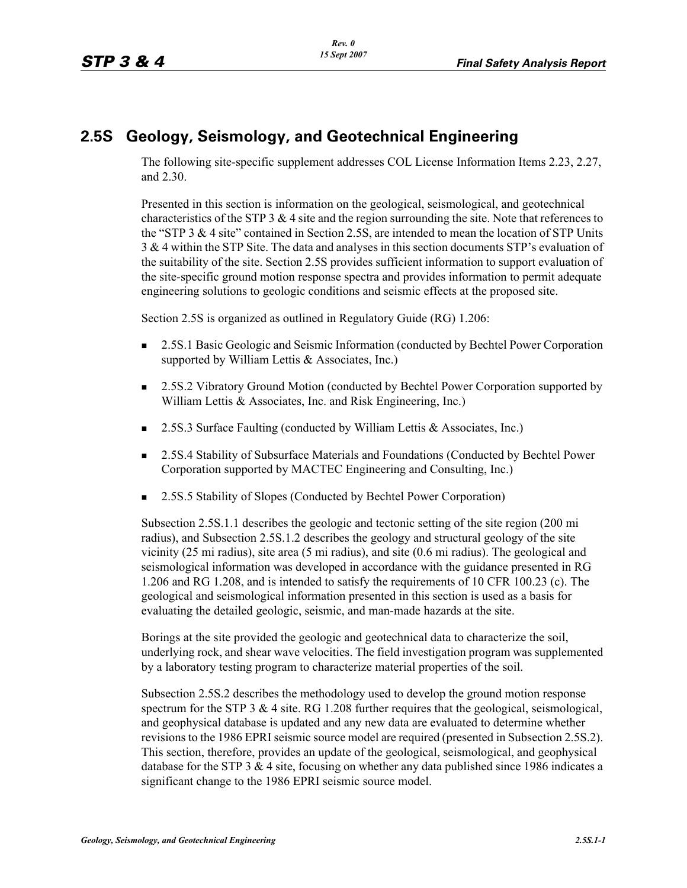# **2.5S Geology, Seismology, and Geotechnical Engineering**

The following site-specific supplement addresses COL License Information Items 2.23, 2.27, and 2.30.

Presented in this section is information on the geological, seismological, and geotechnical characteristics of the STP 3  $&$  4 site and the region surrounding the site. Note that references to the "STP 3  $\&$  4 site" contained in Section 2.5S, are intended to mean the location of STP Units 3 & 4 within the STP Site. The data and analyses in this section documents STP's evaluation of the suitability of the site. Section 2.5S provides sufficient information to support evaluation of the site-specific ground motion response spectra and provides information to permit adequate engineering solutions to geologic conditions and seismic effects at the proposed site.

Section 2.5S is organized as outlined in Regulatory Guide (RG) 1.206:

- 2.5S.1 Basic Geologic and Seismic Information (conducted by Bechtel Power Corporation supported by William Lettis & Associates, Inc.)
- 2.5S.2 Vibratory Ground Motion (conducted by Bechtel Power Corporation supported by William Lettis & Associates, Inc. and Risk Engineering, Inc.)
- 2.5S.3 Surface Faulting (conducted by William Lettis & Associates, Inc.)
- 2.5S.4 Stability of Subsurface Materials and Foundations (Conducted by Bechtel Power Corporation supported by MACTEC Engineering and Consulting, Inc.)
- 2.5S.5 Stability of Slopes (Conducted by Bechtel Power Corporation)

Subsection 2.5S.1.1 describes the geologic and tectonic setting of the site region (200 mi radius), and Subsection 2.5S.1.2 describes the geology and structural geology of the site vicinity (25 mi radius), site area (5 mi radius), and site (0.6 mi radius). The geological and seismological information was developed in accordance with the guidance presented in RG 1.206 and RG 1.208, and is intended to satisfy the requirements of 10 CFR 100.23 (c). The geological and seismological information presented in this section is used as a basis for evaluating the detailed geologic, seismic, and man-made hazards at the site.

Borings at the site provided the geologic and geotechnical data to characterize the soil, underlying rock, and shear wave velocities. The field investigation program was supplemented by a laboratory testing program to characterize material properties of the soil.

Subsection 2.5S.2 describes the methodology used to develop the ground motion response spectrum for the STP  $3 \& 4$  site. RG 1.208 further requires that the geological, seismological, and geophysical database is updated and any new data are evaluated to determine whether revisions to the 1986 EPRI seismic source model are required (presented in Subsection 2.5S.2). This section, therefore, provides an update of the geological, seismological, and geophysical database for the STP 3  $&$  4 site, focusing on whether any data published since 1986 indicates a significant change to the 1986 EPRI seismic source model.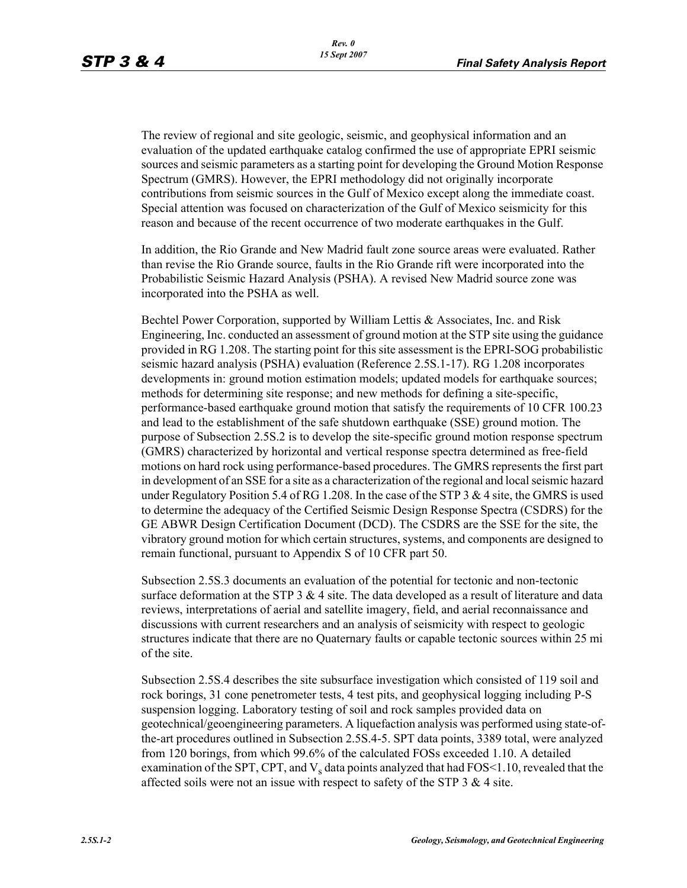The review of regional and site geologic, seismic, and geophysical information and an evaluation of the updated earthquake catalog confirmed the use of appropriate EPRI seismic sources and seismic parameters as a starting point for developing the Ground Motion Response Spectrum (GMRS). However, the EPRI methodology did not originally incorporate contributions from seismic sources in the Gulf of Mexico except along the immediate coast. Special attention was focused on characterization of the Gulf of Mexico seismicity for this reason and because of the recent occurrence of two moderate earthquakes in the Gulf.

In addition, the Rio Grande and New Madrid fault zone source areas were evaluated. Rather than revise the Rio Grande source, faults in the Rio Grande rift were incorporated into the Probabilistic Seismic Hazard Analysis (PSHA). A revised New Madrid source zone was incorporated into the PSHA as well.

Bechtel Power Corporation, supported by William Lettis & Associates, Inc. and Risk Engineering, Inc. conducted an assessment of ground motion at the STP site using the guidance provided in RG 1.208. The starting point for this site assessment is the EPRI-SOG probabilistic seismic hazard analysis (PSHA) evaluation (Reference 2.5S.1-17). RG 1.208 incorporates developments in: ground motion estimation models; updated models for earthquake sources; methods for determining site response; and new methods for defining a site-specific, performance-based earthquake ground motion that satisfy the requirements of 10 CFR 100.23 and lead to the establishment of the safe shutdown earthquake (SSE) ground motion. The purpose of Subsection 2.5S.2 is to develop the site-specific ground motion response spectrum (GMRS) characterized by horizontal and vertical response spectra determined as free-field motions on hard rock using performance-based procedures. The GMRS represents the first part in development of an SSE for a site as a characterization of the regional and local seismic hazard under Regulatory Position 5.4 of RG 1.208. In the case of the STP 3  $\&$  4 site, the GMRS is used to determine the adequacy of the Certified Seismic Design Response Spectra (CSDRS) for the GE ABWR Design Certification Document (DCD). The CSDRS are the SSE for the site, the vibratory ground motion for which certain structures, systems, and components are designed to remain functional, pursuant to Appendix S of 10 CFR part 50.

Subsection 2.5S.3 documents an evaluation of the potential for tectonic and non-tectonic surface deformation at the STP  $3 \& 4$  site. The data developed as a result of literature and data reviews, interpretations of aerial and satellite imagery, field, and aerial reconnaissance and discussions with current researchers and an analysis of seismicity with respect to geologic structures indicate that there are no Quaternary faults or capable tectonic sources within 25 mi of the site.

Subsection 2.5S.4 describes the site subsurface investigation which consisted of 119 soil and rock borings, 31 cone penetrometer tests, 4 test pits, and geophysical logging including P-S suspension logging. Laboratory testing of soil and rock samples provided data on geotechnical/geoengineering parameters. A liquefaction analysis was performed using state-ofthe-art procedures outlined in Subsection 2.5S.4-5. SPT data points, 3389 total, were analyzed from 120 borings, from which 99.6% of the calculated FOSs exceeded 1.10. A detailed examination of the SPT, CPT, and  $V_s$  data points analyzed that had FOS<1.10, revealed that the affected soils were not an issue with respect to safety of the STP  $3 \& 4$  site.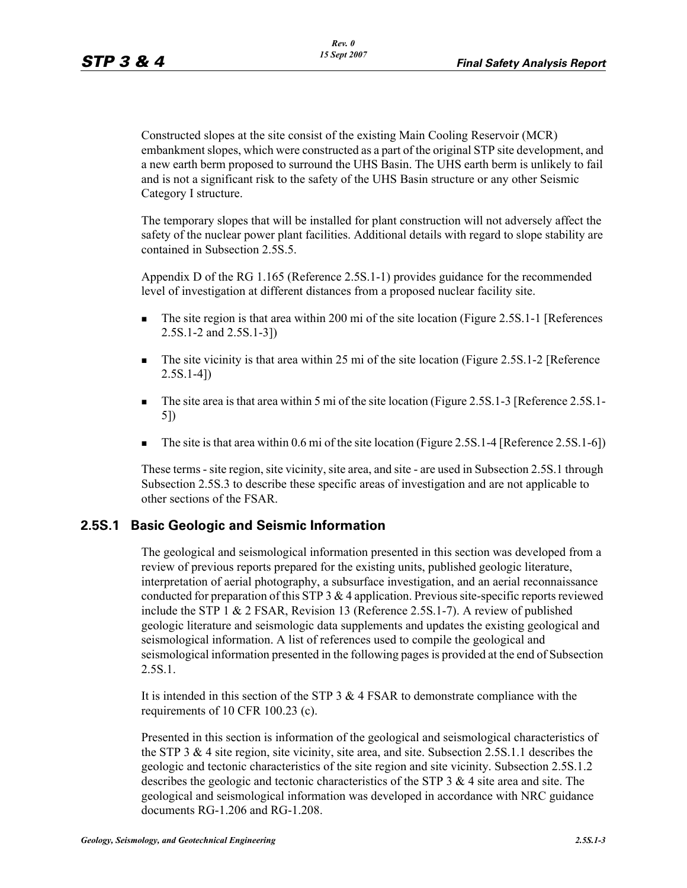Constructed slopes at the site consist of the existing Main Cooling Reservoir (MCR) embankment slopes, which were constructed as a part of the original STP site development, and a new earth berm proposed to surround the UHS Basin. The UHS earth berm is unlikely to fail and is not a significant risk to the safety of the UHS Basin structure or any other Seismic Category I structure.

The temporary slopes that will be installed for plant construction will not adversely affect the safety of the nuclear power plant facilities. Additional details with regard to slope stability are contained in Subsection 2.5S.5.

Appendix D of the RG 1.165 (Reference 2.5S.1-1) provides guidance for the recommended level of investigation at different distances from a proposed nuclear facility site.

- The site region is that area within 200 mi of the site location (Figure 2.5S.1-1 [References 2.5S.1-2 and 2.5S.1-3])
- The site vicinity is that area within 25 mi of the site location (Figure 2.5S.1-2 [Reference 2.5S.1-4])
- The site area is that area within 5 mi of the site location (Figure 2.5S.1-3 [Reference 2.5S.1-5])
- The site is that area within  $0.6$  mi of the site location (Figure 2.5S.1-4 [Reference 2.5S.1-6])

These terms - site region, site vicinity, site area, and site - are used in Subsection 2.5S.1 through Subsection 2.5S.3 to describe these specific areas of investigation and are not applicable to other sections of the FSAR.

# **2.5S.1 Basic Geologic and Seismic Information**

The geological and seismological information presented in this section was developed from a review of previous reports prepared for the existing units, published geologic literature, interpretation of aerial photography, a subsurface investigation, and an aerial reconnaissance conducted for preparation of this STP 3 & 4 application. Previous site-specific reports reviewed include the STP 1 & 2 FSAR, Revision 13 (Reference 2.5S.1-7). A review of published geologic literature and seismologic data supplements and updates the existing geological and seismological information. A list of references used to compile the geological and seismological information presented in the following pages is provided at the end of Subsection 2.5S.1.

It is intended in this section of the STP 3  $&$  4 FSAR to demonstrate compliance with the requirements of 10 CFR 100.23 (c).

Presented in this section is information of the geological and seismological characteristics of the STP 3 & 4 site region, site vicinity, site area, and site. Subsection 2.5S.1.1 describes the geologic and tectonic characteristics of the site region and site vicinity. Subsection 2.5S.1.2 describes the geologic and tectonic characteristics of the STP  $3 \& 4$  site area and site. The geological and seismological information was developed in accordance with NRC guidance documents RG-1.206 and RG-1.208.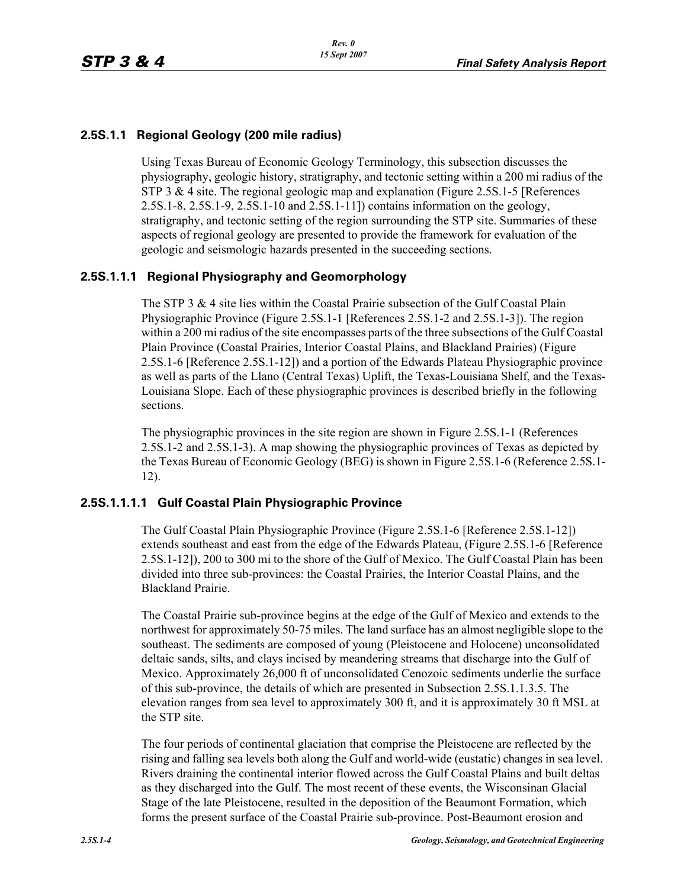### **2.5S.1.1 Regional Geology (200 mile radius)**

Using Texas Bureau of Economic Geology Terminology, this subsection discusses the physiography, geologic history, stratigraphy, and tectonic setting within a 200 mi radius of the STP 3 & 4 site. The regional geologic map and explanation (Figure 2.5S.1-5 [References] 2.5S.1-8, 2.5S.1-9, 2.5S.1-10 and 2.5S.1-11]) contains information on the geology, stratigraphy, and tectonic setting of the region surrounding the STP site. Summaries of these aspects of regional geology are presented to provide the framework for evaluation of the geologic and seismologic hazards presented in the succeeding sections.

### **2.5S.1.1.1 Regional Physiography and Geomorphology**

The STP 3 & 4 site lies within the Coastal Prairie subsection of the Gulf Coastal Plain Physiographic Province (Figure 2.5S.1-1 [References 2.5S.1-2 and 2.5S.1-3]). The region within a 200 mi radius of the site encompasses parts of the three subsections of the Gulf Coastal Plain Province (Coastal Prairies, Interior Coastal Plains, and Blackland Prairies) (Figure 2.5S.1-6 [Reference 2.5S.1-12]) and a portion of the Edwards Plateau Physiographic province as well as parts of the Llano (Central Texas) Uplift, the Texas-Louisiana Shelf, and the Texas-Louisiana Slope. Each of these physiographic provinces is described briefly in the following sections.

The physiographic provinces in the site region are shown in Figure 2.5S.1-1 (References 2.5S.1-2 and 2.5S.1-3). A map showing the physiographic provinces of Texas as depicted by the Texas Bureau of Economic Geology (BEG) is shown in Figure 2.5S.1-6 (Reference 2.5S.1- 12).

### **2.5S.1.1.1.1 Gulf Coastal Plain Physiographic Province**

The Gulf Coastal Plain Physiographic Province (Figure 2.5S.1-6 [Reference 2.5S.1-12]) extends southeast and east from the edge of the Edwards Plateau, (Figure 2.5S.1-6 [Reference 2.5S.1-12]), 200 to 300 mi to the shore of the Gulf of Mexico. The Gulf Coastal Plain has been divided into three sub-provinces: the Coastal Prairies, the Interior Coastal Plains, and the Blackland Prairie.

The Coastal Prairie sub-province begins at the edge of the Gulf of Mexico and extends to the northwest for approximately 50-75 miles. The land surface has an almost negligible slope to the southeast. The sediments are composed of young (Pleistocene and Holocene) unconsolidated deltaic sands, silts, and clays incised by meandering streams that discharge into the Gulf of Mexico. Approximately 26,000 ft of unconsolidated Cenozoic sediments underlie the surface of this sub-province, the details of which are presented in Subsection 2.5S.1.1.3.5. The elevation ranges from sea level to approximately 300 ft, and it is approximately 30 ft MSL at the STP site.

The four periods of continental glaciation that comprise the Pleistocene are reflected by the rising and falling sea levels both along the Gulf and world-wide (eustatic) changes in sea level. Rivers draining the continental interior flowed across the Gulf Coastal Plains and built deltas as they discharged into the Gulf. The most recent of these events, the Wisconsinan Glacial Stage of the late Pleistocene, resulted in the deposition of the Beaumont Formation, which forms the present surface of the Coastal Prairie sub-province. Post-Beaumont erosion and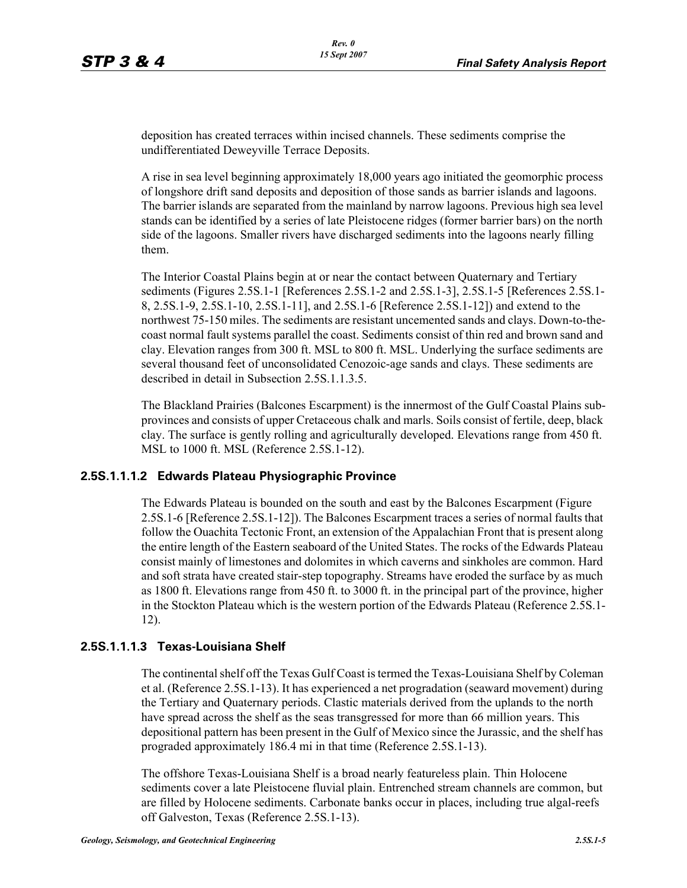deposition has created terraces within incised channels. These sediments comprise the undifferentiated Deweyville Terrace Deposits.

A rise in sea level beginning approximately 18,000 years ago initiated the geomorphic process of longshore drift sand deposits and deposition of those sands as barrier islands and lagoons. The barrier islands are separated from the mainland by narrow lagoons. Previous high sea level stands can be identified by a series of late Pleistocene ridges (former barrier bars) on the north side of the lagoons. Smaller rivers have discharged sediments into the lagoons nearly filling them.

The Interior Coastal Plains begin at or near the contact between Quaternary and Tertiary sediments (Figures 2.5S.1-1 [References 2.5S.1-2 and 2.5S.1-3], 2.5S.1-5 [References 2.5S.1- 8, 2.5S.1-9, 2.5S.1-10, 2.5S.1-11], and 2.5S.1-6 [Reference 2.5S.1-12]) and extend to the northwest 75-150 miles. The sediments are resistant uncemented sands and clays. Down-to-thecoast normal fault systems parallel the coast. Sediments consist of thin red and brown sand and clay. Elevation ranges from 300 ft. MSL to 800 ft. MSL. Underlying the surface sediments are several thousand feet of unconsolidated Cenozoic-age sands and clays. These sediments are described in detail in Subsection 2.5S 1.1.3.5.

The Blackland Prairies (Balcones Escarpment) is the innermost of the Gulf Coastal Plains subprovinces and consists of upper Cretaceous chalk and marls. Soils consist of fertile, deep, black clay. The surface is gently rolling and agriculturally developed. Elevations range from 450 ft. MSL to 1000 ft. MSL (Reference 2.5S.1-12).

### **2.5S.1.1.1.2 Edwards Plateau Physiographic Province**

The Edwards Plateau is bounded on the south and east by the Balcones Escarpment (Figure 2.5S.1-6 [Reference 2.5S.1-12]). The Balcones Escarpment traces a series of normal faults that follow the Ouachita Tectonic Front, an extension of the Appalachian Front that is present along the entire length of the Eastern seaboard of the United States. The rocks of the Edwards Plateau consist mainly of limestones and dolomites in which caverns and sinkholes are common. Hard and soft strata have created stair-step topography. Streams have eroded the surface by as much as 1800 ft. Elevations range from 450 ft. to 3000 ft. in the principal part of the province, higher in the Stockton Plateau which is the western portion of the Edwards Plateau (Reference 2.5S.1- 12).

#### **2.5S.1.1.1.3 Texas-Louisiana Shelf**

The continental shelf off the Texas Gulf Coast is termed the Texas-Louisiana Shelf by Coleman et al. (Reference 2.5S.1-13). It has experienced a net progradation (seaward movement) during the Tertiary and Quaternary periods. Clastic materials derived from the uplands to the north have spread across the shelf as the seas transgressed for more than 66 million years. This depositional pattern has been present in the Gulf of Mexico since the Jurassic, and the shelf has prograded approximately 186.4 mi in that time (Reference 2.5S.1-13).

The offshore Texas-Louisiana Shelf is a broad nearly featureless plain. Thin Holocene sediments cover a late Pleistocene fluvial plain. Entrenched stream channels are common, but are filled by Holocene sediments. Carbonate banks occur in places, including true algal-reefs off Galveston, Texas (Reference 2.5S.1-13).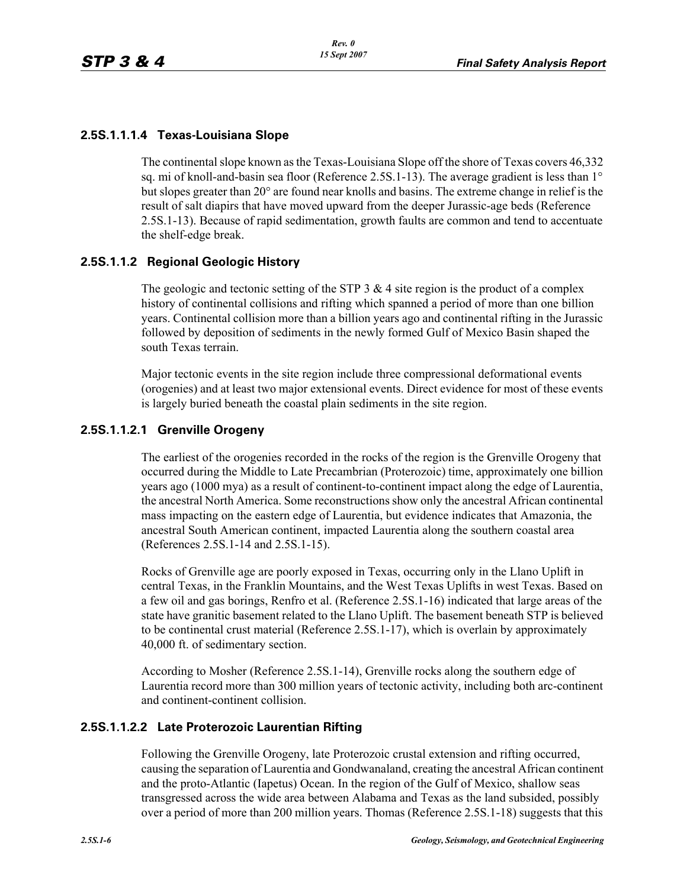### **2.5S.1.1.1.4 Texas-Louisiana Slope**

The continental slope known as the Texas-Louisiana Slope off the shore of Texas covers 46,332 sq. mi of knoll-and-basin sea floor (Reference 2.5S.1-13). The average gradient is less than 1° but slopes greater than 20° are found near knolls and basins. The extreme change in relief is the result of salt diapirs that have moved upward from the deeper Jurassic-age beds (Reference 2.5S.1-13). Because of rapid sedimentation, growth faults are common and tend to accentuate the shelf-edge break.

### **2.5S.1.1.2 Regional Geologic History**

The geologic and tectonic setting of the STP  $3 \& 4$  site region is the product of a complex history of continental collisions and rifting which spanned a period of more than one billion years. Continental collision more than a billion years ago and continental rifting in the Jurassic followed by deposition of sediments in the newly formed Gulf of Mexico Basin shaped the south Texas terrain.

Major tectonic events in the site region include three compressional deformational events (orogenies) and at least two major extensional events. Direct evidence for most of these events is largely buried beneath the coastal plain sediments in the site region.

### **2.5S.1.1.2.1 Grenville Orogeny**

The earliest of the orogenies recorded in the rocks of the region is the Grenville Orogeny that occurred during the Middle to Late Precambrian (Proterozoic) time, approximately one billion years ago (1000 mya) as a result of continent-to-continent impact along the edge of Laurentia, the ancestral North America. Some reconstructions show only the ancestral African continental mass impacting on the eastern edge of Laurentia, but evidence indicates that Amazonia, the ancestral South American continent, impacted Laurentia along the southern coastal area (References 2.5S.1-14 and 2.5S.1-15).

Rocks of Grenville age are poorly exposed in Texas, occurring only in the Llano Uplift in central Texas, in the Franklin Mountains, and the West Texas Uplifts in west Texas. Based on a few oil and gas borings, Renfro et al. (Reference 2.5S.1-16) indicated that large areas of the state have granitic basement related to the Llano Uplift. The basement beneath STP is believed to be continental crust material (Reference 2.5S.1-17), which is overlain by approximately 40,000 ft. of sedimentary section.

According to Mosher (Reference 2.5S.1-14), Grenville rocks along the southern edge of Laurentia record more than 300 million years of tectonic activity, including both arc-continent and continent-continent collision.

### **2.5S.1.1.2.2 Late Proterozoic Laurentian Rifting**

Following the Grenville Orogeny, late Proterozoic crustal extension and rifting occurred, causing the separation of Laurentia and Gondwanaland, creating the ancestral African continent and the proto-Atlantic (Iapetus) Ocean. In the region of the Gulf of Mexico, shallow seas transgressed across the wide area between Alabama and Texas as the land subsided, possibly over a period of more than 200 million years. Thomas (Reference 2.5S.1-18) suggests that this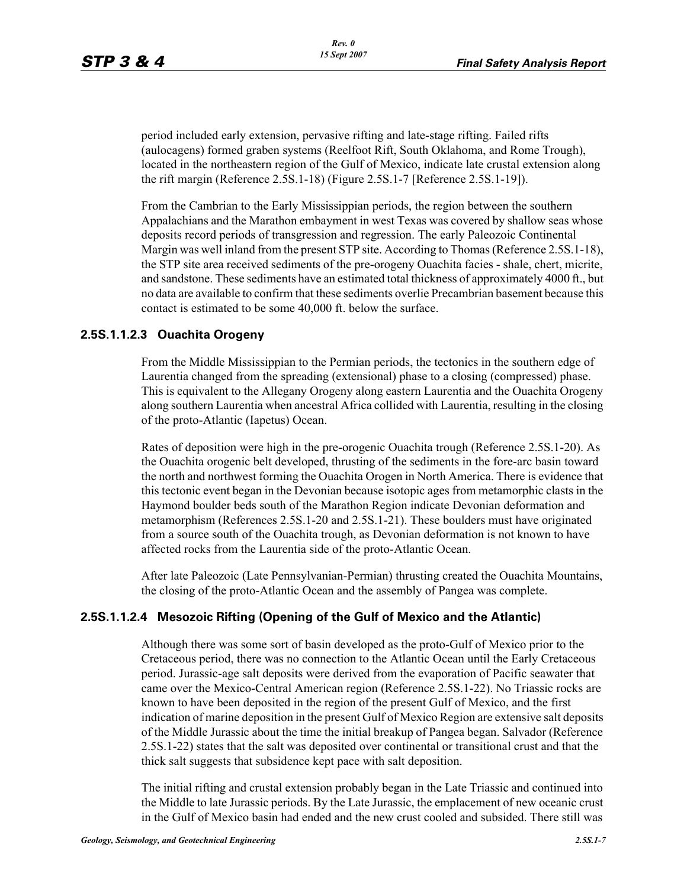period included early extension, pervasive rifting and late-stage rifting. Failed rifts (aulocagens) formed graben systems (Reelfoot Rift, South Oklahoma, and Rome Trough), located in the northeastern region of the Gulf of Mexico, indicate late crustal extension along the rift margin (Reference 2.5S.1-18) (Figure 2.5S.1-7 [Reference 2.5S.1-19]).

From the Cambrian to the Early Mississippian periods, the region between the southern Appalachians and the Marathon embayment in west Texas was covered by shallow seas whose deposits record periods of transgression and regression. The early Paleozoic Continental Margin was well inland from the present STP site. According to Thomas (Reference 2.5S.1-18), the STP site area received sediments of the pre-orogeny Ouachita facies - shale, chert, micrite, and sandstone. These sediments have an estimated total thickness of approximately 4000 ft., but no data are available to confirm that these sediments overlie Precambrian basement because this contact is estimated to be some 40,000 ft. below the surface.

### **2.5S.1.1.2.3 Ouachita Orogeny**

From the Middle Mississippian to the Permian periods, the tectonics in the southern edge of Laurentia changed from the spreading (extensional) phase to a closing (compressed) phase. This is equivalent to the Allegany Orogeny along eastern Laurentia and the Ouachita Orogeny along southern Laurentia when ancestral Africa collided with Laurentia, resulting in the closing of the proto-Atlantic (Iapetus) Ocean.

Rates of deposition were high in the pre-orogenic Ouachita trough (Reference 2.5S.1-20). As the Ouachita orogenic belt developed, thrusting of the sediments in the fore-arc basin toward the north and northwest forming the Ouachita Orogen in North America. There is evidence that this tectonic event began in the Devonian because isotopic ages from metamorphic clasts in the Haymond boulder beds south of the Marathon Region indicate Devonian deformation and metamorphism (References 2.5S.1-20 and 2.5S.1-21). These boulders must have originated from a source south of the Ouachita trough, as Devonian deformation is not known to have affected rocks from the Laurentia side of the proto-Atlantic Ocean.

After late Paleozoic (Late Pennsylvanian-Permian) thrusting created the Ouachita Mountains, the closing of the proto-Atlantic Ocean and the assembly of Pangea was complete.

# **2.5S.1.1.2.4 Mesozoic Rifting (Opening of the Gulf of Mexico and the Atlantic)**

Although there was some sort of basin developed as the proto-Gulf of Mexico prior to the Cretaceous period, there was no connection to the Atlantic Ocean until the Early Cretaceous period. Jurassic-age salt deposits were derived from the evaporation of Pacific seawater that came over the Mexico-Central American region (Reference 2.5S.1-22). No Triassic rocks are known to have been deposited in the region of the present Gulf of Mexico, and the first indication of marine deposition in the present Gulf of Mexico Region are extensive salt deposits of the Middle Jurassic about the time the initial breakup of Pangea began. Salvador (Reference 2.5S.1-22) states that the salt was deposited over continental or transitional crust and that the thick salt suggests that subsidence kept pace with salt deposition.

The initial rifting and crustal extension probably began in the Late Triassic and continued into the Middle to late Jurassic periods. By the Late Jurassic, the emplacement of new oceanic crust in the Gulf of Mexico basin had ended and the new crust cooled and subsided. There still was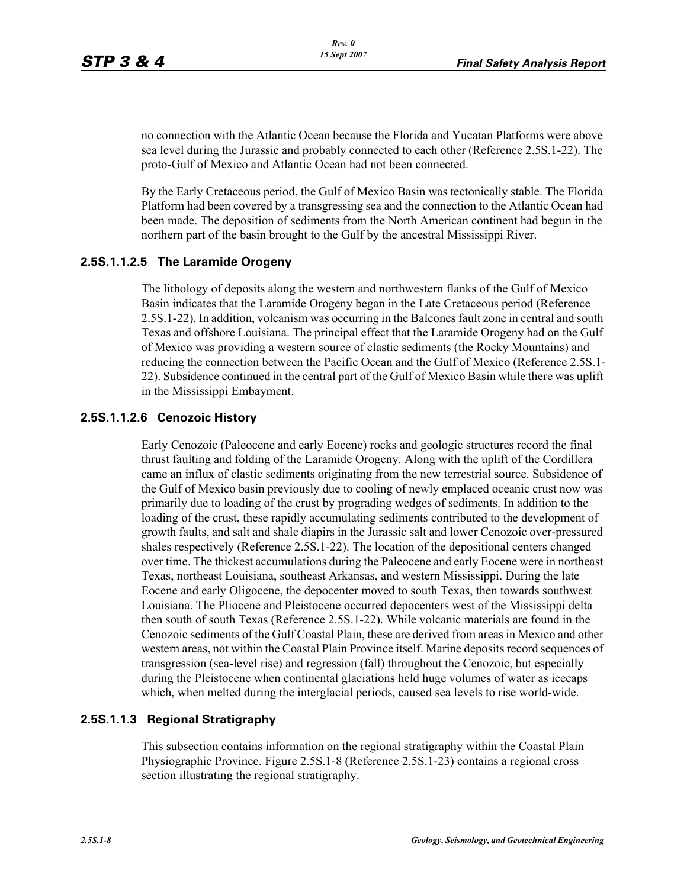no connection with the Atlantic Ocean because the Florida and Yucatan Platforms were above sea level during the Jurassic and probably connected to each other (Reference 2.5S.1-22). The proto-Gulf of Mexico and Atlantic Ocean had not been connected.

By the Early Cretaceous period, the Gulf of Mexico Basin was tectonically stable. The Florida Platform had been covered by a transgressing sea and the connection to the Atlantic Ocean had been made. The deposition of sediments from the North American continent had begun in the northern part of the basin brought to the Gulf by the ancestral Mississippi River.

#### **2.5S.1.1.2.5 The Laramide Orogeny**

The lithology of deposits along the western and northwestern flanks of the Gulf of Mexico Basin indicates that the Laramide Orogeny began in the Late Cretaceous period (Reference 2.5S.1-22). In addition, volcanism was occurring in the Balcones fault zone in central and south Texas and offshore Louisiana. The principal effect that the Laramide Orogeny had on the Gulf of Mexico was providing a western source of clastic sediments (the Rocky Mountains) and reducing the connection between the Pacific Ocean and the Gulf of Mexico (Reference 2.5S.1- 22). Subsidence continued in the central part of the Gulf of Mexico Basin while there was uplift in the Mississippi Embayment.

#### **2.5S.1.1.2.6 Cenozoic History**

Early Cenozoic (Paleocene and early Eocene) rocks and geologic structures record the final thrust faulting and folding of the Laramide Orogeny. Along with the uplift of the Cordillera came an influx of clastic sediments originating from the new terrestrial source. Subsidence of the Gulf of Mexico basin previously due to cooling of newly emplaced oceanic crust now was primarily due to loading of the crust by prograding wedges of sediments. In addition to the loading of the crust, these rapidly accumulating sediments contributed to the development of growth faults, and salt and shale diapirs in the Jurassic salt and lower Cenozoic over-pressured shales respectively (Reference 2.5S.1-22). The location of the depositional centers changed over time. The thickest accumulations during the Paleocene and early Eocene were in northeast Texas, northeast Louisiana, southeast Arkansas, and western Mississippi. During the late Eocene and early Oligocene, the depocenter moved to south Texas, then towards southwest Louisiana. The Pliocene and Pleistocene occurred depocenters west of the Mississippi delta then south of south Texas (Reference 2.5S.1-22). While volcanic materials are found in the Cenozoic sediments of the Gulf Coastal Plain, these are derived from areas in Mexico and other western areas, not within the Coastal Plain Province itself. Marine deposits record sequences of transgression (sea-level rise) and regression (fall) throughout the Cenozoic, but especially during the Pleistocene when continental glaciations held huge volumes of water as icecaps which, when melted during the interglacial periods, caused sea levels to rise world-wide.

#### **2.5S.1.1.3 Regional Stratigraphy**

This subsection contains information on the regional stratigraphy within the Coastal Plain Physiographic Province. Figure 2.5S.1-8 (Reference 2.5S.1-23) contains a regional cross section illustrating the regional stratigraphy.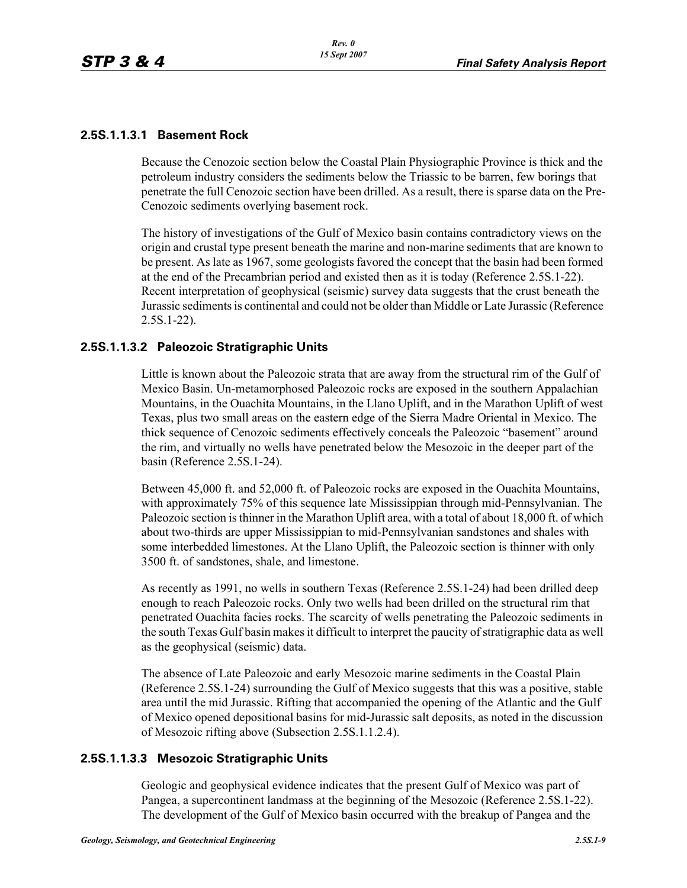### **2.5S.1.1.3.1 Basement Rock**

Because the Cenozoic section below the Coastal Plain Physiographic Province is thick and the petroleum industry considers the sediments below the Triassic to be barren, few borings that penetrate the full Cenozoic section have been drilled. As a result, there is sparse data on the Pre-Cenozoic sediments overlying basement rock.

The history of investigations of the Gulf of Mexico basin contains contradictory views on the origin and crustal type present beneath the marine and non-marine sediments that are known to be present. As late as 1967, some geologists favored the concept that the basin had been formed at the end of the Precambrian period and existed then as it is today (Reference 2.5S.1-22). Recent interpretation of geophysical (seismic) survey data suggests that the crust beneath the Jurassic sediments is continental and could not be older than Middle or Late Jurassic (Reference 2.5S.1-22).

### **2.5S.1.1.3.2 Paleozoic Stratigraphic Units**

Little is known about the Paleozoic strata that are away from the structural rim of the Gulf of Mexico Basin. Un-metamorphosed Paleozoic rocks are exposed in the southern Appalachian Mountains, in the Ouachita Mountains, in the Llano Uplift, and in the Marathon Uplift of west Texas, plus two small areas on the eastern edge of the Sierra Madre Oriental in Mexico. The thick sequence of Cenozoic sediments effectively conceals the Paleozoic "basement" around the rim, and virtually no wells have penetrated below the Mesozoic in the deeper part of the basin (Reference 2.5S.1-24).

Between 45,000 ft. and 52,000 ft. of Paleozoic rocks are exposed in the Ouachita Mountains, with approximately 75% of this sequence late Mississippian through mid-Pennsylvanian. The Paleozoic section is thinner in the Marathon Uplift area, with a total of about 18,000 ft. of which about two-thirds are upper Mississippian to mid-Pennsylvanian sandstones and shales with some interbedded limestones. At the Llano Uplift, the Paleozoic section is thinner with only 3500 ft. of sandstones, shale, and limestone.

As recently as 1991, no wells in southern Texas (Reference 2.5S.1-24) had been drilled deep enough to reach Paleozoic rocks. Only two wells had been drilled on the structural rim that penetrated Ouachita facies rocks. The scarcity of wells penetrating the Paleozoic sediments in the south Texas Gulf basin makes it difficult to interpret the paucity of stratigraphic data as well as the geophysical (seismic) data.

The absence of Late Paleozoic and early Mesozoic marine sediments in the Coastal Plain (Reference 2.5S.1-24) surrounding the Gulf of Mexico suggests that this was a positive, stable area until the mid Jurassic. Rifting that accompanied the opening of the Atlantic and the Gulf of Mexico opened depositional basins for mid-Jurassic salt deposits, as noted in the discussion of Mesozoic rifting above (Subsection 2.5S.1.1.2.4).

### **2.5S.1.1.3.3 Mesozoic Stratigraphic Units**

Geologic and geophysical evidence indicates that the present Gulf of Mexico was part of Pangea, a supercontinent landmass at the beginning of the Mesozoic (Reference 2.5S.1-22). The development of the Gulf of Mexico basin occurred with the breakup of Pangea and the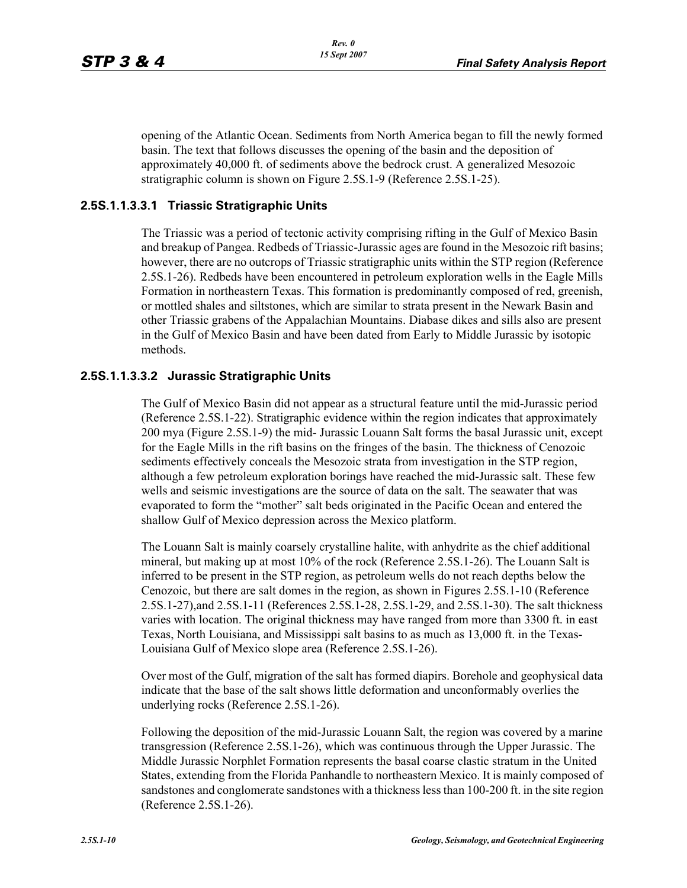opening of the Atlantic Ocean. Sediments from North America began to fill the newly formed basin. The text that follows discusses the opening of the basin and the deposition of approximately 40,000 ft. of sediments above the bedrock crust. A generalized Mesozoic stratigraphic column is shown on Figure 2.5S.1-9 (Reference 2.5S.1-25).

### **2.5S.1.1.3.3.1 Triassic Stratigraphic Units**

The Triassic was a period of tectonic activity comprising rifting in the Gulf of Mexico Basin and breakup of Pangea. Redbeds of Triassic-Jurassic ages are found in the Mesozoic rift basins; however, there are no outcrops of Triassic stratigraphic units within the STP region (Reference 2.5S.1-26). Redbeds have been encountered in petroleum exploration wells in the Eagle Mills Formation in northeastern Texas. This formation is predominantly composed of red, greenish, or mottled shales and siltstones, which are similar to strata present in the Newark Basin and other Triassic grabens of the Appalachian Mountains. Diabase dikes and sills also are present in the Gulf of Mexico Basin and have been dated from Early to Middle Jurassic by isotopic methods.

### **2.5S.1.1.3.3.2 Jurassic Stratigraphic Units**

The Gulf of Mexico Basin did not appear as a structural feature until the mid-Jurassic period (Reference 2.5S.1-22). Stratigraphic evidence within the region indicates that approximately 200 mya (Figure 2.5S.1-9) the mid- Jurassic Louann Salt forms the basal Jurassic unit, except for the Eagle Mills in the rift basins on the fringes of the basin. The thickness of Cenozoic sediments effectively conceals the Mesozoic strata from investigation in the STP region, although a few petroleum exploration borings have reached the mid-Jurassic salt. These few wells and seismic investigations are the source of data on the salt. The seawater that was evaporated to form the "mother" salt beds originated in the Pacific Ocean and entered the shallow Gulf of Mexico depression across the Mexico platform.

The Louann Salt is mainly coarsely crystalline halite, with anhydrite as the chief additional mineral, but making up at most 10% of the rock (Reference 2.5S.1-26). The Louann Salt is inferred to be present in the STP region, as petroleum wells do not reach depths below the Cenozoic, but there are salt domes in the region, as shown in Figures 2.5S.1-10 (Reference 2.5S.1-27),and 2.5S.1-11 (References 2.5S.1-28, 2.5S.1-29, and 2.5S.1-30). The salt thickness varies with location. The original thickness may have ranged from more than 3300 ft. in east Texas, North Louisiana, and Mississippi salt basins to as much as 13,000 ft. in the Texas-Louisiana Gulf of Mexico slope area (Reference 2.5S.1-26).

Over most of the Gulf, migration of the salt has formed diapirs. Borehole and geophysical data indicate that the base of the salt shows little deformation and unconformably overlies the underlying rocks (Reference 2.5S.1-26).

Following the deposition of the mid-Jurassic Louann Salt, the region was covered by a marine transgression (Reference 2.5S.1-26), which was continuous through the Upper Jurassic. The Middle Jurassic Norphlet Formation represents the basal coarse clastic stratum in the United States, extending from the Florida Panhandle to northeastern Mexico. It is mainly composed of sandstones and conglomerate sandstones with a thickness less than 100-200 ft. in the site region (Reference 2.5S.1-26).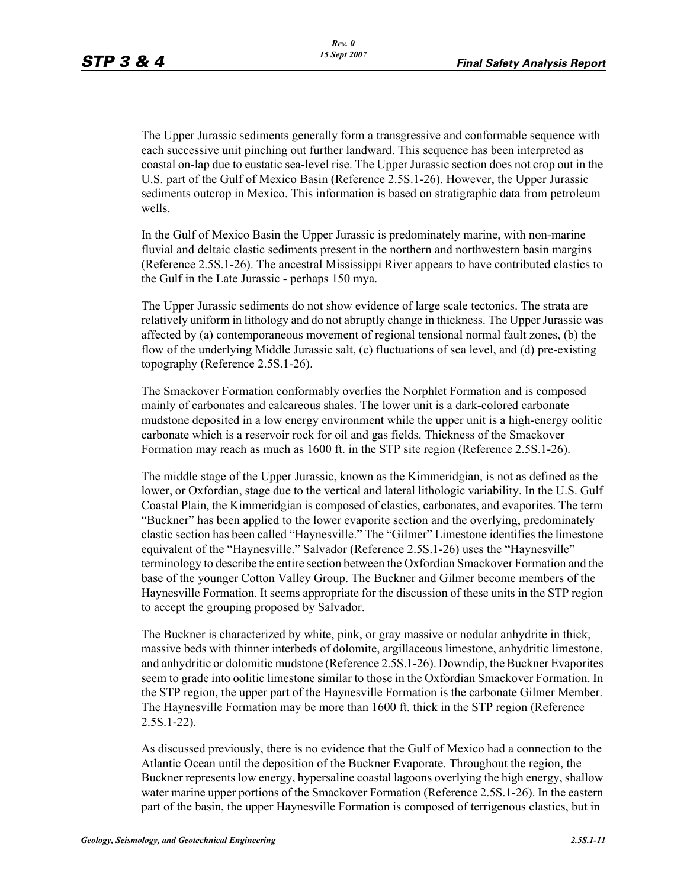The Upper Jurassic sediments generally form a transgressive and conformable sequence with each successive unit pinching out further landward. This sequence has been interpreted as coastal on-lap due to eustatic sea-level rise. The Upper Jurassic section does not crop out in the U.S. part of the Gulf of Mexico Basin (Reference 2.5S.1-26). However, the Upper Jurassic sediments outcrop in Mexico. This information is based on stratigraphic data from petroleum wells.

In the Gulf of Mexico Basin the Upper Jurassic is predominately marine, with non-marine fluvial and deltaic clastic sediments present in the northern and northwestern basin margins (Reference 2.5S.1-26). The ancestral Mississippi River appears to have contributed clastics to the Gulf in the Late Jurassic - perhaps 150 mya.

The Upper Jurassic sediments do not show evidence of large scale tectonics. The strata are relatively uniform in lithology and do not abruptly change in thickness. The Upper Jurassic was affected by (a) contemporaneous movement of regional tensional normal fault zones, (b) the flow of the underlying Middle Jurassic salt, (c) fluctuations of sea level, and (d) pre-existing topography (Reference 2.5S.1-26).

The Smackover Formation conformably overlies the Norphlet Formation and is composed mainly of carbonates and calcareous shales. The lower unit is a dark-colored carbonate mudstone deposited in a low energy environment while the upper unit is a high-energy oolitic carbonate which is a reservoir rock for oil and gas fields. Thickness of the Smackover Formation may reach as much as 1600 ft. in the STP site region (Reference 2.5S.1-26).

The middle stage of the Upper Jurassic, known as the Kimmeridgian, is not as defined as the lower, or Oxfordian, stage due to the vertical and lateral lithologic variability. In the U.S. Gulf Coastal Plain, the Kimmeridgian is composed of clastics, carbonates, and evaporites. The term "Buckner" has been applied to the lower evaporite section and the overlying, predominately clastic section has been called "Haynesville." The "Gilmer" Limestone identifies the limestone equivalent of the "Haynesville." Salvador (Reference 2.5S.1-26) uses the "Haynesville" terminology to describe the entire section between the Oxfordian Smackover Formation and the base of the younger Cotton Valley Group. The Buckner and Gilmer become members of the Haynesville Formation. It seems appropriate for the discussion of these units in the STP region to accept the grouping proposed by Salvador.

The Buckner is characterized by white, pink, or gray massive or nodular anhydrite in thick, massive beds with thinner interbeds of dolomite, argillaceous limestone, anhydritic limestone, and anhydritic or dolomitic mudstone (Reference 2.5S.1-26). Downdip, the Buckner Evaporites seem to grade into oolitic limestone similar to those in the Oxfordian Smackover Formation. In the STP region, the upper part of the Haynesville Formation is the carbonate Gilmer Member. The Haynesville Formation may be more than 1600 ft. thick in the STP region (Reference 2.5S.1-22).

As discussed previously, there is no evidence that the Gulf of Mexico had a connection to the Atlantic Ocean until the deposition of the Buckner Evaporate. Throughout the region, the Buckner represents low energy, hypersaline coastal lagoons overlying the high energy, shallow water marine upper portions of the Smackover Formation (Reference 2.5S.1-26). In the eastern part of the basin, the upper Haynesville Formation is composed of terrigenous clastics, but in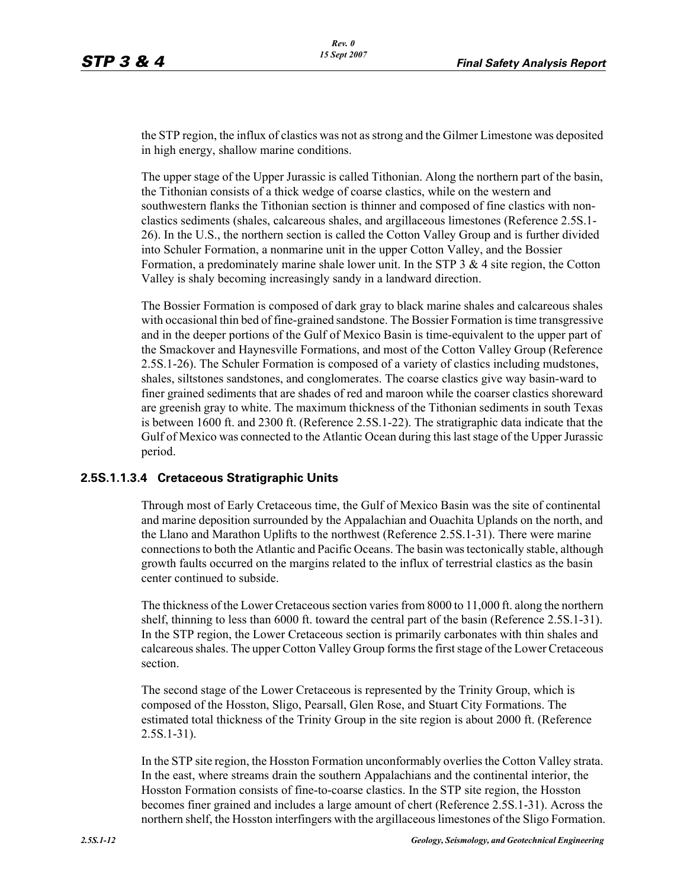the STP region, the influx of clastics was not as strong and the Gilmer Limestone was deposited in high energy, shallow marine conditions.

The upper stage of the Upper Jurassic is called Tithonian. Along the northern part of the basin, the Tithonian consists of a thick wedge of coarse clastics, while on the western and southwestern flanks the Tithonian section is thinner and composed of fine clastics with nonclastics sediments (shales, calcareous shales, and argillaceous limestones (Reference 2.5S.1- 26). In the U.S., the northern section is called the Cotton Valley Group and is further divided into Schuler Formation, a nonmarine unit in the upper Cotton Valley, and the Bossier Formation, a predominately marine shale lower unit. In the STP  $3 \& 4$  site region, the Cotton Valley is shaly becoming increasingly sandy in a landward direction.

The Bossier Formation is composed of dark gray to black marine shales and calcareous shales with occasional thin bed of fine-grained sandstone. The Bossier Formation is time transgressive and in the deeper portions of the Gulf of Mexico Basin is time-equivalent to the upper part of the Smackover and Haynesville Formations, and most of the Cotton Valley Group (Reference 2.5S.1-26). The Schuler Formation is composed of a variety of clastics including mudstones, shales, siltstones sandstones, and conglomerates. The coarse clastics give way basin-ward to finer grained sediments that are shades of red and maroon while the coarser clastics shoreward are greenish gray to white. The maximum thickness of the Tithonian sediments in south Texas is between 1600 ft. and 2300 ft. (Reference 2.5S.1-22). The stratigraphic data indicate that the Gulf of Mexico was connected to the Atlantic Ocean during this last stage of the Upper Jurassic period.

#### **2.5S.1.1.3.4 Cretaceous Stratigraphic Units**

Through most of Early Cretaceous time, the Gulf of Mexico Basin was the site of continental and marine deposition surrounded by the Appalachian and Ouachita Uplands on the north, and the Llano and Marathon Uplifts to the northwest (Reference 2.5S.1-31). There were marine connections to both the Atlantic and Pacific Oceans. The basin was tectonically stable, although growth faults occurred on the margins related to the influx of terrestrial clastics as the basin center continued to subside.

The thickness of the Lower Cretaceous section varies from 8000 to 11,000 ft. along the northern shelf, thinning to less than 6000 ft. toward the central part of the basin (Reference 2.5S.1-31). In the STP region, the Lower Cretaceous section is primarily carbonates with thin shales and calcareous shales. The upper Cotton Valley Group forms the first stage of the Lower Cretaceous section.

The second stage of the Lower Cretaceous is represented by the Trinity Group, which is composed of the Hosston, Sligo, Pearsall, Glen Rose, and Stuart City Formations. The estimated total thickness of the Trinity Group in the site region is about 2000 ft. (Reference 2.5S.1-31).

In the STP site region, the Hosston Formation unconformably overlies the Cotton Valley strata. In the east, where streams drain the southern Appalachians and the continental interior, the Hosston Formation consists of fine-to-coarse clastics. In the STP site region, the Hosston becomes finer grained and includes a large amount of chert (Reference 2.5S.1-31). Across the northern shelf, the Hosston interfingers with the argillaceous limestones of the Sligo Formation.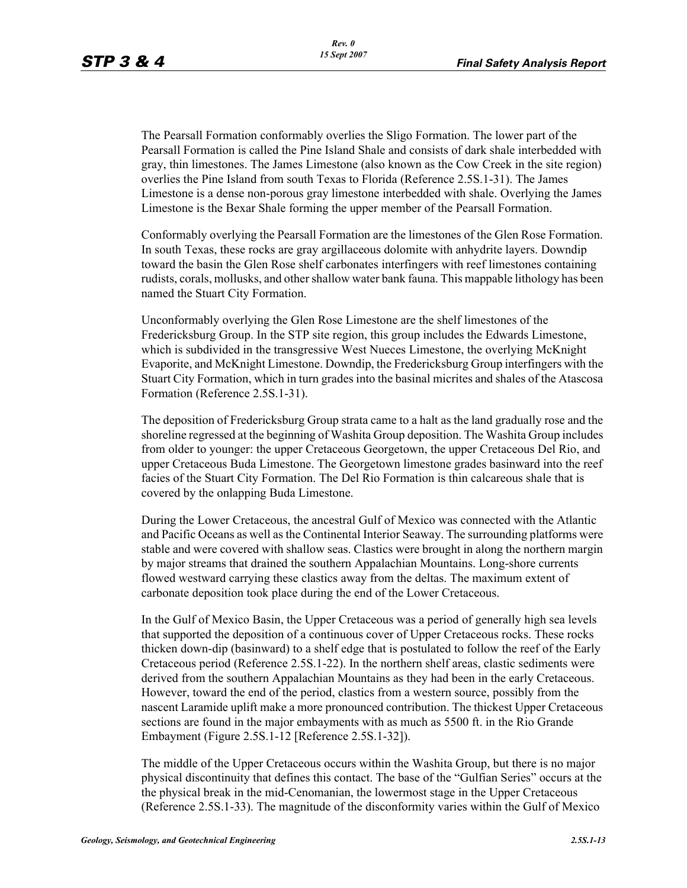The Pearsall Formation conformably overlies the Sligo Formation. The lower part of the Pearsall Formation is called the Pine Island Shale and consists of dark shale interbedded with gray, thin limestones. The James Limestone (also known as the Cow Creek in the site region) overlies the Pine Island from south Texas to Florida (Reference 2.5S.1-31). The James Limestone is a dense non-porous gray limestone interbedded with shale. Overlying the James Limestone is the Bexar Shale forming the upper member of the Pearsall Formation.

Conformably overlying the Pearsall Formation are the limestones of the Glen Rose Formation. In south Texas, these rocks are gray argillaceous dolomite with anhydrite layers. Downdip toward the basin the Glen Rose shelf carbonates interfingers with reef limestones containing rudists, corals, mollusks, and other shallow water bank fauna. This mappable lithology has been named the Stuart City Formation.

Unconformably overlying the Glen Rose Limestone are the shelf limestones of the Fredericksburg Group. In the STP site region, this group includes the Edwards Limestone, which is subdivided in the transgressive West Nueces Limestone, the overlying McKnight Evaporite, and McKnight Limestone. Downdip, the Fredericksburg Group interfingers with the Stuart City Formation, which in turn grades into the basinal micrites and shales of the Atascosa Formation (Reference 2.5S.1-31).

The deposition of Fredericksburg Group strata came to a halt as the land gradually rose and the shoreline regressed at the beginning of Washita Group deposition. The Washita Group includes from older to younger: the upper Cretaceous Georgetown, the upper Cretaceous Del Rio, and upper Cretaceous Buda Limestone. The Georgetown limestone grades basinward into the reef facies of the Stuart City Formation. The Del Rio Formation is thin calcareous shale that is covered by the onlapping Buda Limestone.

During the Lower Cretaceous, the ancestral Gulf of Mexico was connected with the Atlantic and Pacific Oceans as well as the Continental Interior Seaway. The surrounding platforms were stable and were covered with shallow seas. Clastics were brought in along the northern margin by major streams that drained the southern Appalachian Mountains. Long-shore currents flowed westward carrying these clastics away from the deltas. The maximum extent of carbonate deposition took place during the end of the Lower Cretaceous.

In the Gulf of Mexico Basin, the Upper Cretaceous was a period of generally high sea levels that supported the deposition of a continuous cover of Upper Cretaceous rocks. These rocks thicken down-dip (basinward) to a shelf edge that is postulated to follow the reef of the Early Cretaceous period (Reference 2.5S.1-22). In the northern shelf areas, clastic sediments were derived from the southern Appalachian Mountains as they had been in the early Cretaceous. However, toward the end of the period, clastics from a western source, possibly from the nascent Laramide uplift make a more pronounced contribution. The thickest Upper Cretaceous sections are found in the major embayments with as much as 5500 ft. in the Rio Grande Embayment (Figure 2.5S.1-12 [Reference 2.5S.1-32]).

The middle of the Upper Cretaceous occurs within the Washita Group, but there is no major physical discontinuity that defines this contact. The base of the "Gulfian Series" occurs at the the physical break in the mid-Cenomanian, the lowermost stage in the Upper Cretaceous (Reference 2.5S.1-33). The magnitude of the disconformity varies within the Gulf of Mexico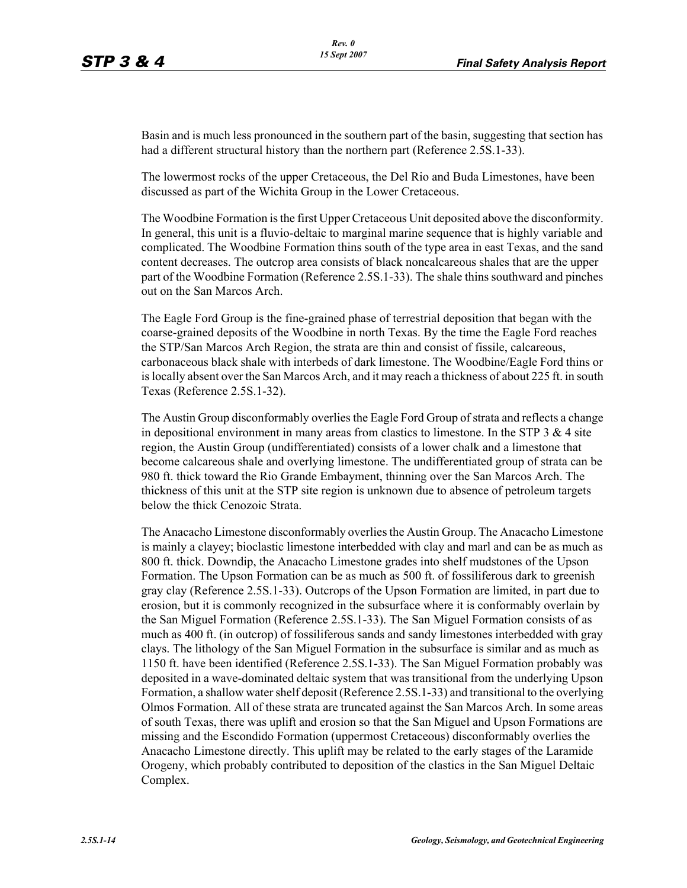Basin and is much less pronounced in the southern part of the basin, suggesting that section has had a different structural history than the northern part (Reference 2.5S.1-33).

The lowermost rocks of the upper Cretaceous, the Del Rio and Buda Limestones, have been discussed as part of the Wichita Group in the Lower Cretaceous.

The Woodbine Formation is the first Upper Cretaceous Unit deposited above the disconformity. In general, this unit is a fluvio-deltaic to marginal marine sequence that is highly variable and complicated. The Woodbine Formation thins south of the type area in east Texas, and the sand content decreases. The outcrop area consists of black noncalcareous shales that are the upper part of the Woodbine Formation (Reference 2.5S.1-33). The shale thins southward and pinches out on the San Marcos Arch.

The Eagle Ford Group is the fine-grained phase of terrestrial deposition that began with the coarse-grained deposits of the Woodbine in north Texas. By the time the Eagle Ford reaches the STP/San Marcos Arch Region, the strata are thin and consist of fissile, calcareous, carbonaceous black shale with interbeds of dark limestone. The Woodbine/Eagle Ford thins or is locally absent over the San Marcos Arch, and it may reach a thickness of about 225 ft. in south Texas (Reference 2.5S.1-32).

The Austin Group disconformably overlies the Eagle Ford Group of strata and reflects a change in depositional environment in many areas from clastics to limestone. In the STP  $3 \& 4$  site region, the Austin Group (undifferentiated) consists of a lower chalk and a limestone that become calcareous shale and overlying limestone. The undifferentiated group of strata can be 980 ft. thick toward the Rio Grande Embayment, thinning over the San Marcos Arch. The thickness of this unit at the STP site region is unknown due to absence of petroleum targets below the thick Cenozoic Strata.

The Anacacho Limestone disconformably overlies the Austin Group. The Anacacho Limestone is mainly a clayey; bioclastic limestone interbedded with clay and marl and can be as much as 800 ft. thick. Downdip, the Anacacho Limestone grades into shelf mudstones of the Upson Formation. The Upson Formation can be as much as 500 ft. of fossiliferous dark to greenish gray clay (Reference 2.5S.1-33). Outcrops of the Upson Formation are limited, in part due to erosion, but it is commonly recognized in the subsurface where it is conformably overlain by the San Miguel Formation (Reference 2.5S.1-33). The San Miguel Formation consists of as much as 400 ft. (in outcrop) of fossiliferous sands and sandy limestones interbedded with gray clays. The lithology of the San Miguel Formation in the subsurface is similar and as much as 1150 ft. have been identified (Reference 2.5S.1-33). The San Miguel Formation probably was deposited in a wave-dominated deltaic system that was transitional from the underlying Upson Formation, a shallow water shelf deposit (Reference 2.5S.1-33) and transitional to the overlying Olmos Formation. All of these strata are truncated against the San Marcos Arch. In some areas of south Texas, there was uplift and erosion so that the San Miguel and Upson Formations are missing and the Escondido Formation (uppermost Cretaceous) disconformably overlies the Anacacho Limestone directly. This uplift may be related to the early stages of the Laramide Orogeny, which probably contributed to deposition of the clastics in the San Miguel Deltaic Complex.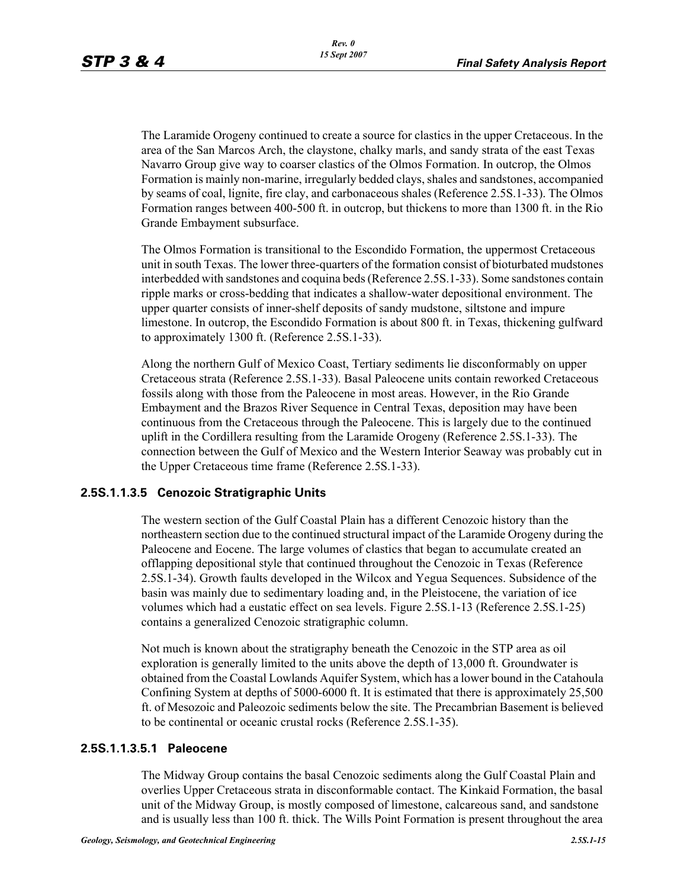The Laramide Orogeny continued to create a source for clastics in the upper Cretaceous. In the area of the San Marcos Arch, the claystone, chalky marls, and sandy strata of the east Texas Navarro Group give way to coarser clastics of the Olmos Formation. In outcrop, the Olmos Formation is mainly non-marine, irregularly bedded clays, shales and sandstones, accompanied by seams of coal, lignite, fire clay, and carbonaceous shales (Reference 2.5S.1-33). The Olmos Formation ranges between 400-500 ft. in outcrop, but thickens to more than 1300 ft. in the Rio Grande Embayment subsurface.

The Olmos Formation is transitional to the Escondido Formation, the uppermost Cretaceous unit in south Texas. The lower three-quarters of the formation consist of bioturbated mudstones interbedded with sandstones and coquina beds (Reference 2.5S.1-33). Some sandstones contain ripple marks or cross-bedding that indicates a shallow-water depositional environment. The upper quarter consists of inner-shelf deposits of sandy mudstone, siltstone and impure limestone. In outcrop, the Escondido Formation is about 800 ft. in Texas, thickening gulfward to approximately 1300 ft. (Reference 2.5S.1-33).

Along the northern Gulf of Mexico Coast, Tertiary sediments lie disconformably on upper Cretaceous strata (Reference 2.5S.1-33). Basal Paleocene units contain reworked Cretaceous fossils along with those from the Paleocene in most areas. However, in the Rio Grande Embayment and the Brazos River Sequence in Central Texas, deposition may have been continuous from the Cretaceous through the Paleocene. This is largely due to the continued uplift in the Cordillera resulting from the Laramide Orogeny (Reference 2.5S.1-33). The connection between the Gulf of Mexico and the Western Interior Seaway was probably cut in the Upper Cretaceous time frame (Reference 2.5S.1-33).

### **2.5S.1.1.3.5 Cenozoic Stratigraphic Units**

The western section of the Gulf Coastal Plain has a different Cenozoic history than the northeastern section due to the continued structural impact of the Laramide Orogeny during the Paleocene and Eocene. The large volumes of clastics that began to accumulate created an offlapping depositional style that continued throughout the Cenozoic in Texas (Reference 2.5S.1-34). Growth faults developed in the Wilcox and Yegua Sequences. Subsidence of the basin was mainly due to sedimentary loading and, in the Pleistocene, the variation of ice volumes which had a eustatic effect on sea levels. Figure 2.5S.1-13 (Reference 2.5S.1-25) contains a generalized Cenozoic stratigraphic column.

Not much is known about the stratigraphy beneath the Cenozoic in the STP area as oil exploration is generally limited to the units above the depth of 13,000 ft. Groundwater is obtained from the Coastal Lowlands Aquifer System, which has a lower bound in the Catahoula Confining System at depths of 5000-6000 ft. It is estimated that there is approximately 25,500 ft. of Mesozoic and Paleozoic sediments below the site. The Precambrian Basement is believed to be continental or oceanic crustal rocks (Reference 2.5S.1-35).

#### **2.5S.1.1.3.5.1 Paleocene**

The Midway Group contains the basal Cenozoic sediments along the Gulf Coastal Plain and overlies Upper Cretaceous strata in disconformable contact. The Kinkaid Formation, the basal unit of the Midway Group, is mostly composed of limestone, calcareous sand, and sandstone and is usually less than 100 ft. thick. The Wills Point Formation is present throughout the area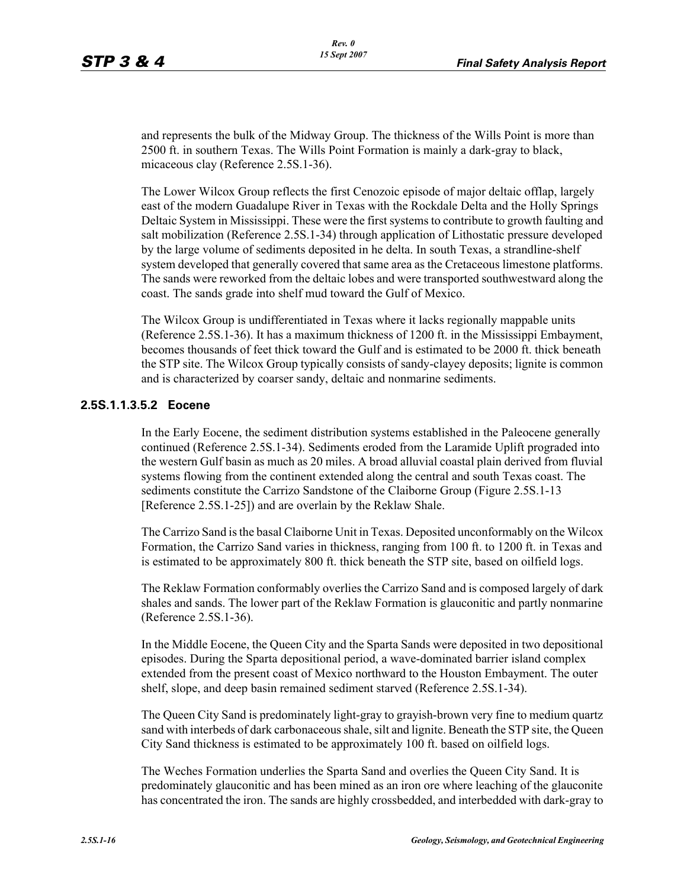and represents the bulk of the Midway Group. The thickness of the Wills Point is more than 2500 ft. in southern Texas. The Wills Point Formation is mainly a dark-gray to black, micaceous clay (Reference 2.5S.1-36).

The Lower Wilcox Group reflects the first Cenozoic episode of major deltaic offlap, largely east of the modern Guadalupe River in Texas with the Rockdale Delta and the Holly Springs Deltaic System in Mississippi. These were the first systems to contribute to growth faulting and salt mobilization (Reference 2.5S.1-34) through application of Lithostatic pressure developed by the large volume of sediments deposited in he delta. In south Texas, a strandline-shelf system developed that generally covered that same area as the Cretaceous limestone platforms. The sands were reworked from the deltaic lobes and were transported southwestward along the coast. The sands grade into shelf mud toward the Gulf of Mexico.

The Wilcox Group is undifferentiated in Texas where it lacks regionally mappable units (Reference 2.5S.1-36). It has a maximum thickness of 1200 ft. in the Mississippi Embayment, becomes thousands of feet thick toward the Gulf and is estimated to be 2000 ft. thick beneath the STP site. The Wilcox Group typically consists of sandy-clayey deposits; lignite is common and is characterized by coarser sandy, deltaic and nonmarine sediments.

#### **2.5S.1.1.3.5.2 Eocene**

In the Early Eocene, the sediment distribution systems established in the Paleocene generally continued (Reference 2.5S.1-34). Sediments eroded from the Laramide Uplift prograded into the western Gulf basin as much as 20 miles. A broad alluvial coastal plain derived from fluvial systems flowing from the continent extended along the central and south Texas coast. The sediments constitute the Carrizo Sandstone of the Claiborne Group (Figure 2.5S.1-13 [Reference 2.5S.1-25]) and are overlain by the Reklaw Shale.

The Carrizo Sand is the basal Claiborne Unit in Texas. Deposited unconformably on the Wilcox Formation, the Carrizo Sand varies in thickness, ranging from 100 ft. to 1200 ft. in Texas and is estimated to be approximately 800 ft. thick beneath the STP site, based on oilfield logs.

The Reklaw Formation conformably overlies the Carrizo Sand and is composed largely of dark shales and sands. The lower part of the Reklaw Formation is glauconitic and partly nonmarine (Reference 2.5S.1-36).

In the Middle Eocene, the Queen City and the Sparta Sands were deposited in two depositional episodes. During the Sparta depositional period, a wave-dominated barrier island complex extended from the present coast of Mexico northward to the Houston Embayment. The outer shelf, slope, and deep basin remained sediment starved (Reference 2.5S.1-34).

The Queen City Sand is predominately light-gray to grayish-brown very fine to medium quartz sand with interbeds of dark carbonaceous shale, silt and lignite. Beneath the STP site, the Queen City Sand thickness is estimated to be approximately 100 ft. based on oilfield logs.

The Weches Formation underlies the Sparta Sand and overlies the Queen City Sand. It is predominately glauconitic and has been mined as an iron ore where leaching of the glauconite has concentrated the iron. The sands are highly crossbedded, and interbedded with dark-gray to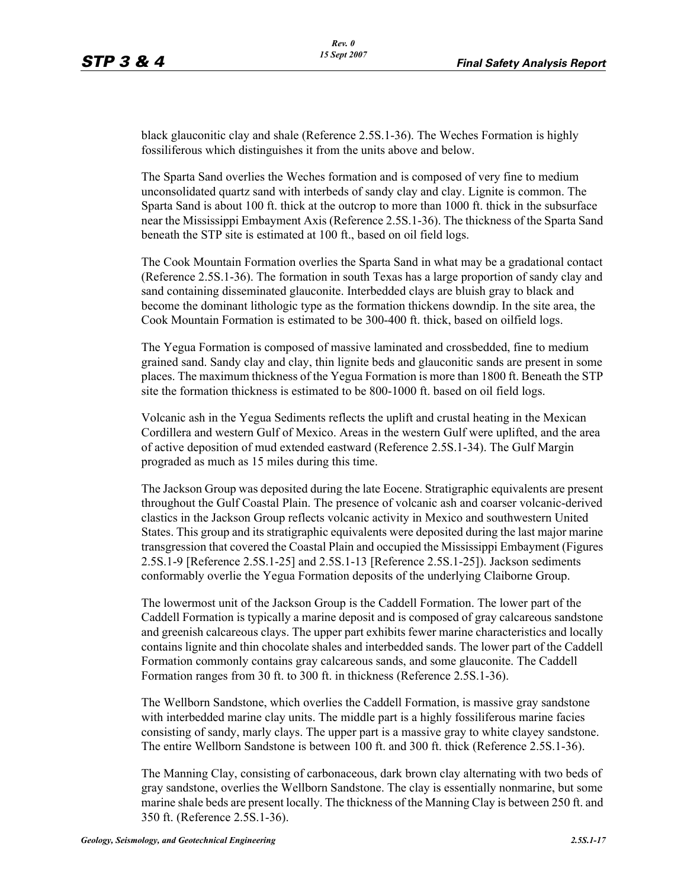black glauconitic clay and shale (Reference 2.5S.1-36). The Weches Formation is highly fossiliferous which distinguishes it from the units above and below.

The Sparta Sand overlies the Weches formation and is composed of very fine to medium unconsolidated quartz sand with interbeds of sandy clay and clay. Lignite is common. The Sparta Sand is about 100 ft. thick at the outcrop to more than 1000 ft. thick in the subsurface near the Mississippi Embayment Axis (Reference 2.5S.1-36). The thickness of the Sparta Sand beneath the STP site is estimated at 100 ft., based on oil field logs.

The Cook Mountain Formation overlies the Sparta Sand in what may be a gradational contact (Reference 2.5S.1-36). The formation in south Texas has a large proportion of sandy clay and sand containing disseminated glauconite. Interbedded clays are bluish gray to black and become the dominant lithologic type as the formation thickens downdip. In the site area, the Cook Mountain Formation is estimated to be 300-400 ft. thick, based on oilfield logs.

The Yegua Formation is composed of massive laminated and crossbedded, fine to medium grained sand. Sandy clay and clay, thin lignite beds and glauconitic sands are present in some places. The maximum thickness of the Yegua Formation is more than 1800 ft. Beneath the STP site the formation thickness is estimated to be 800-1000 ft. based on oil field logs.

Volcanic ash in the Yegua Sediments reflects the uplift and crustal heating in the Mexican Cordillera and western Gulf of Mexico. Areas in the western Gulf were uplifted, and the area of active deposition of mud extended eastward (Reference 2.5S.1-34). The Gulf Margin prograded as much as 15 miles during this time.

The Jackson Group was deposited during the late Eocene. Stratigraphic equivalents are present throughout the Gulf Coastal Plain. The presence of volcanic ash and coarser volcanic-derived clastics in the Jackson Group reflects volcanic activity in Mexico and southwestern United States. This group and its stratigraphic equivalents were deposited during the last major marine transgression that covered the Coastal Plain and occupied the Mississippi Embayment (Figures 2.5S.1-9 [Reference 2.5S.1-25] and 2.5S.1-13 [Reference 2.5S.1-25]). Jackson sediments conformably overlie the Yegua Formation deposits of the underlying Claiborne Group.

The lowermost unit of the Jackson Group is the Caddell Formation. The lower part of the Caddell Formation is typically a marine deposit and is composed of gray calcareous sandstone and greenish calcareous clays. The upper part exhibits fewer marine characteristics and locally contains lignite and thin chocolate shales and interbedded sands. The lower part of the Caddell Formation commonly contains gray calcareous sands, and some glauconite. The Caddell Formation ranges from 30 ft. to 300 ft. in thickness (Reference 2.5S.1-36).

The Wellborn Sandstone, which overlies the Caddell Formation, is massive gray sandstone with interbedded marine clay units. The middle part is a highly fossiliferous marine facies consisting of sandy, marly clays. The upper part is a massive gray to white clayey sandstone. The entire Wellborn Sandstone is between 100 ft. and 300 ft. thick (Reference 2.5S.1-36).

The Manning Clay, consisting of carbonaceous, dark brown clay alternating with two beds of gray sandstone, overlies the Wellborn Sandstone. The clay is essentially nonmarine, but some marine shale beds are present locally. The thickness of the Manning Clay is between 250 ft. and 350 ft. (Reference 2.5S.1-36).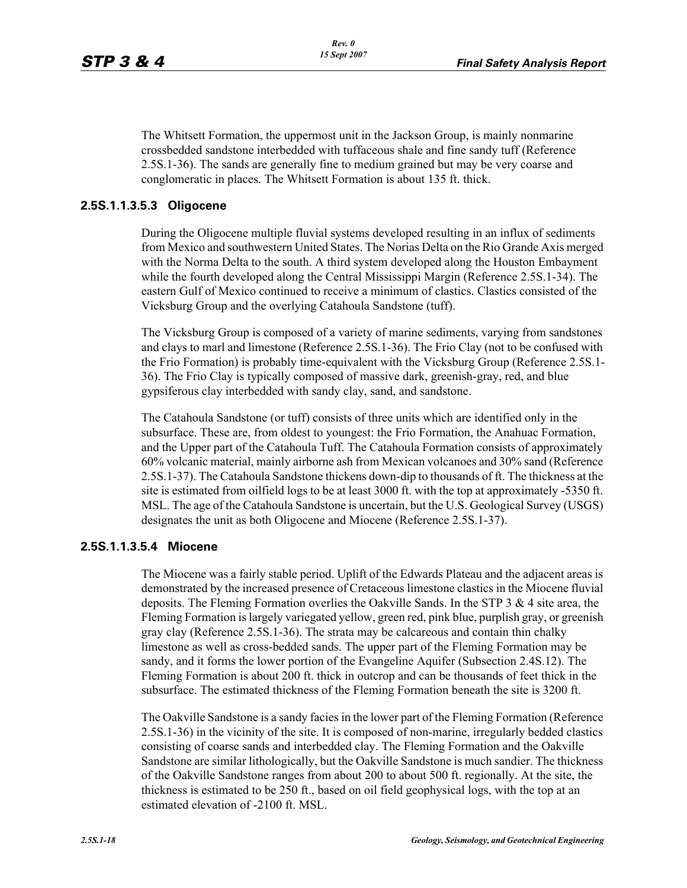The Whitsett Formation, the uppermost unit in the Jackson Group, is mainly nonmarine crossbedded sandstone interbedded with tuffaceous shale and fine sandy tuff (Reference 2.5S.1-36). The sands are generally fine to medium grained but may be very coarse and conglomeratic in places. The Whitsett Formation is about 135 ft. thick.

### **2.5S.1.1.3.5.3 Oligocene**

During the Oligocene multiple fluvial systems developed resulting in an influx of sediments from Mexico and southwestern United States. The Norias Delta on the Rio Grande Axis merged with the Norma Delta to the south. A third system developed along the Houston Embayment while the fourth developed along the Central Mississippi Margin (Reference 2.5S.1-34). The eastern Gulf of Mexico continued to receive a minimum of clastics. Clastics consisted of the Vicksburg Group and the overlying Catahoula Sandstone (tuff).

The Vicksburg Group is composed of a variety of marine sediments, varying from sandstones and clays to marl and limestone (Reference 2.5S.1-36). The Frio Clay (not to be confused with the Frio Formation) is probably time-equivalent with the Vicksburg Group (Reference 2.5S.1- 36). The Frio Clay is typically composed of massive dark, greenish-gray, red, and blue gypsiferous clay interbedded with sandy clay, sand, and sandstone.

The Catahoula Sandstone (or tuff) consists of three units which are identified only in the subsurface. These are, from oldest to youngest: the Frio Formation, the Anahuac Formation, and the Upper part of the Catahoula Tuff. The Catahoula Formation consists of approximately 60% volcanic material, mainly airborne ash from Mexican volcanoes and 30% sand (Reference 2.5S.1-37). The Catahoula Sandstone thickens down-dip to thousands of ft. The thickness at the site is estimated from oilfield logs to be at least 3000 ft. with the top at approximately -5350 ft. MSL. The age of the Catahoula Sandstone is uncertain, but the U.S. Geological Survey (USGS) designates the unit as both Oligocene and Miocene (Reference 2.5S.1-37).

#### **2.5S.1.1.3.5.4 Miocene**

The Miocene was a fairly stable period. Uplift of the Edwards Plateau and the adjacent areas is demonstrated by the increased presence of Cretaceous limestone clastics in the Miocene fluvial deposits. The Fleming Formation overlies the Oakville Sands. In the STP 3 & 4 site area, the Fleming Formation is largely variegated yellow, green red, pink blue, purplish gray, or greenish gray clay (Reference 2.5S.1-36). The strata may be calcareous and contain thin chalky limestone as well as cross-bedded sands. The upper part of the Fleming Formation may be sandy, and it forms the lower portion of the Evangeline Aquifer (Subsection 2.4S.12). The Fleming Formation is about 200 ft. thick in outcrop and can be thousands of feet thick in the subsurface. The estimated thickness of the Fleming Formation beneath the site is 3200 ft.

The Oakville Sandstone is a sandy facies in the lower part of the Fleming Formation (Reference 2.5S.1-36) in the vicinity of the site. It is composed of non-marine, irregularly bedded clastics consisting of coarse sands and interbedded clay. The Fleming Formation and the Oakville Sandstone are similar lithologically, but the Oakville Sandstone is much sandier. The thickness of the Oakville Sandstone ranges from about 200 to about 500 ft. regionally. At the site, the thickness is estimated to be 250 ft., based on oil field geophysical logs, with the top at an estimated elevation of -2100 ft. MSL.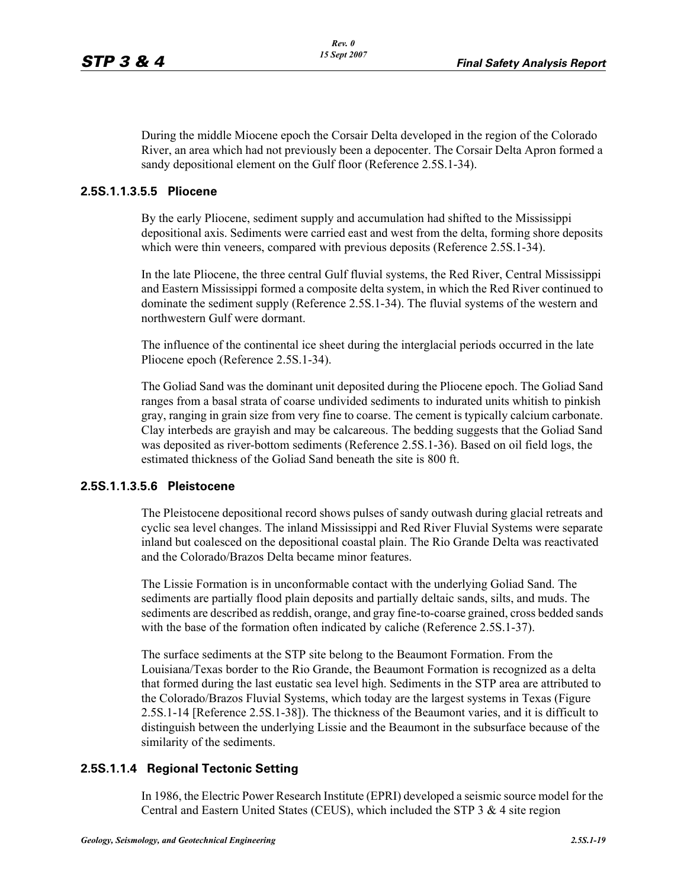During the middle Miocene epoch the Corsair Delta developed in the region of the Colorado River, an area which had not previously been a depocenter. The Corsair Delta Apron formed a sandy depositional element on the Gulf floor (Reference 2.5S.1-34).

### **2.5S.1.1.3.5.5 Pliocene**

By the early Pliocene, sediment supply and accumulation had shifted to the Mississippi depositional axis. Sediments were carried east and west from the delta, forming shore deposits which were thin veneers, compared with previous deposits (Reference 2.5S.1-34).

In the late Pliocene, the three central Gulf fluvial systems, the Red River, Central Mississippi and Eastern Mississippi formed a composite delta system, in which the Red River continued to dominate the sediment supply (Reference 2.5S.1-34). The fluvial systems of the western and northwestern Gulf were dormant.

The influence of the continental ice sheet during the interglacial periods occurred in the late Pliocene epoch (Reference 2.5S.1-34).

The Goliad Sand was the dominant unit deposited during the Pliocene epoch. The Goliad Sand ranges from a basal strata of coarse undivided sediments to indurated units whitish to pinkish gray, ranging in grain size from very fine to coarse. The cement is typically calcium carbonate. Clay interbeds are grayish and may be calcareous. The bedding suggests that the Goliad Sand was deposited as river-bottom sediments (Reference 2.5S.1-36). Based on oil field logs, the estimated thickness of the Goliad Sand beneath the site is 800 ft.

#### **2.5S.1.1.3.5.6 Pleistocene**

The Pleistocene depositional record shows pulses of sandy outwash during glacial retreats and cyclic sea level changes. The inland Mississippi and Red River Fluvial Systems were separate inland but coalesced on the depositional coastal plain. The Rio Grande Delta was reactivated and the Colorado/Brazos Delta became minor features.

The Lissie Formation is in unconformable contact with the underlying Goliad Sand. The sediments are partially flood plain deposits and partially deltaic sands, silts, and muds. The sediments are described as reddish, orange, and gray fine-to-coarse grained, cross bedded sands with the base of the formation often indicated by caliche (Reference 2.5S.1-37).

The surface sediments at the STP site belong to the Beaumont Formation. From the Louisiana/Texas border to the Rio Grande, the Beaumont Formation is recognized as a delta that formed during the last eustatic sea level high. Sediments in the STP area are attributed to the Colorado/Brazos Fluvial Systems, which today are the largest systems in Texas (Figure 2.5S.1-14 [Reference 2.5S.1-38]). The thickness of the Beaumont varies, and it is difficult to distinguish between the underlying Lissie and the Beaumont in the subsurface because of the similarity of the sediments.

### **2.5S.1.1.4 Regional Tectonic Setting**

In 1986, the Electric Power Research Institute (EPRI) developed a seismic source model for the Central and Eastern United States (CEUS), which included the STP 3 & 4 site region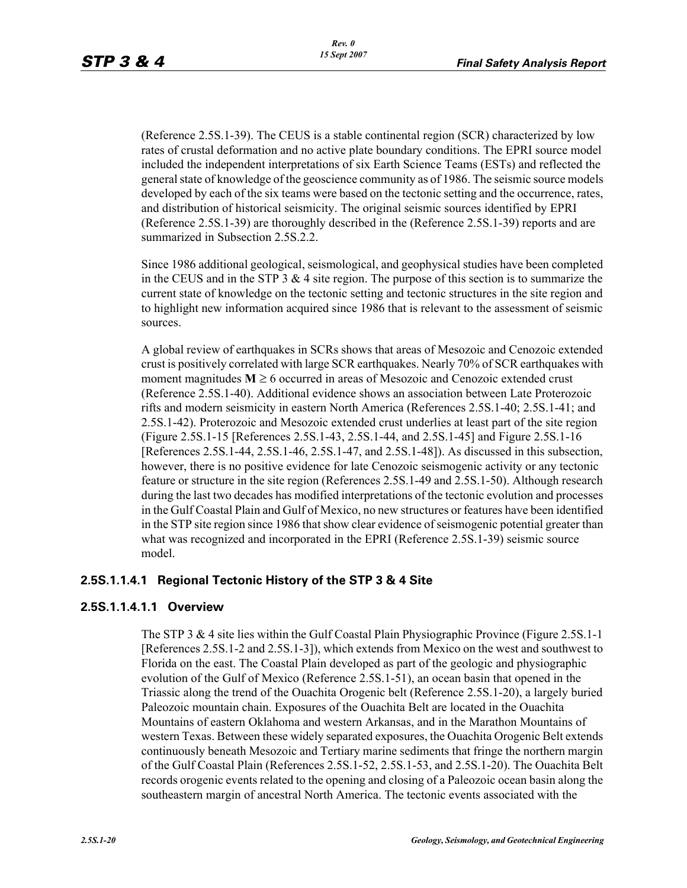(Reference 2.5S.1-39). The CEUS is a stable continental region (SCR) characterized by low rates of crustal deformation and no active plate boundary conditions. The EPRI source model included the independent interpretations of six Earth Science Teams (ESTs) and reflected the general state of knowledge of the geoscience community as of 1986. The seismic source models developed by each of the six teams were based on the tectonic setting and the occurrence, rates, and distribution of historical seismicity. The original seismic sources identified by EPRI (Reference 2.5S.1-39) are thoroughly described in the (Reference 2.5S.1-39) reports and are summarized in Subsection 2.5S.2.2.

Since 1986 additional geological, seismological, and geophysical studies have been completed in the CEUS and in the STP 3  $\&$  4 site region. The purpose of this section is to summarize the current state of knowledge on the tectonic setting and tectonic structures in the site region and to highlight new information acquired since 1986 that is relevant to the assessment of seismic sources.

A global review of earthquakes in SCRs shows that areas of Mesozoic and Cenozoic extended crust is positively correlated with large SCR earthquakes. Nearly 70% of SCR earthquakes with moment magnitudes  $M \ge 6$  occurred in areas of Mesozoic and Cenozoic extended crust (Reference 2.5S.1-40). Additional evidence shows an association between Late Proterozoic rifts and modern seismicity in eastern North America (References 2.5S.1-40; 2.5S.1-41; and 2.5S.1-42). Proterozoic and Mesozoic extended crust underlies at least part of the site region (Figure 2.5S.1-15 [References 2.5S.1-43, 2.5S.1-44, and 2.5S.1-45] and Figure 2.5S.1-16 [References 2.5S.1-44, 2.5S.1-46, 2.5S.1-47, and 2.5S.1-48]). As discussed in this subsection, however, there is no positive evidence for late Cenozoic seismogenic activity or any tectonic feature or structure in the site region (References 2.5S.1-49 and 2.5S.1-50). Although research during the last two decades has modified interpretations of the tectonic evolution and processes in the Gulf Coastal Plain and Gulf of Mexico, no new structures or features have been identified in the STP site region since 1986 that show clear evidence of seismogenic potential greater than what was recognized and incorporated in the EPRI (Reference 2.5S.1-39) seismic source model.

### **2.5S.1.1.4.1 Regional Tectonic History of the STP 3 & 4 Site**

### **2.5S.1.1.4.1.1 Overview**

The STP 3 & 4 site lies within the Gulf Coastal Plain Physiographic Province (Figure 2.5S.1-1 [References 2.5S.1-2 and 2.5S.1-3]), which extends from Mexico on the west and southwest to Florida on the east. The Coastal Plain developed as part of the geologic and physiographic evolution of the Gulf of Mexico (Reference 2.5S.1-51), an ocean basin that opened in the Triassic along the trend of the Ouachita Orogenic belt (Reference 2.5S.1-20), a largely buried Paleozoic mountain chain. Exposures of the Ouachita Belt are located in the Ouachita Mountains of eastern Oklahoma and western Arkansas, and in the Marathon Mountains of western Texas. Between these widely separated exposures, the Ouachita Orogenic Belt extends continuously beneath Mesozoic and Tertiary marine sediments that fringe the northern margin of the Gulf Coastal Plain (References 2.5S.1-52, 2.5S.1-53, and 2.5S.1-20). The Ouachita Belt records orogenic events related to the opening and closing of a Paleozoic ocean basin along the southeastern margin of ancestral North America. The tectonic events associated with the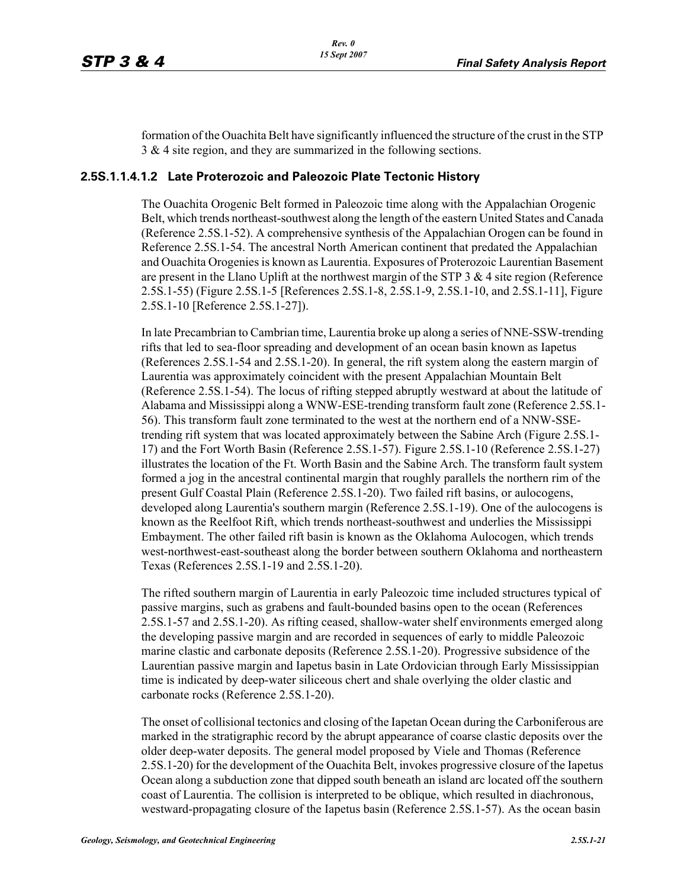formation of the Ouachita Belt have significantly influenced the structure of the crust in the STP 3 & 4 site region, and they are summarized in the following sections.

### **2.5S.1.1.4.1.2 Late Proterozoic and Paleozoic Plate Tectonic History**

The Ouachita Orogenic Belt formed in Paleozoic time along with the Appalachian Orogenic Belt, which trends northeast-southwest along the length of the eastern United States and Canada (Reference 2.5S.1-52). A comprehensive synthesis of the Appalachian Orogen can be found in Reference 2.5S.1-54. The ancestral North American continent that predated the Appalachian and Ouachita Orogenies is known as Laurentia. Exposures of Proterozoic Laurentian Basement are present in the Llano Uplift at the northwest margin of the STP 3 & 4 site region (Reference 2.5S.1-55) (Figure 2.5S.1-5 [References 2.5S.1-8, 2.5S.1-9, 2.5S.1-10, and 2.5S.1-11], Figure 2.5S.1-10 [Reference 2.5S.1-27]).

In late Precambrian to Cambrian time, Laurentia broke up along a series of NNE-SSW-trending rifts that led to sea-floor spreading and development of an ocean basin known as Iapetus (References 2.5S.1-54 and 2.5S.1-20). In general, the rift system along the eastern margin of Laurentia was approximately coincident with the present Appalachian Mountain Belt (Reference 2.5S.1-54). The locus of rifting stepped abruptly westward at about the latitude of Alabama and Mississippi along a WNW-ESE-trending transform fault zone (Reference 2.5S.1- 56). This transform fault zone terminated to the west at the northern end of a NNW-SSEtrending rift system that was located approximately between the Sabine Arch (Figure 2.5S.1- 17) and the Fort Worth Basin (Reference 2.5S.1-57). Figure 2.5S.1-10 (Reference 2.5S.1-27) illustrates the location of the Ft. Worth Basin and the Sabine Arch. The transform fault system formed a jog in the ancestral continental margin that roughly parallels the northern rim of the present Gulf Coastal Plain (Reference 2.5S.1-20). Two failed rift basins, or aulocogens, developed along Laurentia's southern margin (Reference 2.5S.1-19). One of the aulocogens is known as the Reelfoot Rift, which trends northeast-southwest and underlies the Mississippi Embayment. The other failed rift basin is known as the Oklahoma Aulocogen, which trends west-northwest-east-southeast along the border between southern Oklahoma and northeastern Texas (References 2.5S.1-19 and 2.5S.1-20).

The rifted southern margin of Laurentia in early Paleozoic time included structures typical of passive margins, such as grabens and fault-bounded basins open to the ocean (References 2.5S.1-57 and 2.5S.1-20). As rifting ceased, shallow-water shelf environments emerged along the developing passive margin and are recorded in sequences of early to middle Paleozoic marine clastic and carbonate deposits (Reference 2.5S.1-20). Progressive subsidence of the Laurentian passive margin and Iapetus basin in Late Ordovician through Early Mississippian time is indicated by deep-water siliceous chert and shale overlying the older clastic and carbonate rocks (Reference 2.5S.1-20).

The onset of collisional tectonics and closing of the Iapetan Ocean during the Carboniferous are marked in the stratigraphic record by the abrupt appearance of coarse clastic deposits over the older deep-water deposits. The general model proposed by Viele and Thomas (Reference 2.5S.1-20) for the development of the Ouachita Belt, invokes progressive closure of the Iapetus Ocean along a subduction zone that dipped south beneath an island arc located off the southern coast of Laurentia. The collision is interpreted to be oblique, which resulted in diachronous, westward-propagating closure of the Iapetus basin (Reference 2.5S.1-57). As the ocean basin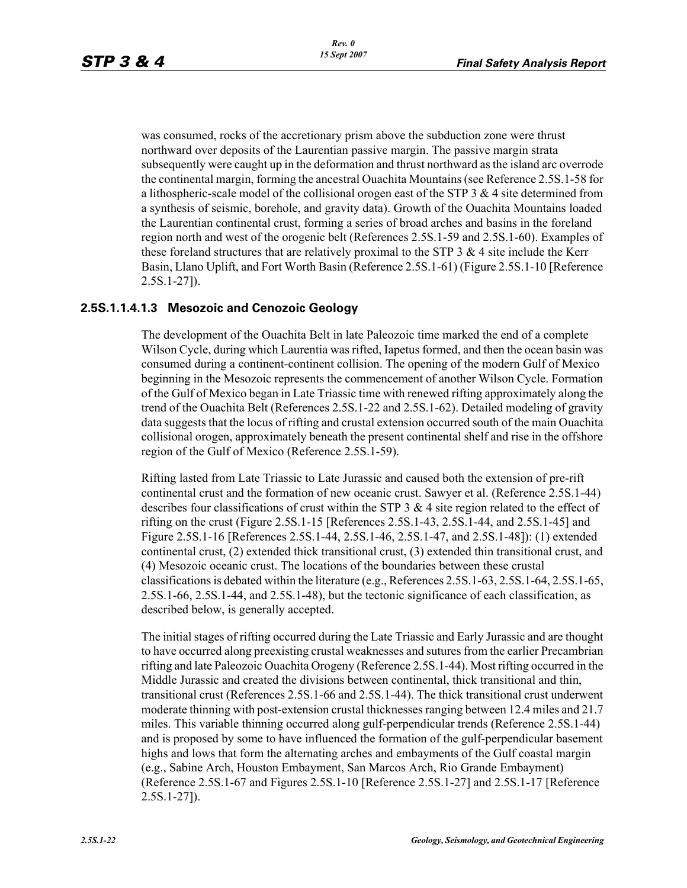was consumed, rocks of the accretionary prism above the subduction zone were thrust northward over deposits of the Laurentian passive margin. The passive margin strata subsequently were caught up in the deformation and thrust northward as the island arc overrode the continental margin, forming the ancestral Ouachita Mountains (see Reference 2.5S.1-58 for a lithospheric-scale model of the collisional orogen east of the STP  $3 \& 4$  site determined from a synthesis of seismic, borehole, and gravity data). Growth of the Ouachita Mountains loaded the Laurentian continental crust, forming a series of broad arches and basins in the foreland region north and west of the orogenic belt (References 2.5S.1-59 and 2.5S.1-60). Examples of these foreland structures that are relatively proximal to the STP  $3 \& 4$  site include the Kerr Basin, Llano Uplift, and Fort Worth Basin (Reference 2.5S.1-61) (Figure 2.5S.1-10 [Reference 2.5S.1-27]).

### **2.5S.1.1.4.1.3 Mesozoic and Cenozoic Geology**

The development of the Ouachita Belt in late Paleozoic time marked the end of a complete Wilson Cycle, during which Laurentia was rifted, Iapetus formed, and then the ocean basin was consumed during a continent-continent collision. The opening of the modern Gulf of Mexico beginning in the Mesozoic represents the commencement of another Wilson Cycle. Formation of the Gulf of Mexico began in Late Triassic time with renewed rifting approximately along the trend of the Ouachita Belt (References 2.5S.1-22 and 2.5S.1-62). Detailed modeling of gravity data suggests that the locus of rifting and crustal extension occurred south of the main Ouachita collisional orogen, approximately beneath the present continental shelf and rise in the offshore region of the Gulf of Mexico (Reference 2.5S.1-59).

Rifting lasted from Late Triassic to Late Jurassic and caused both the extension of pre-rift continental crust and the formation of new oceanic crust. Sawyer et al. (Reference 2.5S.1-44) describes four classifications of crust within the STP  $3 \& 4$  site region related to the effect of rifting on the crust (Figure 2.5S.1-15 [References 2.5S.1-43, 2.5S.1-44, and 2.5S.1-45] and Figure 2.5S.1-16 [References 2.5S.1-44, 2.5S.1-46, 2.5S.1-47, and 2.5S.1-48]): (1) extended continental crust, (2) extended thick transitional crust, (3) extended thin transitional crust, and (4) Mesozoic oceanic crust. The locations of the boundaries between these crustal classifications is debated within the literature (e.g., References 2.5S.1-63, 2.5S.1-64, 2.5S.1-65, 2.5S.1-66, 2.5S.1-44, and 2.5S.1-48), but the tectonic significance of each classification, as described below, is generally accepted.

The initial stages of rifting occurred during the Late Triassic and Early Jurassic and are thought to have occurred along preexisting crustal weaknesses and sutures from the earlier Precambrian rifting and late Paleozoic Ouachita Orogeny (Reference 2.5S.1-44). Most rifting occurred in the Middle Jurassic and created the divisions between continental, thick transitional and thin, transitional crust (References 2.5S.1-66 and 2.5S.1-44). The thick transitional crust underwent moderate thinning with post-extension crustal thicknesses ranging between 12.4 miles and 21.7 miles. This variable thinning occurred along gulf-perpendicular trends (Reference 2.5S.1-44) and is proposed by some to have influenced the formation of the gulf-perpendicular basement highs and lows that form the alternating arches and embayments of the Gulf coastal margin (e.g., Sabine Arch, Houston Embayment, San Marcos Arch, Rio Grande Embayment) (Reference 2.5S.1-67 and Figures 2.5S.1-10 [Reference 2.5S.1-27] and 2.5S.1-17 [Reference 2.5S.1-27]).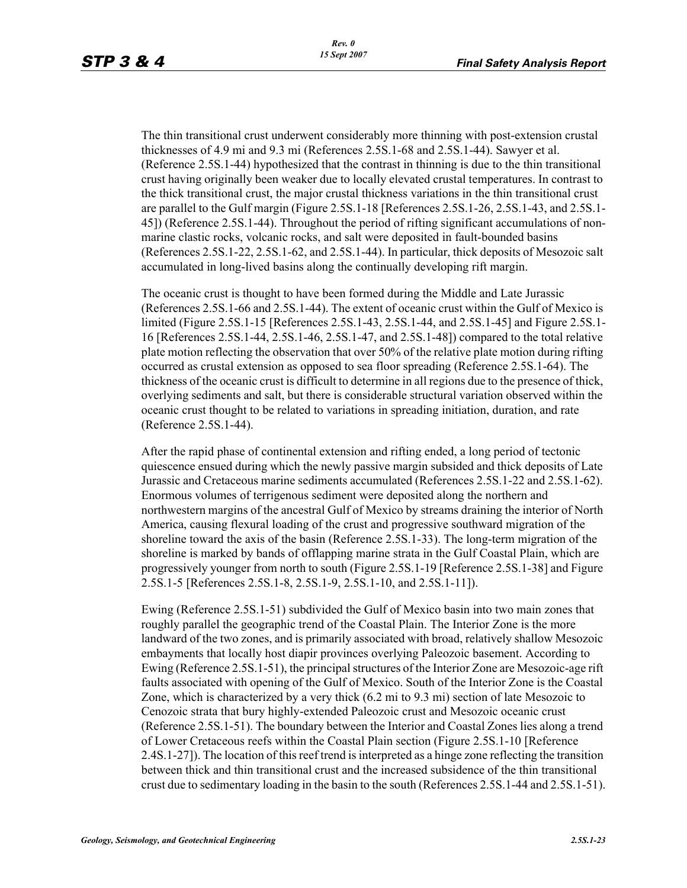The thin transitional crust underwent considerably more thinning with post-extension crustal thicknesses of 4.9 mi and 9.3 mi (References 2.5S.1-68 and 2.5S.1-44). Sawyer et al. (Reference 2.5S.1-44) hypothesized that the contrast in thinning is due to the thin transitional crust having originally been weaker due to locally elevated crustal temperatures. In contrast to the thick transitional crust, the major crustal thickness variations in the thin transitional crust are parallel to the Gulf margin (Figure 2.5S.1-18 [References 2.5S.1-26, 2.5S.1-43, and 2.5S.1- 45]) (Reference 2.5S.1-44). Throughout the period of rifting significant accumulations of nonmarine clastic rocks, volcanic rocks, and salt were deposited in fault-bounded basins (References 2.5S.1-22, 2.5S.1-62, and 2.5S.1-44). In particular, thick deposits of Mesozoic salt accumulated in long-lived basins along the continually developing rift margin.

The oceanic crust is thought to have been formed during the Middle and Late Jurassic (References 2.5S.1-66 and 2.5S.1-44). The extent of oceanic crust within the Gulf of Mexico is limited (Figure 2.5S.1-15 [References 2.5S.1-43, 2.5S.1-44, and 2.5S.1-45] and Figure 2.5S.1- 16 [References 2.5S.1-44, 2.5S.1-46, 2.5S.1-47, and 2.5S.1-48]) compared to the total relative plate motion reflecting the observation that over 50% of the relative plate motion during rifting occurred as crustal extension as opposed to sea floor spreading (Reference 2.5S.1-64). The thickness of the oceanic crust is difficult to determine in all regions due to the presence of thick, overlying sediments and salt, but there is considerable structural variation observed within the oceanic crust thought to be related to variations in spreading initiation, duration, and rate (Reference 2.5S.1-44).

After the rapid phase of continental extension and rifting ended, a long period of tectonic quiescence ensued during which the newly passive margin subsided and thick deposits of Late Jurassic and Cretaceous marine sediments accumulated (References 2.5S.1-22 and 2.5S.1-62). Enormous volumes of terrigenous sediment were deposited along the northern and northwestern margins of the ancestral Gulf of Mexico by streams draining the interior of North America, causing flexural loading of the crust and progressive southward migration of the shoreline toward the axis of the basin (Reference 2.5S.1-33). The long-term migration of the shoreline is marked by bands of offlapping marine strata in the Gulf Coastal Plain, which are progressively younger from north to south (Figure 2.5S.1-19 [Reference 2.5S.1-38] and Figure 2.5S.1-5 [References 2.5S.1-8, 2.5S.1-9, 2.5S.1-10, and 2.5S.1-11]).

Ewing (Reference 2.5S.1-51) subdivided the Gulf of Mexico basin into two main zones that roughly parallel the geographic trend of the Coastal Plain. The Interior Zone is the more landward of the two zones, and is primarily associated with broad, relatively shallow Mesozoic embayments that locally host diapir provinces overlying Paleozoic basement. According to Ewing (Reference 2.5S.1-51), the principal structures of the Interior Zone are Mesozoic-age rift faults associated with opening of the Gulf of Mexico. South of the Interior Zone is the Coastal Zone, which is characterized by a very thick (6.2 mi to 9.3 mi) section of late Mesozoic to Cenozoic strata that bury highly-extended Paleozoic crust and Mesozoic oceanic crust (Reference 2.5S.1-51). The boundary between the Interior and Coastal Zones lies along a trend of Lower Cretaceous reefs within the Coastal Plain section (Figure 2.5S.1-10 [Reference 2.4S.1-27]). The location of this reef trend is interpreted as a hinge zone reflecting the transition between thick and thin transitional crust and the increased subsidence of the thin transitional crust due to sedimentary loading in the basin to the south (References 2.5S.1-44 and 2.5S.1-51).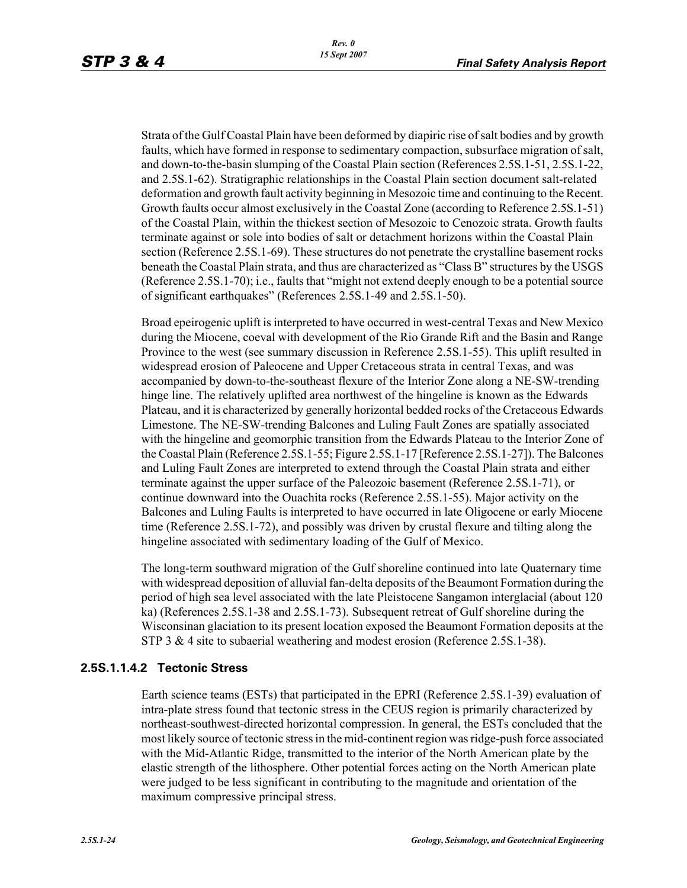Strata of the Gulf Coastal Plain have been deformed by diapiric rise of salt bodies and by growth faults, which have formed in response to sedimentary compaction, subsurface migration of salt, and down-to-the-basin slumping of the Coastal Plain section (References 2.5S.1-51, 2.5S.1-22, and 2.5S.1-62). Stratigraphic relationships in the Coastal Plain section document salt-related deformation and growth fault activity beginning in Mesozoic time and continuing to the Recent. Growth faults occur almost exclusively in the Coastal Zone (according to Reference 2.5S.1-51) of the Coastal Plain, within the thickest section of Mesozoic to Cenozoic strata. Growth faults terminate against or sole into bodies of salt or detachment horizons within the Coastal Plain section (Reference 2.5S.1-69). These structures do not penetrate the crystalline basement rocks beneath the Coastal Plain strata, and thus are characterized as "Class B" structures by the USGS (Reference 2.5S.1-70); i.e., faults that "might not extend deeply enough to be a potential source of significant earthquakes" (References 2.5S.1-49 and 2.5S.1-50).

Broad epeirogenic uplift is interpreted to have occurred in west-central Texas and New Mexico during the Miocene, coeval with development of the Rio Grande Rift and the Basin and Range Province to the west (see summary discussion in Reference 2.5S.1-55). This uplift resulted in widespread erosion of Paleocene and Upper Cretaceous strata in central Texas, and was accompanied by down-to-the-southeast flexure of the Interior Zone along a NE-SW-trending hinge line. The relatively uplifted area northwest of the hingeline is known as the Edwards Plateau, and it is characterized by generally horizontal bedded rocks of the Cretaceous Edwards Limestone. The NE-SW-trending Balcones and Luling Fault Zones are spatially associated with the hingeline and geomorphic transition from the Edwards Plateau to the Interior Zone of the Coastal Plain (Reference 2.5S.1-55; Figure 2.5S.1-17 [Reference 2.5S.1-27]). The Balcones and Luling Fault Zones are interpreted to extend through the Coastal Plain strata and either terminate against the upper surface of the Paleozoic basement (Reference 2.5S.1-71), or continue downward into the Ouachita rocks (Reference 2.5S.1-55). Major activity on the Balcones and Luling Faults is interpreted to have occurred in late Oligocene or early Miocene time (Reference 2.5S.1-72), and possibly was driven by crustal flexure and tilting along the hingeline associated with sedimentary loading of the Gulf of Mexico.

The long-term southward migration of the Gulf shoreline continued into late Quaternary time with widespread deposition of alluvial fan-delta deposits of the Beaumont Formation during the period of high sea level associated with the late Pleistocene Sangamon interglacial (about 120 ka) (References 2.5S.1-38 and 2.5S.1-73). Subsequent retreat of Gulf shoreline during the Wisconsinan glaciation to its present location exposed the Beaumont Formation deposits at the STP 3 & 4 site to subaerial weathering and modest erosion (Reference 2.5S.1-38).

### **2.5S.1.1.4.2 Tectonic Stress**

Earth science teams (ESTs) that participated in the EPRI (Reference 2.5S.1-39) evaluation of intra-plate stress found that tectonic stress in the CEUS region is primarily characterized by northeast-southwest-directed horizontal compression. In general, the ESTs concluded that the most likely source of tectonic stress in the mid-continent region was ridge-push force associated with the Mid-Atlantic Ridge, transmitted to the interior of the North American plate by the elastic strength of the lithosphere. Other potential forces acting on the North American plate were judged to be less significant in contributing to the magnitude and orientation of the maximum compressive principal stress.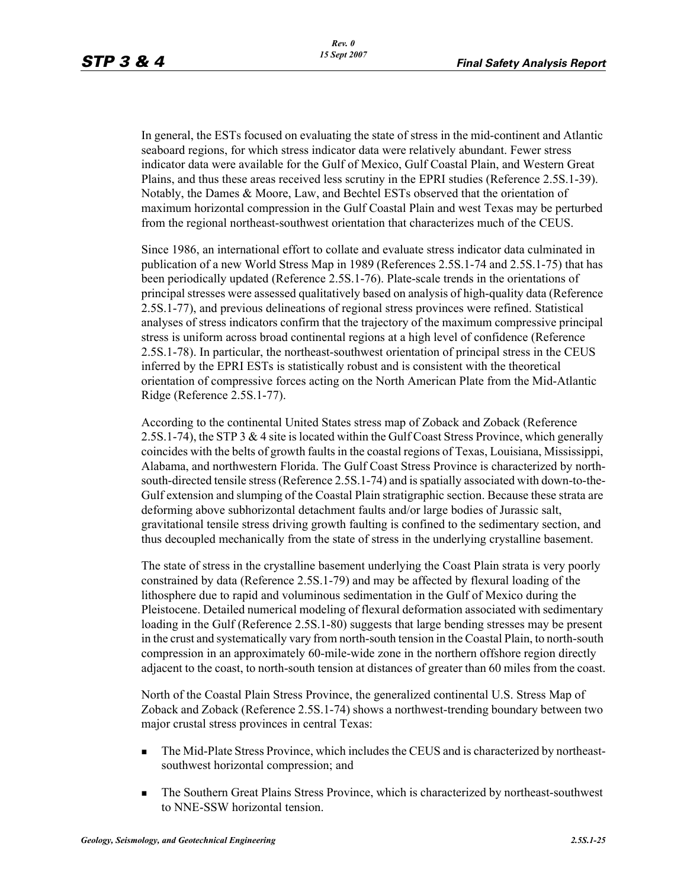In general, the ESTs focused on evaluating the state of stress in the mid-continent and Atlantic seaboard regions, for which stress indicator data were relatively abundant. Fewer stress indicator data were available for the Gulf of Mexico, Gulf Coastal Plain, and Western Great Plains, and thus these areas received less scrutiny in the EPRI studies (Reference 2.5S.1-39). Notably, the Dames & Moore, Law, and Bechtel ESTs observed that the orientation of maximum horizontal compression in the Gulf Coastal Plain and west Texas may be perturbed from the regional northeast-southwest orientation that characterizes much of the CEUS.

Since 1986, an international effort to collate and evaluate stress indicator data culminated in publication of a new World Stress Map in 1989 (References 2.5S.1-74 and 2.5S.1-75) that has been periodically updated (Reference 2.5S.1-76). Plate-scale trends in the orientations of principal stresses were assessed qualitatively based on analysis of high-quality data (Reference 2.5S.1-77), and previous delineations of regional stress provinces were refined. Statistical analyses of stress indicators confirm that the trajectory of the maximum compressive principal stress is uniform across broad continental regions at a high level of confidence (Reference 2.5S.1-78). In particular, the northeast-southwest orientation of principal stress in the CEUS inferred by the EPRI ESTs is statistically robust and is consistent with the theoretical orientation of compressive forces acting on the North American Plate from the Mid-Atlantic Ridge (Reference 2.5S.1-77).

According to the continental United States stress map of Zoback and Zoback (Reference 2.5S.1-74), the STP 3 & 4 site is located within the Gulf Coast Stress Province, which generally coincides with the belts of growth faults in the coastal regions of Texas, Louisiana, Mississippi, Alabama, and northwestern Florida. The Gulf Coast Stress Province is characterized by northsouth-directed tensile stress (Reference 2.5S.1-74) and is spatially associated with down-to-the-Gulf extension and slumping of the Coastal Plain stratigraphic section. Because these strata are deforming above subhorizontal detachment faults and/or large bodies of Jurassic salt, gravitational tensile stress driving growth faulting is confined to the sedimentary section, and thus decoupled mechanically from the state of stress in the underlying crystalline basement.

The state of stress in the crystalline basement underlying the Coast Plain strata is very poorly constrained by data (Reference 2.5S.1-79) and may be affected by flexural loading of the lithosphere due to rapid and voluminous sedimentation in the Gulf of Mexico during the Pleistocene. Detailed numerical modeling of flexural deformation associated with sedimentary loading in the Gulf (Reference 2.5S.1-80) suggests that large bending stresses may be present in the crust and systematically vary from north-south tension in the Coastal Plain, to north-south compression in an approximately 60-mile-wide zone in the northern offshore region directly adjacent to the coast, to north-south tension at distances of greater than 60 miles from the coast.

North of the Coastal Plain Stress Province, the generalized continental U.S. Stress Map of Zoback and Zoback (Reference 2.5S.1-74) shows a northwest-trending boundary between two major crustal stress provinces in central Texas:

- The Mid-Plate Stress Province, which includes the CEUS and is characterized by northeastsouthwest horizontal compression; and
- The Southern Great Plains Stress Province, which is characterized by northeast-southwest to NNE-SSW horizontal tension.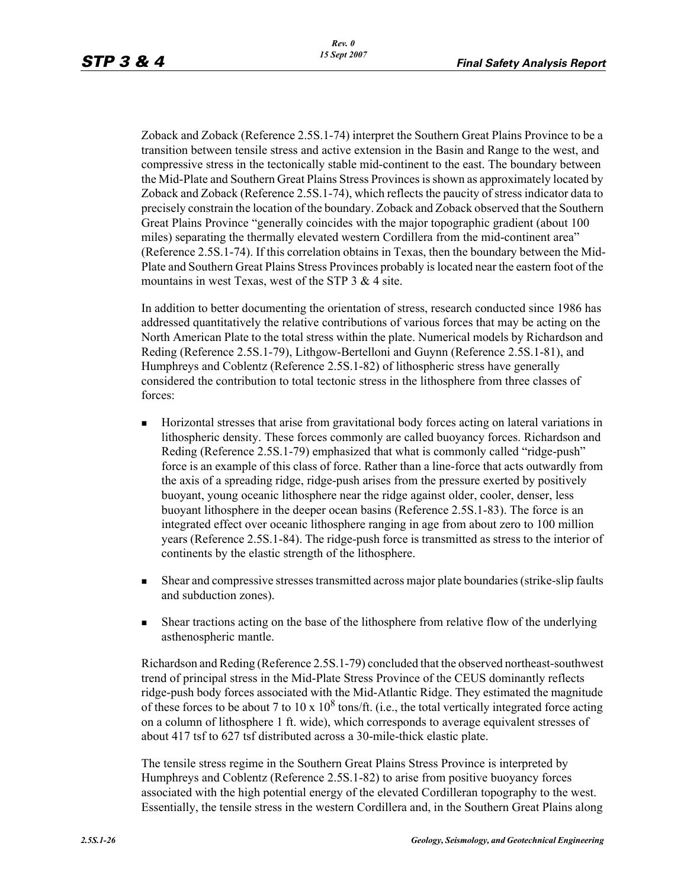Zoback and Zoback (Reference 2.5S.1-74) interpret the Southern Great Plains Province to be a transition between tensile stress and active extension in the Basin and Range to the west, and compressive stress in the tectonically stable mid-continent to the east. The boundary between the Mid-Plate and Southern Great Plains Stress Provinces is shown as approximately located by Zoback and Zoback (Reference 2.5S.1-74), which reflects the paucity of stress indicator data to precisely constrain the location of the boundary. Zoback and Zoback observed that the Southern Great Plains Province "generally coincides with the major topographic gradient (about 100 miles) separating the thermally elevated western Cordillera from the mid-continent area" (Reference 2.5S.1-74). If this correlation obtains in Texas, then the boundary between the Mid-Plate and Southern Great Plains Stress Provinces probably is located near the eastern foot of the mountains in west Texas, west of the STP 3 & 4 site.

In addition to better documenting the orientation of stress, research conducted since 1986 has addressed quantitatively the relative contributions of various forces that may be acting on the North American Plate to the total stress within the plate. Numerical models by Richardson and Reding (Reference 2.5S.1-79), Lithgow-Bertelloni and Guynn (Reference 2.5S.1-81), and Humphreys and Coblentz (Reference 2.5S.1-82) of lithospheric stress have generally considered the contribution to total tectonic stress in the lithosphere from three classes of forces:

- Horizontal stresses that arise from gravitational body forces acting on lateral variations in lithospheric density. These forces commonly are called buoyancy forces. Richardson and Reding (Reference 2.5S.1-79) emphasized that what is commonly called "ridge-push" force is an example of this class of force. Rather than a line-force that acts outwardly from the axis of a spreading ridge, ridge-push arises from the pressure exerted by positively buoyant, young oceanic lithosphere near the ridge against older, cooler, denser, less buoyant lithosphere in the deeper ocean basins (Reference 2.5S.1-83). The force is an integrated effect over oceanic lithosphere ranging in age from about zero to 100 million years (Reference 2.5S.1-84). The ridge-push force is transmitted as stress to the interior of continents by the elastic strength of the lithosphere.
- Shear and compressive stresses transmitted across major plate boundaries (strike-slip faults and subduction zones).
- Shear tractions acting on the base of the lithosphere from relative flow of the underlying asthenospheric mantle.

Richardson and Reding (Reference 2.5S.1-79) concluded that the observed northeast-southwest trend of principal stress in the Mid-Plate Stress Province of the CEUS dominantly reflects ridge-push body forces associated with the Mid-Atlantic Ridge. They estimated the magnitude of these forces to be about 7 to  $10 \times 10^8$  tons/ft. (i.e., the total vertically integrated force acting on a column of lithosphere 1 ft. wide), which corresponds to average equivalent stresses of about 417 tsf to 627 tsf distributed across a 30-mile-thick elastic plate.

The tensile stress regime in the Southern Great Plains Stress Province is interpreted by Humphreys and Coblentz (Reference 2.5S.1-82) to arise from positive buoyancy forces associated with the high potential energy of the elevated Cordilleran topography to the west. Essentially, the tensile stress in the western Cordillera and, in the Southern Great Plains along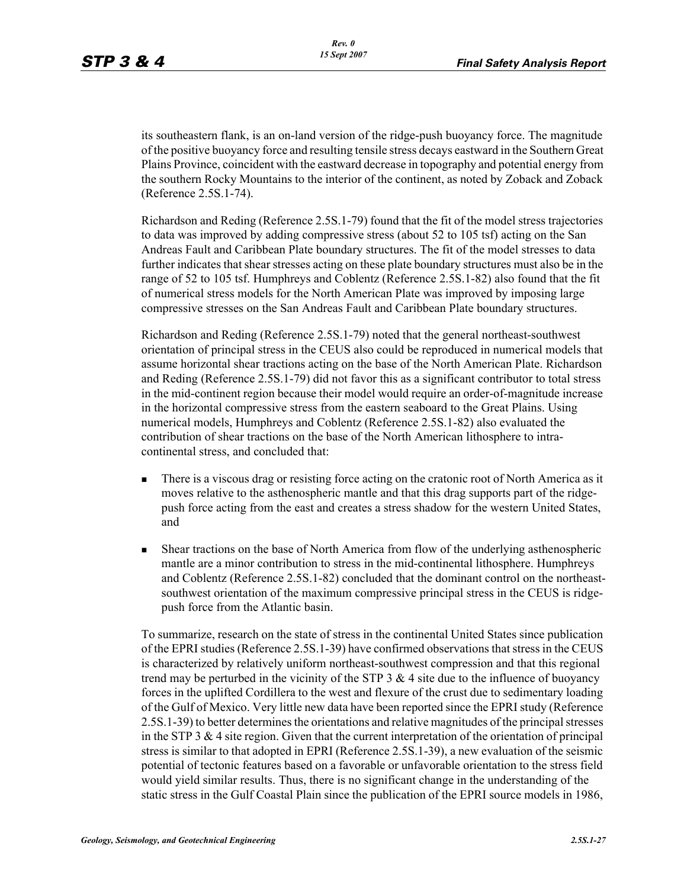its southeastern flank, is an on-land version of the ridge-push buoyancy force. The magnitude of the positive buoyancy force and resulting tensile stress decays eastward in the Southern Great Plains Province, coincident with the eastward decrease in topography and potential energy from the southern Rocky Mountains to the interior of the continent, as noted by Zoback and Zoback (Reference 2.5S.1-74).

Richardson and Reding (Reference 2.5S.1-79) found that the fit of the model stress trajectories to data was improved by adding compressive stress (about 52 to 105 tsf) acting on the San Andreas Fault and Caribbean Plate boundary structures. The fit of the model stresses to data further indicates that shear stresses acting on these plate boundary structures must also be in the range of 52 to 105 tsf. Humphreys and Coblentz (Reference 2.5S.1-82) also found that the fit of numerical stress models for the North American Plate was improved by imposing large compressive stresses on the San Andreas Fault and Caribbean Plate boundary structures.

Richardson and Reding (Reference 2.5S.1-79) noted that the general northeast-southwest orientation of principal stress in the CEUS also could be reproduced in numerical models that assume horizontal shear tractions acting on the base of the North American Plate. Richardson and Reding (Reference 2.5S.1-79) did not favor this as a significant contributor to total stress in the mid-continent region because their model would require an order-of-magnitude increase in the horizontal compressive stress from the eastern seaboard to the Great Plains. Using numerical models, Humphreys and Coblentz (Reference 2.5S.1-82) also evaluated the contribution of shear tractions on the base of the North American lithosphere to intracontinental stress, and concluded that:

- There is a viscous drag or resisting force acting on the cratonic root of North America as it moves relative to the asthenospheric mantle and that this drag supports part of the ridgepush force acting from the east and creates a stress shadow for the western United States, and
- Shear tractions on the base of North America from flow of the underlying asthenospheric mantle are a minor contribution to stress in the mid-continental lithosphere. Humphreys and Coblentz (Reference 2.5S.1-82) concluded that the dominant control on the northeastsouthwest orientation of the maximum compressive principal stress in the CEUS is ridgepush force from the Atlantic basin.

To summarize, research on the state of stress in the continental United States since publication of the EPRI studies (Reference 2.5S.1-39) have confirmed observations that stress in the CEUS is characterized by relatively uniform northeast-southwest compression and that this regional trend may be perturbed in the vicinity of the STP  $3 \& 4$  site due to the influence of buoyancy forces in the uplifted Cordillera to the west and flexure of the crust due to sedimentary loading of the Gulf of Mexico. Very little new data have been reported since the EPRI study (Reference 2.5S.1-39) to better determines the orientations and relative magnitudes of the principal stresses in the STP 3  $\&$  4 site region. Given that the current interpretation of the orientation of principal stress is similar to that adopted in EPRI (Reference 2.5S.1-39), a new evaluation of the seismic potential of tectonic features based on a favorable or unfavorable orientation to the stress field would yield similar results. Thus, there is no significant change in the understanding of the static stress in the Gulf Coastal Plain since the publication of the EPRI source models in 1986,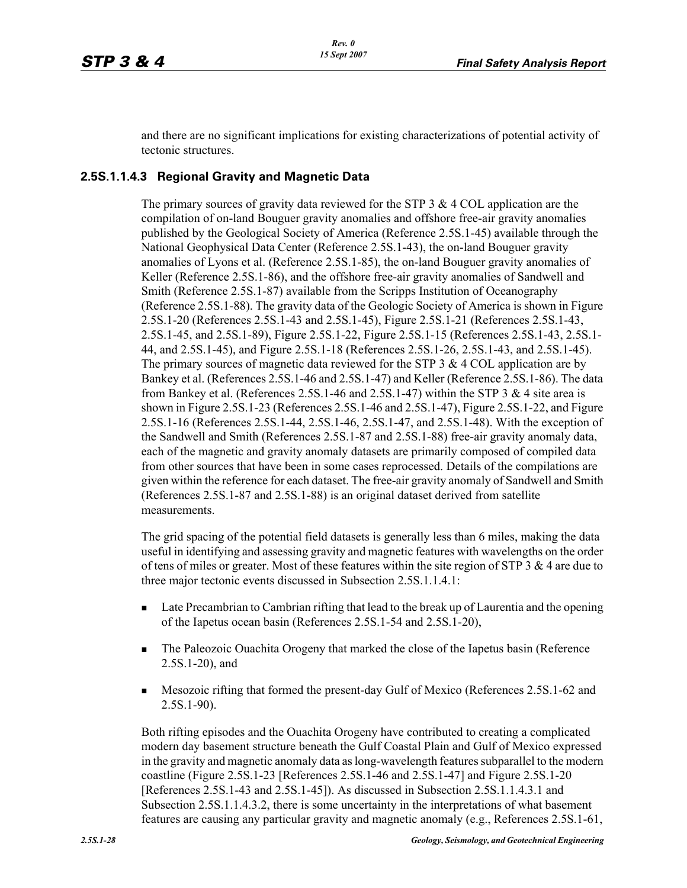and there are no significant implications for existing characterizations of potential activity of tectonic structures.

### **2.5S.1.1.4.3 Regional Gravity and Magnetic Data**

The primary sources of gravity data reviewed for the STP  $3 \& 4 \text{ COL application are the}$ compilation of on-land Bouguer gravity anomalies and offshore free-air gravity anomalies published by the Geological Society of America (Reference 2.5S.1-45) available through the National Geophysical Data Center (Reference 2.5S.1-43), the on-land Bouguer gravity anomalies of Lyons et al. (Reference 2.5S.1-85), the on-land Bouguer gravity anomalies of Keller (Reference 2.5S.1-86), and the offshore free-air gravity anomalies of Sandwell and Smith (Reference 2.5S.1-87) available from the Scripps Institution of Oceanography (Reference 2.5S.1-88). The gravity data of the Geologic Society of America is shown in Figure 2.5S.1-20 (References 2.5S.1-43 and 2.5S.1-45), Figure 2.5S.1-21 (References 2.5S.1-43, 2.5S.1-45, and 2.5S.1-89), Figure 2.5S.1-22, Figure 2.5S.1-15 (References 2.5S.1-43, 2.5S.1- 44, and 2.5S.1-45), and Figure 2.5S.1-18 (References 2.5S.1-26, 2.5S.1-43, and 2.5S.1-45). The primary sources of magnetic data reviewed for the STP  $3 \& 4 \text{ COL application are by }$ Bankey et al. (References 2.5S.1-46 and 2.5S.1-47) and Keller (Reference 2.5S.1-86). The data from Bankey et al. (References 2.5S.1-46 and 2.5S.1-47) within the STP 3 & 4 site area is shown in Figure 2.5S.1-23 (References 2.5S.1-46 and 2.5S.1-47), Figure 2.5S.1-22, and Figure 2.5S.1-16 (References 2.5S.1-44, 2.5S.1-46, 2.5S.1-47, and 2.5S.1-48). With the exception of the Sandwell and Smith (References 2.5S.1-87 and 2.5S.1-88) free-air gravity anomaly data, each of the magnetic and gravity anomaly datasets are primarily composed of compiled data from other sources that have been in some cases reprocessed. Details of the compilations are given within the reference for each dataset. The free-air gravity anomaly of Sandwell and Smith (References 2.5S.1-87 and 2.5S.1-88) is an original dataset derived from satellite measurements.

The grid spacing of the potential field datasets is generally less than 6 miles, making the data useful in identifying and assessing gravity and magnetic features with wavelengths on the order of tens of miles or greater. Most of these features within the site region of STP 3  $\&$  4 are due to three major tectonic events discussed in Subsection 2.5S.1.1.4.1:

- **Late Precambrian to Cambrian rifting that lead to the break up of Laurentia and the opening** of the Iapetus ocean basin (References 2.5S.1-54 and 2.5S.1-20),
- The Paleozoic Ouachita Orogeny that marked the close of the Iapetus basin (Reference 2.5S.1-20), and
- **Mesozoic rifting that formed the present-day Gulf of Mexico (References 2.5S.1-62 and** 2.5S.1-90).

Both rifting episodes and the Ouachita Orogeny have contributed to creating a complicated modern day basement structure beneath the Gulf Coastal Plain and Gulf of Mexico expressed in the gravity and magnetic anomaly data as long-wavelength features subparallel to the modern coastline (Figure 2.5S.1-23 [References 2.5S.1-46 and 2.5S.1-47] and Figure 2.5S.1-20 [References 2.5S.1-43 and 2.5S.1-45]). As discussed in Subsection 2.5S.1.1.4.3.1 and Subsection 2.5S.1.1.4.3.2, there is some uncertainty in the interpretations of what basement features are causing any particular gravity and magnetic anomaly (e.g., References 2.5S.1-61,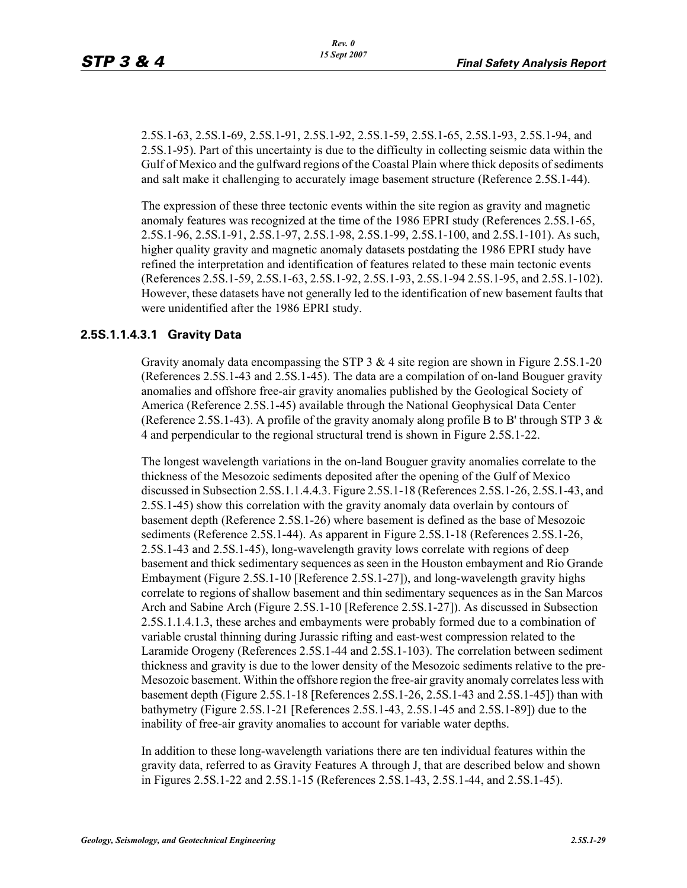2.5S.1-63, 2.5S.1-69, 2.5S.1-91, 2.5S.1-92, 2.5S.1-59, 2.5S.1-65, 2.5S.1-93, 2.5S.1-94, and 2.5S.1-95). Part of this uncertainty is due to the difficulty in collecting seismic data within the Gulf of Mexico and the gulfward regions of the Coastal Plain where thick deposits of sediments and salt make it challenging to accurately image basement structure (Reference 2.5S.1-44).

The expression of these three tectonic events within the site region as gravity and magnetic anomaly features was recognized at the time of the 1986 EPRI study (References 2.5S.1-65, 2.5S.1-96, 2.5S.1-91, 2.5S.1-97, 2.5S.1-98, 2.5S.1-99, 2.5S.1-100, and 2.5S.1-101). As such, higher quality gravity and magnetic anomaly datasets postdating the 1986 EPRI study have refined the interpretation and identification of features related to these main tectonic events (References 2.5S.1-59, 2.5S.1-63, 2.5S.1-92, 2.5S.1-93, 2.5S.1-94 2.5S.1-95, and 2.5S.1-102). However, these datasets have not generally led to the identification of new basement faults that were unidentified after the 1986 EPRI study.

### **2.5S.1.1.4.3.1 Gravity Data**

Gravity anomaly data encompassing the STP  $3 \& 4$  site region are shown in Figure 2.5S.1-20 (References 2.5S.1-43 and 2.5S.1-45). The data are a compilation of on-land Bouguer gravity anomalies and offshore free-air gravity anomalies published by the Geological Society of America (Reference 2.5S.1-45) available through the National Geophysical Data Center (Reference 2.5S.1-43). A profile of the gravity anomaly along profile B to B' through STP 3  $\&$ 4 and perpendicular to the regional structural trend is shown in Figure 2.5S.1-22.

The longest wavelength variations in the on-land Bouguer gravity anomalies correlate to the thickness of the Mesozoic sediments deposited after the opening of the Gulf of Mexico discussed in Subsection 2.5S.1.1.4.4.3. Figure 2.5S.1-18 (References 2.5S.1-26, 2.5S.1-43, and 2.5S.1-45) show this correlation with the gravity anomaly data overlain by contours of basement depth (Reference 2.5S.1-26) where basement is defined as the base of Mesozoic sediments (Reference 2.5S.1-44). As apparent in Figure 2.5S.1-18 (References 2.5S.1-26, 2.5S.1-43 and 2.5S.1-45), long-wavelength gravity lows correlate with regions of deep basement and thick sedimentary sequences as seen in the Houston embayment and Rio Grande Embayment (Figure 2.5S.1-10 [Reference 2.5S.1-27]), and long-wavelength gravity highs correlate to regions of shallow basement and thin sedimentary sequences as in the San Marcos Arch and Sabine Arch (Figure 2.5S.1-10 [Reference 2.5S.1-27]). As discussed in Subsection 2.5S.1.1.4.1.3, these arches and embayments were probably formed due to a combination of variable crustal thinning during Jurassic rifting and east-west compression related to the Laramide Orogeny (References 2.5S.1-44 and 2.5S.1-103). The correlation between sediment thickness and gravity is due to the lower density of the Mesozoic sediments relative to the pre-Mesozoic basement. Within the offshore region the free-air gravity anomaly correlates less with basement depth (Figure 2.5S.1-18 [References 2.5S.1-26, 2.5S.1-43 and 2.5S.1-45]) than with bathymetry (Figure 2.5S.1-21 [References 2.5S.1-43, 2.5S.1-45 and 2.5S.1-89]) due to the inability of free-air gravity anomalies to account for variable water depths.

In addition to these long-wavelength variations there are ten individual features within the gravity data, referred to as Gravity Features A through J, that are described below and shown in Figures 2.5S.1-22 and 2.5S.1-15 (References 2.5S.1-43, 2.5S.1-44, and 2.5S.1-45).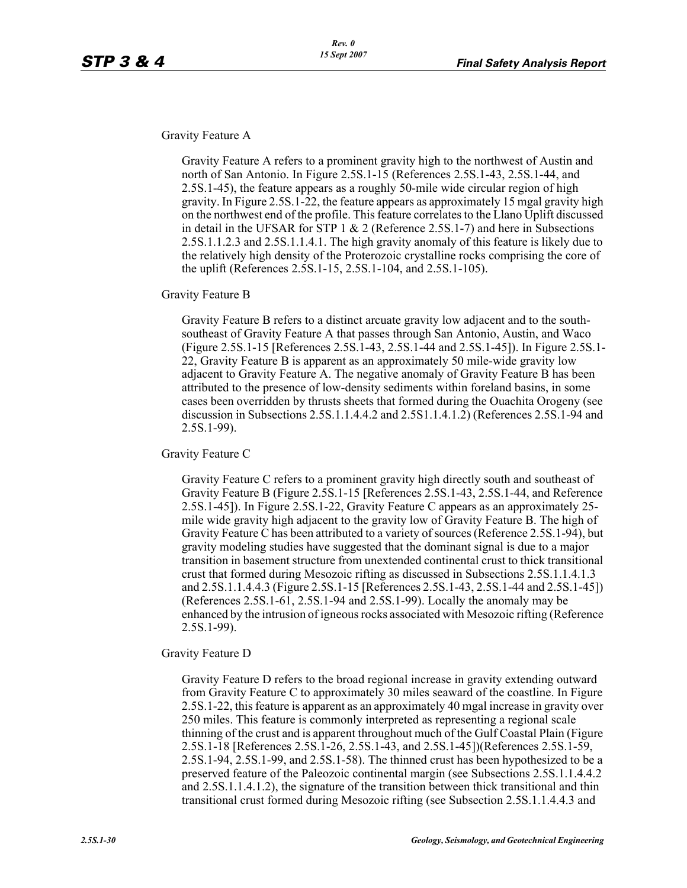Gravity Feature A

Gravity Feature A refers to a prominent gravity high to the northwest of Austin and north of San Antonio. In Figure 2.5S.1-15 (References 2.5S.1-43, 2.5S.1-44, and 2.5S.1-45), the feature appears as a roughly 50-mile wide circular region of high gravity. In Figure 2.5S.1-22, the feature appears as approximately 15 mgal gravity high on the northwest end of the profile. This feature correlates to the Llano Uplift discussed in detail in the UFSAR for STP 1 & 2 (Reference 2.5S.1-7) and here in Subsections 2.5S.1.1.2.3 and 2.5S.1.1.4.1. The high gravity anomaly of this feature is likely due to the relatively high density of the Proterozoic crystalline rocks comprising the core of the uplift (References 2.5S.1-15, 2.5S.1-104, and 2.5S.1-105).

Gravity Feature B

Gravity Feature B refers to a distinct arcuate gravity low adjacent and to the southsoutheast of Gravity Feature A that passes through San Antonio, Austin, and Waco (Figure 2.5S.1-15 [References 2.5S.1-43, 2.5S.1-44 and 2.5S.1-45]). In Figure 2.5S.1- 22, Gravity Feature B is apparent as an approximately 50 mile-wide gravity low adjacent to Gravity Feature A. The negative anomaly of Gravity Feature B has been attributed to the presence of low-density sediments within foreland basins, in some cases been overridden by thrusts sheets that formed during the Ouachita Orogeny (see discussion in Subsections 2.5S.1.1.4.4.2 and 2.5S1.1.4.1.2) (References 2.5S.1-94 and 2.5S.1-99).

Gravity Feature C

Gravity Feature C refers to a prominent gravity high directly south and southeast of Gravity Feature B (Figure 2.5S.1-15 [References 2.5S.1-43, 2.5S.1-44, and Reference 2.5S.1-45]). In Figure 2.5S.1-22, Gravity Feature C appears as an approximately 25 mile wide gravity high adjacent to the gravity low of Gravity Feature B. The high of Gravity Feature C has been attributed to a variety of sources (Reference 2.5S.1-94), but gravity modeling studies have suggested that the dominant signal is due to a major transition in basement structure from unextended continental crust to thick transitional crust that formed during Mesozoic rifting as discussed in Subsections 2.5S.1.1.4.1.3 and 2.5S.1.1.4.4.3 (Figure 2.5S.1-15 [References 2.5S.1-43, 2.5S.1-44 and 2.5S.1-45]) (References 2.5S.1-61, 2.5S.1-94 and 2.5S.1-99). Locally the anomaly may be enhanced by the intrusion of igneous rocks associated with Mesozoic rifting (Reference 2.5S.1-99).

Gravity Feature D

Gravity Feature D refers to the broad regional increase in gravity extending outward from Gravity Feature C to approximately 30 miles seaward of the coastline. In Figure 2.5S.1-22, this feature is apparent as an approximately 40 mgal increase in gravity over 250 miles. This feature is commonly interpreted as representing a regional scale thinning of the crust and is apparent throughout much of the Gulf Coastal Plain (Figure 2.5S.1-18 [References 2.5S.1-26, 2.5S.1-43, and 2.5S.1-45])(References 2.5S.1-59, 2.5S.1-94, 2.5S.1-99, and 2.5S.1-58). The thinned crust has been hypothesized to be a preserved feature of the Paleozoic continental margin (see Subsections 2.5S.1.1.4.4.2 and 2.5S.1.1.4.1.2), the signature of the transition between thick transitional and thin transitional crust formed during Mesozoic rifting (see Subsection 2.5S.1.1.4.4.3 and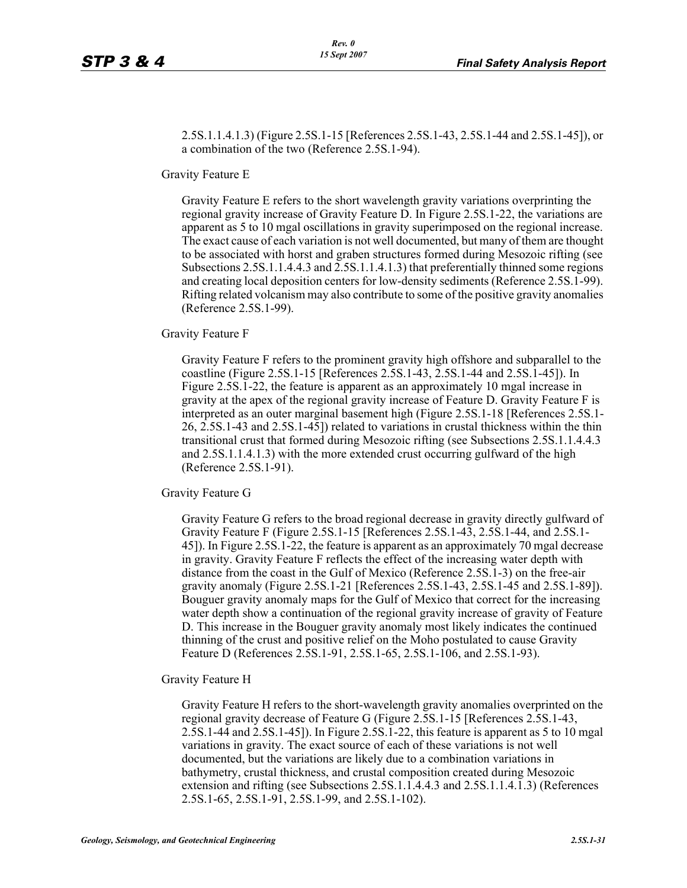2.5S.1.1.4.1.3) (Figure 2.5S.1-15 [References 2.5S.1-43, 2.5S.1-44 and 2.5S.1-45]), or a combination of the two (Reference 2.5S.1-94).

Gravity Feature E

Gravity Feature E refers to the short wavelength gravity variations overprinting the regional gravity increase of Gravity Feature D. In Figure 2.5S.1-22, the variations are apparent as 5 to 10 mgal oscillations in gravity superimposed on the regional increase. The exact cause of each variation is not well documented, but many of them are thought to be associated with horst and graben structures formed during Mesozoic rifting (see Subsections 2.5S.1.1.4.4.3 and 2.5S.1.1.4.1.3) that preferentially thinned some regions and creating local deposition centers for low-density sediments (Reference 2.5S.1-99). Rifting related volcanism may also contribute to some of the positive gravity anomalies (Reference 2.5S.1-99).

Gravity Feature F

Gravity Feature F refers to the prominent gravity high offshore and subparallel to the coastline (Figure 2.5S.1-15 [References 2.5S.1-43, 2.5S.1-44 and 2.5S.1-45]). In Figure 2.5S.1-22, the feature is apparent as an approximately 10 mgal increase in gravity at the apex of the regional gravity increase of Feature D. Gravity Feature F is interpreted as an outer marginal basement high (Figure 2.5S.1-18 [References 2.5S.1- 26, 2.5S.1-43 and 2.5S.1-45]) related to variations in crustal thickness within the thin transitional crust that formed during Mesozoic rifting (see Subsections 2.5S.1.1.4.4.3 and 2.5S.1.1.4.1.3) with the more extended crust occurring gulfward of the high (Reference 2.5S.1-91).

Gravity Feature G

Gravity Feature G refers to the broad regional decrease in gravity directly gulfward of Gravity Feature F (Figure 2.5S.1-15 [References 2.5S.1-43, 2.5S.1-44, and 2.5S.1- 45]). In Figure 2.5S.1-22, the feature is apparent as an approximately 70 mgal decrease in gravity. Gravity Feature F reflects the effect of the increasing water depth with distance from the coast in the Gulf of Mexico (Reference 2.5S.1-3) on the free-air gravity anomaly (Figure 2.5S.1-21 [References 2.5S.1-43, 2.5S.1-45 and 2.5S.1-89]). Bouguer gravity anomaly maps for the Gulf of Mexico that correct for the increasing water depth show a continuation of the regional gravity increase of gravity of Feature D. This increase in the Bouguer gravity anomaly most likely indicates the continued thinning of the crust and positive relief on the Moho postulated to cause Gravity Feature D (References 2.5S.1-91, 2.5S.1-65, 2.5S.1-106, and 2.5S.1-93).

Gravity Feature H

Gravity Feature H refers to the short-wavelength gravity anomalies overprinted on the regional gravity decrease of Feature G (Figure 2.5S.1-15 [References 2.5S.1-43, 2.5S.1-44 and 2.5S.1-45]). In Figure 2.5S.1-22, this feature is apparent as 5 to 10 mgal variations in gravity. The exact source of each of these variations is not well documented, but the variations are likely due to a combination variations in bathymetry, crustal thickness, and crustal composition created during Mesozoic extension and rifting (see Subsections 2.5S.1.1.4.4.3 and 2.5S.1.1.4.1.3) (References 2.5S.1-65, 2.5S.1-91, 2.5S.1-99, and 2.5S.1-102).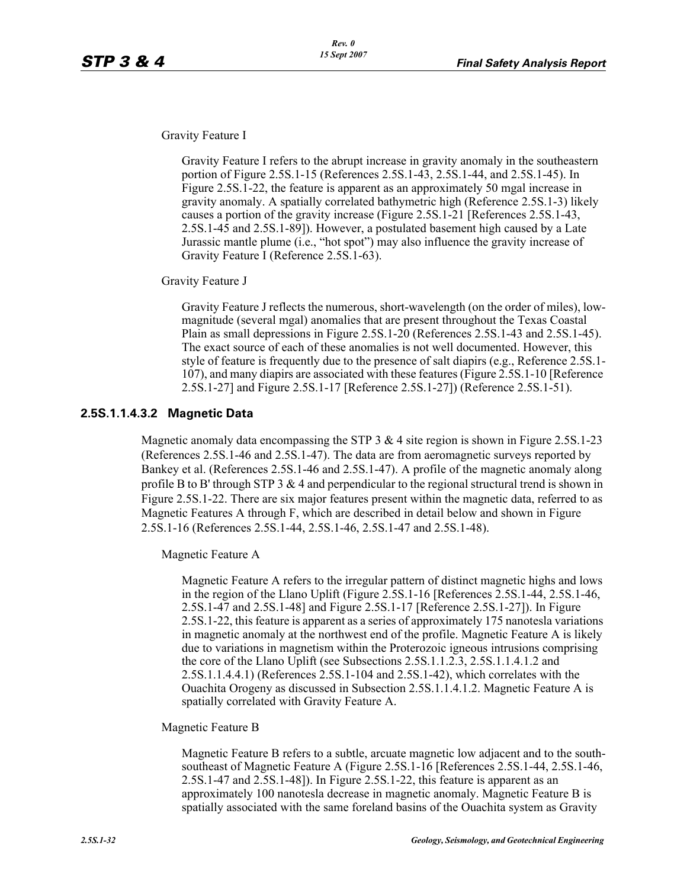Gravity Feature I

Gravity Feature I refers to the abrupt increase in gravity anomaly in the southeastern portion of Figure 2.5S.1-15 (References 2.5S.1-43, 2.5S.1-44, and 2.5S.1-45). In Figure 2.5S.1-22, the feature is apparent as an approximately 50 mgal increase in gravity anomaly. A spatially correlated bathymetric high (Reference 2.5S.1-3) likely causes a portion of the gravity increase (Figure 2.5S.1-21 [References 2.5S.1-43, 2.5S.1-45 and 2.5S.1-89]). However, a postulated basement high caused by a Late Jurassic mantle plume (i.e., "hot spot") may also influence the gravity increase of Gravity Feature I (Reference 2.5S.1-63).

Gravity Feature J

Gravity Feature J reflects the numerous, short-wavelength (on the order of miles), lowmagnitude (several mgal) anomalies that are present throughout the Texas Coastal Plain as small depressions in Figure 2.5S.1-20 (References 2.5S.1-43 and 2.5S.1-45). The exact source of each of these anomalies is not well documented. However, this style of feature is frequently due to the presence of salt diapirs (e.g., Reference 2.5S.1- 107), and many diapirs are associated with these features (Figure 2.5S.1-10 [Reference 2.5S.1-27] and Figure 2.5S.1-17 [Reference 2.5S.1-27]) (Reference 2.5S.1-51).

### **2.5S.1.1.4.3.2 Magnetic Data**

Magnetic anomaly data encompassing the STP 3  $\&$  4 site region is shown in Figure 2.5S.1-23 (References 2.5S.1-46 and 2.5S.1-47). The data are from aeromagnetic surveys reported by Bankey et al. (References 2.5S.1-46 and 2.5S.1-47). A profile of the magnetic anomaly along profile B to B' through STP  $3 \& 4$  and perpendicular to the regional structural trend is shown in Figure 2.5S.1-22. There are six major features present within the magnetic data, referred to as Magnetic Features A through F, which are described in detail below and shown in Figure 2.5S.1-16 (References 2.5S.1-44, 2.5S.1-46, 2.5S.1-47 and 2.5S.1-48).

Magnetic Feature A

Magnetic Feature A refers to the irregular pattern of distinct magnetic highs and lows in the region of the Llano Uplift (Figure 2.5S.1-16 [References 2.5S.1-44, 2.5S.1-46, 2.5S.1-47 and 2.5S.1-48] and Figure 2.5S.1-17 [Reference 2.5S.1-27]). In Figure 2.5S.1-22, this feature is apparent as a series of approximately 175 nanotesla variations in magnetic anomaly at the northwest end of the profile. Magnetic Feature A is likely due to variations in magnetism within the Proterozoic igneous intrusions comprising the core of the Llano Uplift (see Subsections 2.5S.1.1.2.3, 2.5S.1.1.4.1.2 and 2.5S.1.1.4.4.1) (References 2.5S.1-104 and 2.5S.1-42), which correlates with the Ouachita Orogeny as discussed in Subsection 2.5S.1.1.4.1.2. Magnetic Feature A is spatially correlated with Gravity Feature A.

#### Magnetic Feature B

Magnetic Feature B refers to a subtle, arcuate magnetic low adjacent and to the southsoutheast of Magnetic Feature A (Figure 2.5S.1-16 [References 2.5S.1-44, 2.5S.1-46, 2.5S.1-47 and 2.5S.1-48]). In Figure 2.5S.1-22, this feature is apparent as an approximately 100 nanotesla decrease in magnetic anomaly. Magnetic Feature B is spatially associated with the same foreland basins of the Ouachita system as Gravity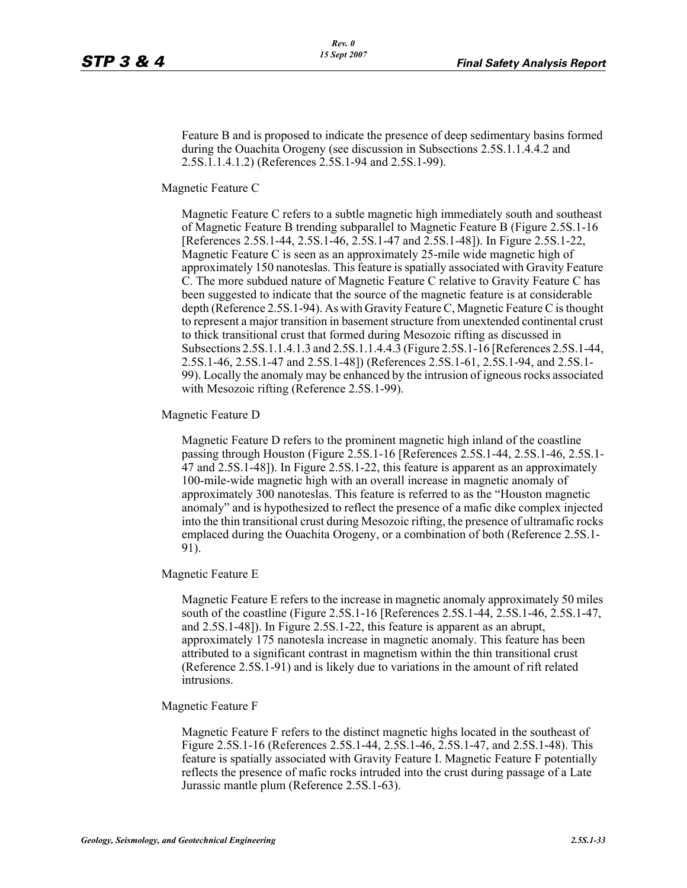Feature B and is proposed to indicate the presence of deep sedimentary basins formed during the Ouachita Orogeny (see discussion in Subsections 2.5S.1.1.4.4.2 and 2.5S.1.1.4.1.2) (References 2.5S.1-94 and 2.5S.1-99).

Magnetic Feature C

Magnetic Feature C refers to a subtle magnetic high immediately south and southeast of Magnetic Feature B trending subparallel to Magnetic Feature B (Figure 2.5S.1-16 [References 2.5S.1-44, 2.5S.1-46, 2.5S.1-47 and 2.5S.1-48]). In Figure 2.5S.1-22, Magnetic Feature C is seen as an approximately 25-mile wide magnetic high of approximately 150 nanoteslas. This feature is spatially associated with Gravity Feature C. The more subdued nature of Magnetic Feature C relative to Gravity Feature C has been suggested to indicate that the source of the magnetic feature is at considerable depth (Reference 2.5S.1-94). As with Gravity Feature C, Magnetic Feature C is thought to represent a major transition in basement structure from unextended continental crust to thick transitional crust that formed during Mesozoic rifting as discussed in Subsections 2.5S.1.1.4.1.3 and 2.5S.1.1.4.4.3 (Figure 2.5S.1-16 [References 2.5S.1-44, 2.5S.1-46, 2.5S.1-47 and 2.5S.1-48]) (References 2.5S.1-61, 2.5S.1-94, and 2.5S.1- 99). Locally the anomaly may be enhanced by the intrusion of igneous rocks associated with Mesozoic rifting (Reference 2.5S.1-99).

Magnetic Feature D

Magnetic Feature D refers to the prominent magnetic high inland of the coastline passing through Houston (Figure 2.5S.1-16 [References 2.5S.1-44, 2.5S.1-46, 2.5S.1- 47 and 2.5S.1-48]). In Figure 2.5S.1-22, this feature is apparent as an approximately 100-mile-wide magnetic high with an overall increase in magnetic anomaly of approximately 300 nanoteslas. This feature is referred to as the "Houston magnetic anomaly" and is hypothesized to reflect the presence of a mafic dike complex injected into the thin transitional crust during Mesozoic rifting, the presence of ultramafic rocks emplaced during the Ouachita Orogeny, or a combination of both (Reference 2.5S.1- 91).

Magnetic Feature E

Magnetic Feature E refers to the increase in magnetic anomaly approximately 50 miles south of the coastline (Figure 2.5S.1-16 [References 2.5S.1-44, 2.5S.1-46, 2.5S.1-47, and 2.5S.1-48]). In Figure 2.5S.1-22, this feature is apparent as an abrupt, approximately 175 nanotesla increase in magnetic anomaly. This feature has been attributed to a significant contrast in magnetism within the thin transitional crust (Reference 2.5S.1-91) and is likely due to variations in the amount of rift related intrusions.

#### Magnetic Feature F

Magnetic Feature F refers to the distinct magnetic highs located in the southeast of Figure 2.5S.1-16 (References 2.5S.1-44, 2.5S.1-46, 2.5S.1-47, and 2.5S.1-48). This feature is spatially associated with Gravity Feature I. Magnetic Feature F potentially reflects the presence of mafic rocks intruded into the crust during passage of a Late Jurassic mantle plum (Reference 2.5S.1-63).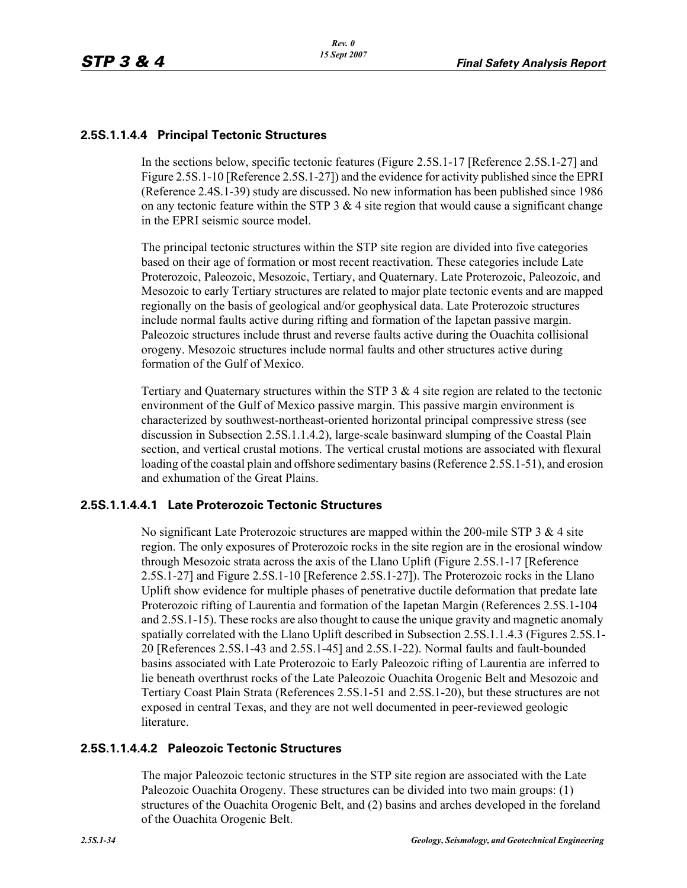### **2.5S.1.1.4.4 Principal Tectonic Structures**

In the sections below, specific tectonic features (Figure 2.5S.1-17 [Reference 2.5S.1-27] and Figure 2.5S.1-10 [Reference 2.5S.1-27]) and the evidence for activity published since the EPRI (Reference 2.4S.1-39) study are discussed. No new information has been published since 1986 on any tectonic feature within the STP 3  $\&$  4 site region that would cause a significant change in the EPRI seismic source model.

The principal tectonic structures within the STP site region are divided into five categories based on their age of formation or most recent reactivation. These categories include Late Proterozoic, Paleozoic, Mesozoic, Tertiary, and Quaternary. Late Proterozoic, Paleozoic, and Mesozoic to early Tertiary structures are related to major plate tectonic events and are mapped regionally on the basis of geological and/or geophysical data. Late Proterozoic structures include normal faults active during rifting and formation of the Iapetan passive margin. Paleozoic structures include thrust and reverse faults active during the Ouachita collisional orogeny. Mesozoic structures include normal faults and other structures active during formation of the Gulf of Mexico.

Tertiary and Quaternary structures within the STP  $3 \& 4$  site region are related to the tectonic environment of the Gulf of Mexico passive margin. This passive margin environment is characterized by southwest-northeast-oriented horizontal principal compressive stress (see discussion in Subsection 2.5S.1.1.4.2), large-scale basinward slumping of the Coastal Plain section, and vertical crustal motions. The vertical crustal motions are associated with flexural loading of the coastal plain and offshore sedimentary basins (Reference 2.5S.1-51), and erosion and exhumation of the Great Plains.

### **2.5S.1.1.4.4.1 Late Proterozoic Tectonic Structures**

No significant Late Proterozoic structures are mapped within the 200-mile STP  $3 \& 4$  site region. The only exposures of Proterozoic rocks in the site region are in the erosional window through Mesozoic strata across the axis of the Llano Uplift (Figure 2.5S.1-17 [Reference 2.5S.1-27] and Figure 2.5S.1-10 [Reference 2.5S.1-27]). The Proterozoic rocks in the Llano Uplift show evidence for multiple phases of penetrative ductile deformation that predate late Proterozoic rifting of Laurentia and formation of the Iapetan Margin (References 2.5S.1-104 and 2.5S.1-15). These rocks are also thought to cause the unique gravity and magnetic anomaly spatially correlated with the Llano Uplift described in Subsection 2.5S.1.1.4.3 (Figures 2.5S.1- 20 [References 2.5S.1-43 and 2.5S.1-45] and 2.5S.1-22). Normal faults and fault-bounded basins associated with Late Proterozoic to Early Paleozoic rifting of Laurentia are inferred to lie beneath overthrust rocks of the Late Paleozoic Ouachita Orogenic Belt and Mesozoic and Tertiary Coast Plain Strata (References 2.5S.1-51 and 2.5S.1-20), but these structures are not exposed in central Texas, and they are not well documented in peer-reviewed geologic literature.

#### **2.5S.1.1.4.4.2 Paleozoic Tectonic Structures**

The major Paleozoic tectonic structures in the STP site region are associated with the Late Paleozoic Ouachita Orogeny. These structures can be divided into two main groups: (1) structures of the Ouachita Orogenic Belt, and (2) basins and arches developed in the foreland of the Ouachita Orogenic Belt.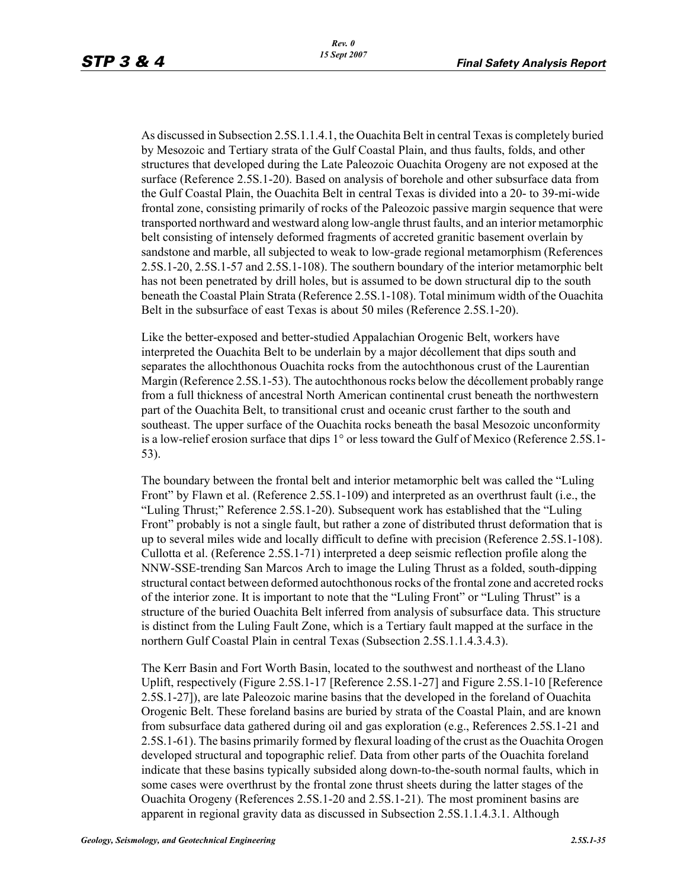As discussed in Subsection 2.5S.1.1.4.1, the Ouachita Belt in central Texas is completely buried by Mesozoic and Tertiary strata of the Gulf Coastal Plain, and thus faults, folds, and other structures that developed during the Late Paleozoic Ouachita Orogeny are not exposed at the surface (Reference 2.5S.1-20). Based on analysis of borehole and other subsurface data from the Gulf Coastal Plain, the Ouachita Belt in central Texas is divided into a 20- to 39-mi-wide frontal zone, consisting primarily of rocks of the Paleozoic passive margin sequence that were transported northward and westward along low-angle thrust faults, and an interior metamorphic belt consisting of intensely deformed fragments of accreted granitic basement overlain by sandstone and marble, all subjected to weak to low-grade regional metamorphism (References 2.5S.1-20, 2.5S.1-57 and 2.5S.1-108). The southern boundary of the interior metamorphic belt has not been penetrated by drill holes, but is assumed to be down structural dip to the south beneath the Coastal Plain Strata (Reference 2.5S.1-108). Total minimum width of the Ouachita Belt in the subsurface of east Texas is about 50 miles (Reference 2.5S.1-20).

Like the better-exposed and better-studied Appalachian Orogenic Belt, workers have interpreted the Ouachita Belt to be underlain by a major décollement that dips south and separates the allochthonous Ouachita rocks from the autochthonous crust of the Laurentian Margin (Reference 2.5S.1-53). The autochthonous rocks below the décollement probably range from a full thickness of ancestral North American continental crust beneath the northwestern part of the Ouachita Belt, to transitional crust and oceanic crust farther to the south and southeast. The upper surface of the Ouachita rocks beneath the basal Mesozoic unconformity is a low-relief erosion surface that dips 1° or less toward the Gulf of Mexico (Reference 2.5S.1- 53).

The boundary between the frontal belt and interior metamorphic belt was called the "Luling Front" by Flawn et al. (Reference 2.5S.1-109) and interpreted as an overthrust fault (i.e., the "Luling Thrust;" Reference 2.5S.1-20). Subsequent work has established that the "Luling Front" probably is not a single fault, but rather a zone of distributed thrust deformation that is up to several miles wide and locally difficult to define with precision (Reference 2.5S.1-108). Cullotta et al. (Reference 2.5S.1-71) interpreted a deep seismic reflection profile along the NNW-SSE-trending San Marcos Arch to image the Luling Thrust as a folded, south-dipping structural contact between deformed autochthonous rocks of the frontal zone and accreted rocks of the interior zone. It is important to note that the "Luling Front" or "Luling Thrust" is a structure of the buried Ouachita Belt inferred from analysis of subsurface data. This structure is distinct from the Luling Fault Zone, which is a Tertiary fault mapped at the surface in the northern Gulf Coastal Plain in central Texas (Subsection 2.5S.1.1.4.3.4.3).

The Kerr Basin and Fort Worth Basin, located to the southwest and northeast of the Llano Uplift, respectively (Figure 2.5S.1-17 [Reference 2.5S.1-27] and Figure 2.5S.1-10 [Reference 2.5S.1-27]), are late Paleozoic marine basins that the developed in the foreland of Ouachita Orogenic Belt. These foreland basins are buried by strata of the Coastal Plain, and are known from subsurface data gathered during oil and gas exploration (e.g., References 2.5S.1-21 and 2.5S.1-61). The basins primarily formed by flexural loading of the crust as the Ouachita Orogen developed structural and topographic relief. Data from other parts of the Ouachita foreland indicate that these basins typically subsided along down-to-the-south normal faults, which in some cases were overthrust by the frontal zone thrust sheets during the latter stages of the Ouachita Orogeny (References 2.5S.1-20 and 2.5S.1-21). The most prominent basins are apparent in regional gravity data as discussed in Subsection 2.5S.1.1.4.3.1. Although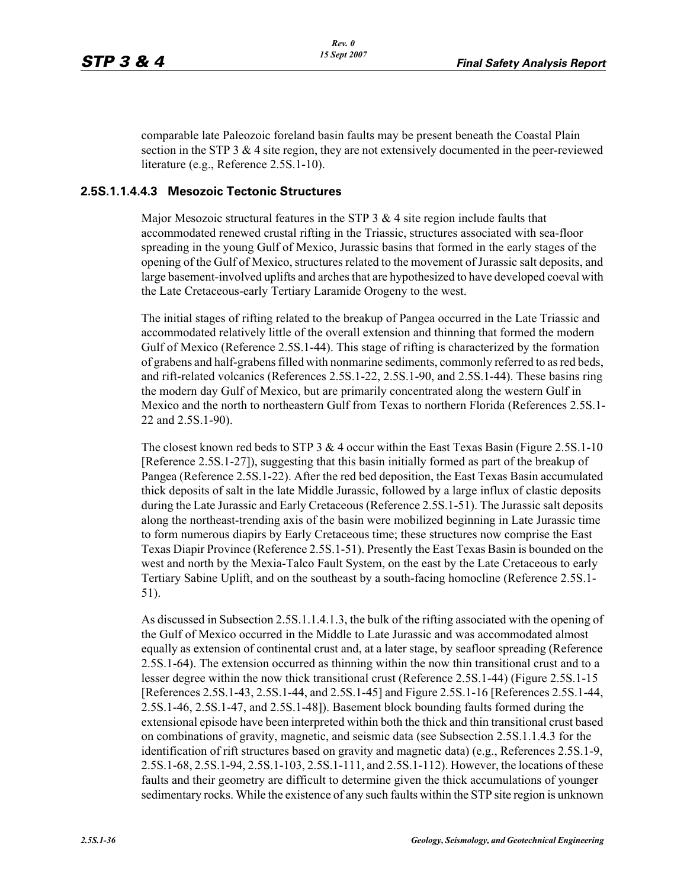comparable late Paleozoic foreland basin faults may be present beneath the Coastal Plain section in the STP 3  $\&$  4 site region, they are not extensively documented in the peer-reviewed literature (e.g., Reference 2.5S.1-10).

### **2.5S.1.1.4.4.3 Mesozoic Tectonic Structures**

Major Mesozoic structural features in the STP  $3 \& 4$  site region include faults that accommodated renewed crustal rifting in the Triassic, structures associated with sea-floor spreading in the young Gulf of Mexico, Jurassic basins that formed in the early stages of the opening of the Gulf of Mexico, structures related to the movement of Jurassic salt deposits, and large basement-involved uplifts and arches that are hypothesized to have developed coeval with the Late Cretaceous-early Tertiary Laramide Orogeny to the west.

The initial stages of rifting related to the breakup of Pangea occurred in the Late Triassic and accommodated relatively little of the overall extension and thinning that formed the modern Gulf of Mexico (Reference 2.5S.1-44). This stage of rifting is characterized by the formation of grabens and half-grabens filled with nonmarine sediments, commonly referred to as red beds, and rift-related volcanics (References 2.5S.1-22, 2.5S.1-90, and 2.5S.1-44). These basins ring the modern day Gulf of Mexico, but are primarily concentrated along the western Gulf in Mexico and the north to northeastern Gulf from Texas to northern Florida (References 2.5S.1- 22 and 2.5S.1-90).

The closest known red beds to STP 3  $&$  4 occur within the East Texas Basin (Figure 2.5S.1-10) [Reference 2.5S.1-27]), suggesting that this basin initially formed as part of the breakup of Pangea (Reference 2.5S.1-22). After the red bed deposition, the East Texas Basin accumulated thick deposits of salt in the late Middle Jurassic, followed by a large influx of clastic deposits during the Late Jurassic and Early Cretaceous (Reference 2.5S.1-51). The Jurassic salt deposits along the northeast-trending axis of the basin were mobilized beginning in Late Jurassic time to form numerous diapirs by Early Cretaceous time; these structures now comprise the East Texas Diapir Province (Reference 2.5S.1-51). Presently the East Texas Basin is bounded on the west and north by the Mexia-Talco Fault System, on the east by the Late Cretaceous to early Tertiary Sabine Uplift, and on the southeast by a south-facing homocline (Reference 2.5S.1- 51).

As discussed in Subsection 2.5S.1.1.4.1.3, the bulk of the rifting associated with the opening of the Gulf of Mexico occurred in the Middle to Late Jurassic and was accommodated almost equally as extension of continental crust and, at a later stage, by seafloor spreading (Reference 2.5S.1-64). The extension occurred as thinning within the now thin transitional crust and to a lesser degree within the now thick transitional crust (Reference 2.5S.1-44) (Figure 2.5S.1-15 [References 2.5S.1-43, 2.5S.1-44, and 2.5S.1-45] and Figure 2.5S.1-16 [References 2.5S.1-44, 2.5S.1-46, 2.5S.1-47, and 2.5S.1-48]). Basement block bounding faults formed during the extensional episode have been interpreted within both the thick and thin transitional crust based on combinations of gravity, magnetic, and seismic data (see Subsection 2.5S.1.1.4.3 for the identification of rift structures based on gravity and magnetic data) (e.g., References 2.5S.1-9, 2.5S.1-68, 2.5S.1-94, 2.5S.1-103, 2.5S.1-111, and 2.5S.1-112). However, the locations of these faults and their geometry are difficult to determine given the thick accumulations of younger sedimentary rocks. While the existence of any such faults within the STP site region is unknown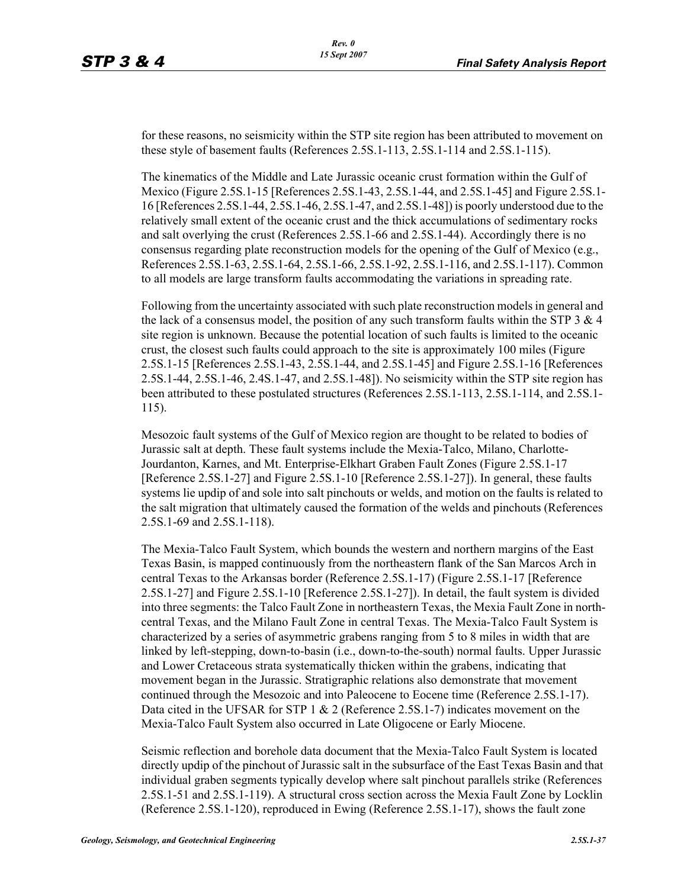for these reasons, no seismicity within the STP site region has been attributed to movement on these style of basement faults (References 2.5S.1-113, 2.5S.1-114 and 2.5S.1-115).

The kinematics of the Middle and Late Jurassic oceanic crust formation within the Gulf of Mexico (Figure 2.5S.1-15 [References 2.5S.1-43, 2.5S.1-44, and 2.5S.1-45] and Figure 2.5S.1- 16 [References 2.5S.1-44, 2.5S.1-46, 2.5S.1-47, and 2.5S.1-48]) is poorly understood due to the relatively small extent of the oceanic crust and the thick accumulations of sedimentary rocks and salt overlying the crust (References 2.5S.1-66 and 2.5S.1-44). Accordingly there is no consensus regarding plate reconstruction models for the opening of the Gulf of Mexico (e.g., References 2.5S.1-63, 2.5S.1-64, 2.5S.1-66, 2.5S.1-92, 2.5S.1-116, and 2.5S.1-117). Common to all models are large transform faults accommodating the variations in spreading rate.

Following from the uncertainty associated with such plate reconstruction models in general and the lack of a consensus model, the position of any such transform faults within the STP  $3 & 4$ site region is unknown. Because the potential location of such faults is limited to the oceanic crust, the closest such faults could approach to the site is approximately 100 miles (Figure 2.5S.1-15 [References 2.5S.1-43, 2.5S.1-44, and 2.5S.1-45] and Figure 2.5S.1-16 [References 2.5S.1-44, 2.5S.1-46, 2.4S.1-47, and 2.5S.1-48]). No seismicity within the STP site region has been attributed to these postulated structures (References 2.5S.1-113, 2.5S.1-114, and 2.5S.1- 115).

Mesozoic fault systems of the Gulf of Mexico region are thought to be related to bodies of Jurassic salt at depth. These fault systems include the Mexia-Talco, Milano, Charlotte-Jourdanton, Karnes, and Mt. Enterprise-Elkhart Graben Fault Zones (Figure 2.5S.1-17 [Reference 2.5S.1-27] and Figure 2.5S.1-10 [Reference 2.5S.1-27]). In general, these faults systems lie updip of and sole into salt pinchouts or welds, and motion on the faults is related to the salt migration that ultimately caused the formation of the welds and pinchouts (References 2.5S.1-69 and 2.5S.1-118).

The Mexia-Talco Fault System, which bounds the western and northern margins of the East Texas Basin, is mapped continuously from the northeastern flank of the San Marcos Arch in central Texas to the Arkansas border (Reference 2.5S.1-17) (Figure 2.5S.1-17 [Reference 2.5S.1-27] and Figure 2.5S.1-10 [Reference 2.5S.1-27]). In detail, the fault system is divided into three segments: the Talco Fault Zone in northeastern Texas, the Mexia Fault Zone in northcentral Texas, and the Milano Fault Zone in central Texas. The Mexia-Talco Fault System is characterized by a series of asymmetric grabens ranging from 5 to 8 miles in width that are linked by left-stepping, down-to-basin (i.e., down-to-the-south) normal faults. Upper Jurassic and Lower Cretaceous strata systematically thicken within the grabens, indicating that movement began in the Jurassic. Stratigraphic relations also demonstrate that movement continued through the Mesozoic and into Paleocene to Eocene time (Reference 2.5S.1-17). Data cited in the UFSAR for STP 1 & 2 (Reference 2.5S.1-7) indicates movement on the Mexia-Talco Fault System also occurred in Late Oligocene or Early Miocene.

Seismic reflection and borehole data document that the Mexia-Talco Fault System is located directly updip of the pinchout of Jurassic salt in the subsurface of the East Texas Basin and that individual graben segments typically develop where salt pinchout parallels strike (References 2.5S.1-51 and 2.5S.1-119). A structural cross section across the Mexia Fault Zone by Locklin (Reference 2.5S.1-120), reproduced in Ewing (Reference 2.5S.1-17), shows the fault zone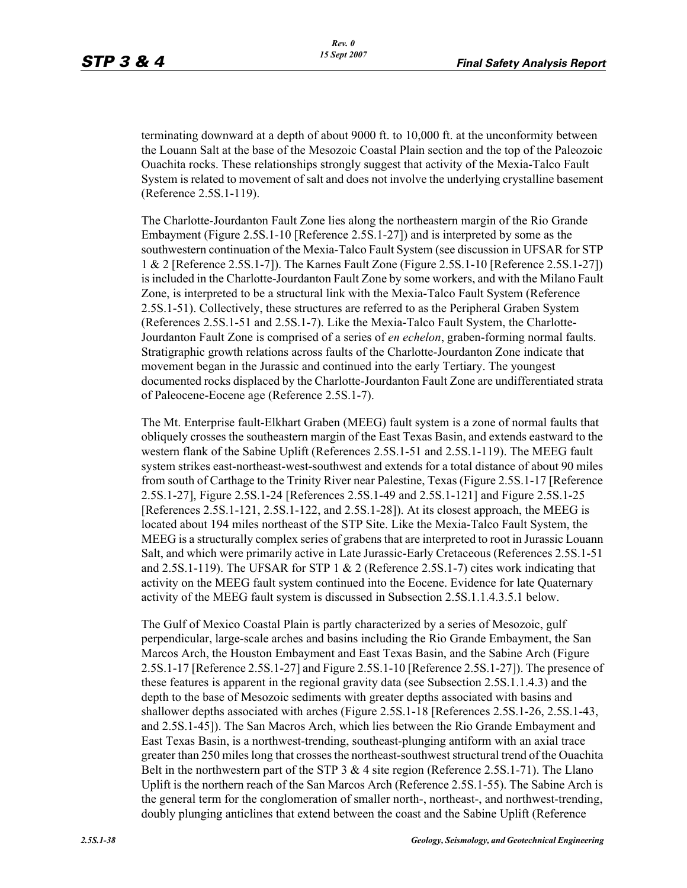terminating downward at a depth of about 9000 ft. to 10,000 ft. at the unconformity between the Louann Salt at the base of the Mesozoic Coastal Plain section and the top of the Paleozoic Ouachita rocks. These relationships strongly suggest that activity of the Mexia-Talco Fault System is related to movement of salt and does not involve the underlying crystalline basement (Reference 2.5S.1-119).

The Charlotte-Jourdanton Fault Zone lies along the northeastern margin of the Rio Grande Embayment (Figure 2.5S.1-10 [Reference 2.5S.1-27]) and is interpreted by some as the southwestern continuation of the Mexia-Talco Fault System (see discussion in UFSAR for STP 1 & 2 [Reference 2.5S.1-7]). The Karnes Fault Zone (Figure 2.5S.1-10 [Reference 2.5S.1-27]) is included in the Charlotte-Jourdanton Fault Zone by some workers, and with the Milano Fault Zone, is interpreted to be a structural link with the Mexia-Talco Fault System (Reference 2.5S.1-51). Collectively, these structures are referred to as the Peripheral Graben System (References 2.5S.1-51 and 2.5S.1-7). Like the Mexia-Talco Fault System, the Charlotte-Jourdanton Fault Zone is comprised of a series of *en echelon*, graben-forming normal faults. Stratigraphic growth relations across faults of the Charlotte-Jourdanton Zone indicate that movement began in the Jurassic and continued into the early Tertiary. The youngest documented rocks displaced by the Charlotte-Jourdanton Fault Zone are undifferentiated strata of Paleocene-Eocene age (Reference 2.5S.1-7).

The Mt. Enterprise fault-Elkhart Graben (MEEG) fault system is a zone of normal faults that obliquely crosses the southeastern margin of the East Texas Basin, and extends eastward to the western flank of the Sabine Uplift (References 2.5S.1-51 and 2.5S.1-119). The MEEG fault system strikes east-northeast-west-southwest and extends for a total distance of about 90 miles from south of Carthage to the Trinity River near Palestine, Texas (Figure 2.5S.1-17 [Reference 2.5S.1-27], Figure 2.5S.1-24 [References 2.5S.1-49 and 2.5S.1-121] and Figure 2.5S.1-25 [References 2.5S.1-121, 2.5S.1-122, and 2.5S.1-28]). At its closest approach, the MEEG is located about 194 miles northeast of the STP Site. Like the Mexia-Talco Fault System, the MEEG is a structurally complex series of grabens that are interpreted to root in Jurassic Louann Salt, and which were primarily active in Late Jurassic-Early Cretaceous (References 2.5S.1-51 and 2.5S.1-119). The UFSAR for STP 1 & 2 (Reference 2.5S.1-7) cites work indicating that activity on the MEEG fault system continued into the Eocene. Evidence for late Quaternary activity of the MEEG fault system is discussed in Subsection 2.5S.1.1.4.3.5.1 below.

The Gulf of Mexico Coastal Plain is partly characterized by a series of Mesozoic, gulf perpendicular, large-scale arches and basins including the Rio Grande Embayment, the San Marcos Arch, the Houston Embayment and East Texas Basin, and the Sabine Arch (Figure 2.5S.1-17 [Reference 2.5S.1-27] and Figure 2.5S.1-10 [Reference 2.5S.1-27]). The presence of these features is apparent in the regional gravity data (see Subsection 2.5S.1.1.4.3) and the depth to the base of Mesozoic sediments with greater depths associated with basins and shallower depths associated with arches (Figure 2.5S.1-18 [References 2.5S.1-26, 2.5S.1-43, and 2.5S.1-45]). The San Macros Arch, which lies between the Rio Grande Embayment and East Texas Basin, is a northwest-trending, southeast-plunging antiform with an axial trace greater than 250 miles long that crosses the northeast-southwest structural trend of the Ouachita Belt in the northwestern part of the STP 3 & 4 site region (Reference 2.5S.1-71). The Llano Uplift is the northern reach of the San Marcos Arch (Reference 2.5S.1-55). The Sabine Arch is the general term for the conglomeration of smaller north-, northeast-, and northwest-trending, doubly plunging anticlines that extend between the coast and the Sabine Uplift (Reference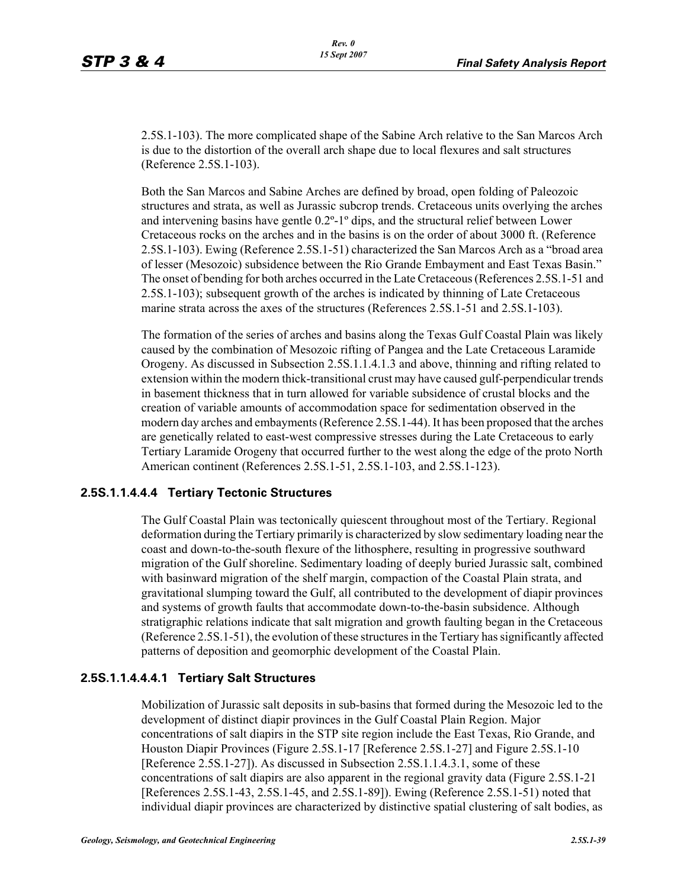2.5S.1-103). The more complicated shape of the Sabine Arch relative to the San Marcos Arch is due to the distortion of the overall arch shape due to local flexures and salt structures (Reference 2.5S.1-103).

Both the San Marcos and Sabine Arches are defined by broad, open folding of Paleozoic structures and strata, as well as Jurassic subcrop trends. Cretaceous units overlying the arches and intervening basins have gentle 0.2º-1º dips, and the structural relief between Lower Cretaceous rocks on the arches and in the basins is on the order of about 3000 ft. (Reference 2.5S.1-103). Ewing (Reference 2.5S.1-51) characterized the San Marcos Arch as a "broad area of lesser (Mesozoic) subsidence between the Rio Grande Embayment and East Texas Basin." The onset of bending for both arches occurred in the Late Cretaceous (References 2.5S.1-51 and 2.5S.1-103); subsequent growth of the arches is indicated by thinning of Late Cretaceous marine strata across the axes of the structures (References 2.5S.1-51 and 2.5S.1-103).

The formation of the series of arches and basins along the Texas Gulf Coastal Plain was likely caused by the combination of Mesozoic rifting of Pangea and the Late Cretaceous Laramide Orogeny. As discussed in Subsection 2.5S.1.1.4.1.3 and above, thinning and rifting related to extension within the modern thick-transitional crust may have caused gulf-perpendicular trends in basement thickness that in turn allowed for variable subsidence of crustal blocks and the creation of variable amounts of accommodation space for sedimentation observed in the modern day arches and embayments (Reference 2.5S.1-44). It has been proposed that the arches are genetically related to east-west compressive stresses during the Late Cretaceous to early Tertiary Laramide Orogeny that occurred further to the west along the edge of the proto North American continent (References 2.5S.1-51, 2.5S.1-103, and 2.5S.1-123).

#### **2.5S.1.1.4.4.4 Tertiary Tectonic Structures**

The Gulf Coastal Plain was tectonically quiescent throughout most of the Tertiary. Regional deformation during the Tertiary primarily is characterized by slow sedimentary loading near the coast and down-to-the-south flexure of the lithosphere, resulting in progressive southward migration of the Gulf shoreline. Sedimentary loading of deeply buried Jurassic salt, combined with basinward migration of the shelf margin, compaction of the Coastal Plain strata, and gravitational slumping toward the Gulf, all contributed to the development of diapir provinces and systems of growth faults that accommodate down-to-the-basin subsidence. Although stratigraphic relations indicate that salt migration and growth faulting began in the Cretaceous (Reference 2.5S.1-51), the evolution of these structures in the Tertiary has significantly affected patterns of deposition and geomorphic development of the Coastal Plain.

#### **2.5S.1.1.4.4.4.1 Tertiary Salt Structures**

Mobilization of Jurassic salt deposits in sub-basins that formed during the Mesozoic led to the development of distinct diapir provinces in the Gulf Coastal Plain Region. Major concentrations of salt diapirs in the STP site region include the East Texas, Rio Grande, and Houston Diapir Provinces (Figure 2.5S.1-17 [Reference 2.5S.1-27] and Figure 2.5S.1-10 [Reference 2.5S.1-27]). As discussed in Subsection 2.5S.1.1.4.3.1, some of these concentrations of salt diapirs are also apparent in the regional gravity data (Figure 2.5S.1-21 [References 2.5S.1-43, 2.5S.1-45, and 2.5S.1-89]). Ewing (Reference 2.5S.1-51) noted that individual diapir provinces are characterized by distinctive spatial clustering of salt bodies, as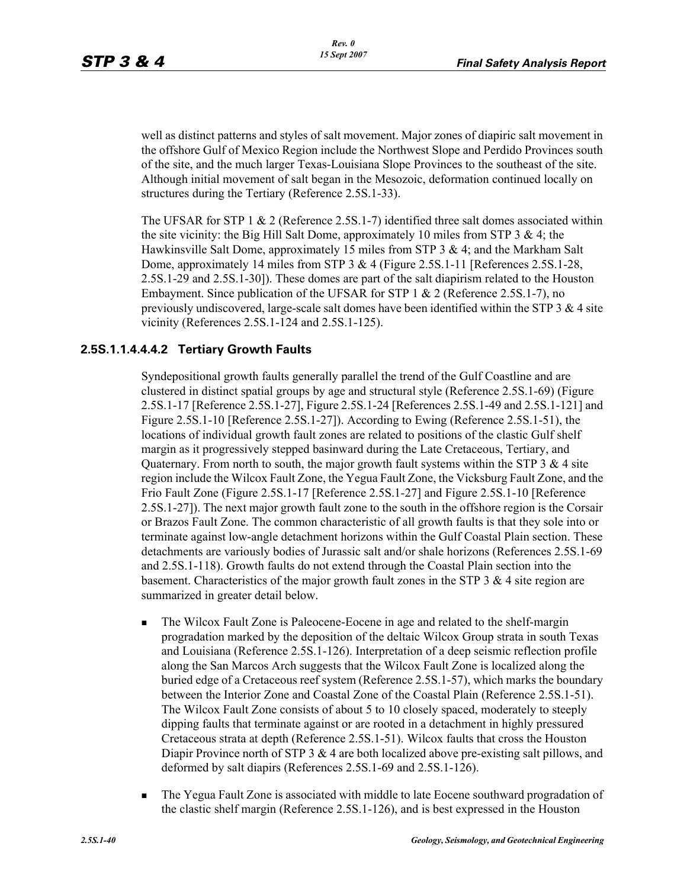well as distinct patterns and styles of salt movement. Major zones of diapiric salt movement in the offshore Gulf of Mexico Region include the Northwest Slope and Perdido Provinces south of the site, and the much larger Texas-Louisiana Slope Provinces to the southeast of the site. Although initial movement of salt began in the Mesozoic, deformation continued locally on structures during the Tertiary (Reference 2.5S.1-33).

The UFSAR for STP 1 & 2 (Reference 2.5S.1-7) identified three salt domes associated within the site vicinity: the Big Hill Salt Dome, approximately 10 miles from STP  $3 \& 4$ ; the Hawkinsville Salt Dome, approximately 15 miles from STP  $3 \& 4$ ; and the Markham Salt Dome, approximately 14 miles from STP 3 & 4 (Figure 2.5S.1-11 [References 2.5S.1-28, 2.5S.1-29 and 2.5S.1-30]). These domes are part of the salt diapirism related to the Houston Embayment. Since publication of the UFSAR for STP 1 & 2 (Reference 2.5S.1-7), no previously undiscovered, large-scale salt domes have been identified within the STP  $3 & 4$  site vicinity (References 2.5S.1-124 and 2.5S.1-125).

# **2.5S.1.1.4.4.4.2 Tertiary Growth Faults**

Syndepositional growth faults generally parallel the trend of the Gulf Coastline and are clustered in distinct spatial groups by age and structural style (Reference 2.5S.1-69) (Figure 2.5S.1-17 [Reference 2.5S.1-27], Figure 2.5S.1-24 [References 2.5S.1-49 and 2.5S.1-121] and Figure 2.5S.1-10 [Reference 2.5S.1-27]). According to Ewing (Reference 2.5S.1-51), the locations of individual growth fault zones are related to positions of the clastic Gulf shelf margin as it progressively stepped basinward during the Late Cretaceous, Tertiary, and Quaternary. From north to south, the major growth fault systems within the STP 3  $\&$  4 site region include the Wilcox Fault Zone, the Yegua Fault Zone, the Vicksburg Fault Zone, and the Frio Fault Zone (Figure 2.5S.1-17 [Reference 2.5S.1-27] and Figure 2.5S.1-10 [Reference 2.5S.1-27]). The next major growth fault zone to the south in the offshore region is the Corsair or Brazos Fault Zone. The common characteristic of all growth faults is that they sole into or terminate against low-angle detachment horizons within the Gulf Coastal Plain section. These detachments are variously bodies of Jurassic salt and/or shale horizons (References 2.5S.1-69 and 2.5S.1-118). Growth faults do not extend through the Coastal Plain section into the basement. Characteristics of the major growth fault zones in the STP 3  $\&$  4 site region are summarized in greater detail below.

- **The Wilcox Fault Zone is Paleocene-Eocene in age and related to the shelf-margin** progradation marked by the deposition of the deltaic Wilcox Group strata in south Texas and Louisiana (Reference 2.5S.1-126). Interpretation of a deep seismic reflection profile along the San Marcos Arch suggests that the Wilcox Fault Zone is localized along the buried edge of a Cretaceous reef system (Reference 2.5S.1-57), which marks the boundary between the Interior Zone and Coastal Zone of the Coastal Plain (Reference 2.5S.1-51). The Wilcox Fault Zone consists of about 5 to 10 closely spaced, moderately to steeply dipping faults that terminate against or are rooted in a detachment in highly pressured Cretaceous strata at depth (Reference 2.5S.1-51). Wilcox faults that cross the Houston Diapir Province north of STP 3 & 4 are both localized above pre-existing salt pillows, and deformed by salt diapirs (References 2.5S.1-69 and 2.5S.1-126).
- The Yegua Fault Zone is associated with middle to late Eocene southward progradation of the clastic shelf margin (Reference 2.5S.1-126), and is best expressed in the Houston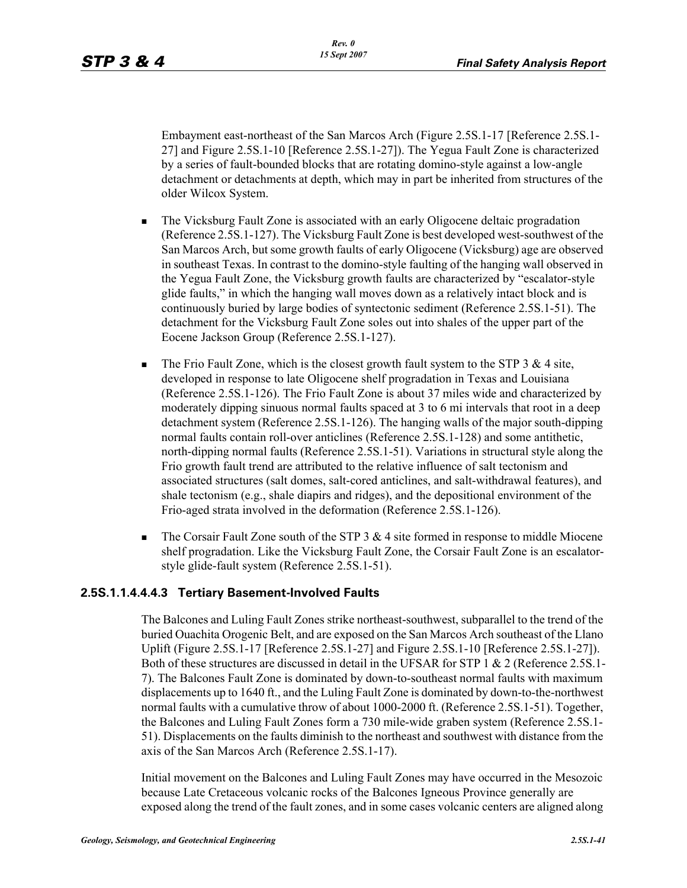Embayment east-northeast of the San Marcos Arch (Figure 2.5S.1-17 [Reference 2.5S.1- 27] and Figure 2.5S.1-10 [Reference 2.5S.1-27]). The Yegua Fault Zone is characterized by a series of fault-bounded blocks that are rotating domino-style against a low-angle detachment or detachments at depth, which may in part be inherited from structures of the older Wilcox System.

- The Vicksburg Fault Zone is associated with an early Oligocene deltaic progradation (Reference 2.5S.1-127). The Vicksburg Fault Zone is best developed west-southwest of the San Marcos Arch, but some growth faults of early Oligocene (Vicksburg) age are observed in southeast Texas. In contrast to the domino-style faulting of the hanging wall observed in the Yegua Fault Zone, the Vicksburg growth faults are characterized by "escalator-style glide faults," in which the hanging wall moves down as a relatively intact block and is continuously buried by large bodies of syntectonic sediment (Reference 2.5S.1-51). The detachment for the Vicksburg Fault Zone soles out into shales of the upper part of the Eocene Jackson Group (Reference 2.5S.1-127).
- The Frio Fault Zone, which is the closest growth fault system to the STP  $3 \& 4 \text{ site}$ , developed in response to late Oligocene shelf progradation in Texas and Louisiana (Reference 2.5S.1-126). The Frio Fault Zone is about 37 miles wide and characterized by moderately dipping sinuous normal faults spaced at 3 to 6 mi intervals that root in a deep detachment system (Reference 2.5S.1-126). The hanging walls of the major south-dipping normal faults contain roll-over anticlines (Reference 2.5S.1-128) and some antithetic, north-dipping normal faults (Reference 2.5S.1-51). Variations in structural style along the Frio growth fault trend are attributed to the relative influence of salt tectonism and associated structures (salt domes, salt-cored anticlines, and salt-withdrawal features), and shale tectonism (e.g., shale diapirs and ridges), and the depositional environment of the Frio-aged strata involved in the deformation (Reference 2.5S.1-126).
- $\blacksquare$  The Corsair Fault Zone south of the STP 3 & 4 site formed in response to middle Miocene shelf progradation. Like the Vicksburg Fault Zone, the Corsair Fault Zone is an escalatorstyle glide-fault system (Reference 2.5S.1-51).

# **2.5S.1.1.4.4.4.3 Tertiary Basement-Involved Faults**

The Balcones and Luling Fault Zones strike northeast-southwest, subparallel to the trend of the buried Ouachita Orogenic Belt, and are exposed on the San Marcos Arch southeast of the Llano Uplift (Figure 2.5S.1-17 [Reference 2.5S.1-27] and Figure 2.5S.1-10 [Reference 2.5S.1-27]). Both of these structures are discussed in detail in the UFSAR for STP 1 & 2 (Reference 2.5S.1- 7). The Balcones Fault Zone is dominated by down-to-southeast normal faults with maximum displacements up to 1640 ft., and the Luling Fault Zone is dominated by down-to-the-northwest normal faults with a cumulative throw of about 1000-2000 ft. (Reference 2.5S.1-51). Together, the Balcones and Luling Fault Zones form a 730 mile-wide graben system (Reference 2.5S.1- 51). Displacements on the faults diminish to the northeast and southwest with distance from the axis of the San Marcos Arch (Reference 2.5S.1-17).

Initial movement on the Balcones and Luling Fault Zones may have occurred in the Mesozoic because Late Cretaceous volcanic rocks of the Balcones Igneous Province generally are exposed along the trend of the fault zones, and in some cases volcanic centers are aligned along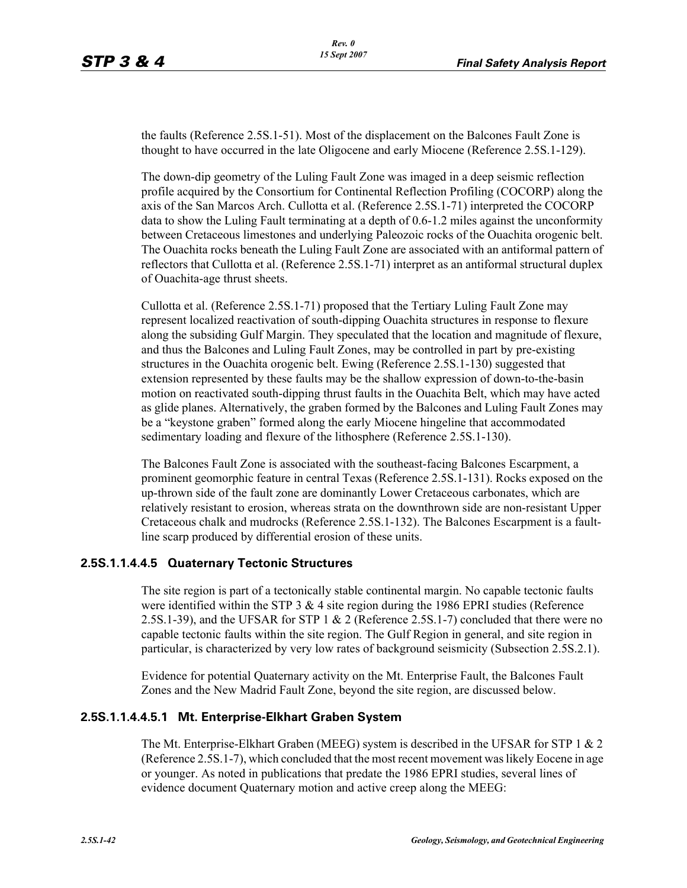the faults (Reference 2.5S.1-51). Most of the displacement on the Balcones Fault Zone is thought to have occurred in the late Oligocene and early Miocene (Reference 2.5S.1-129).

The down-dip geometry of the Luling Fault Zone was imaged in a deep seismic reflection profile acquired by the Consortium for Continental Reflection Profiling (COCORP) along the axis of the San Marcos Arch. Cullotta et al. (Reference 2.5S.1-71) interpreted the COCORP data to show the Luling Fault terminating at a depth of 0.6-1.2 miles against the unconformity between Cretaceous limestones and underlying Paleozoic rocks of the Ouachita orogenic belt. The Ouachita rocks beneath the Luling Fault Zone are associated with an antiformal pattern of reflectors that Cullotta et al. (Reference 2.5S.1-71) interpret as an antiformal structural duplex of Ouachita-age thrust sheets.

Cullotta et al. (Reference 2.5S.1-71) proposed that the Tertiary Luling Fault Zone may represent localized reactivation of south-dipping Ouachita structures in response to flexure along the subsiding Gulf Margin. They speculated that the location and magnitude of flexure, and thus the Balcones and Luling Fault Zones, may be controlled in part by pre-existing structures in the Ouachita orogenic belt. Ewing (Reference 2.5S.1-130) suggested that extension represented by these faults may be the shallow expression of down-to-the-basin motion on reactivated south-dipping thrust faults in the Ouachita Belt, which may have acted as glide planes. Alternatively, the graben formed by the Balcones and Luling Fault Zones may be a "keystone graben" formed along the early Miocene hingeline that accommodated sedimentary loading and flexure of the lithosphere (Reference 2.5S.1-130).

The Balcones Fault Zone is associated with the southeast-facing Balcones Escarpment, a prominent geomorphic feature in central Texas (Reference 2.5S.1-131). Rocks exposed on the up-thrown side of the fault zone are dominantly Lower Cretaceous carbonates, which are relatively resistant to erosion, whereas strata on the downthrown side are non-resistant Upper Cretaceous chalk and mudrocks (Reference 2.5S.1-132). The Balcones Escarpment is a faultline scarp produced by differential erosion of these units.

# **2.5S.1.1.4.4.5 Quaternary Tectonic Structures**

The site region is part of a tectonically stable continental margin. No capable tectonic faults were identified within the STP 3  $&$  4 site region during the 1986 EPRI studies (Reference 2.5S.1-39), and the UFSAR for STP 1 & 2 (Reference 2.5S.1-7) concluded that there were no capable tectonic faults within the site region. The Gulf Region in general, and site region in particular, is characterized by very low rates of background seismicity (Subsection 2.5S.2.1).

Evidence for potential Quaternary activity on the Mt. Enterprise Fault, the Balcones Fault Zones and the New Madrid Fault Zone, beyond the site region, are discussed below.

#### **2.5S.1.1.4.4.5.1 Mt. Enterprise-Elkhart Graben System**

The Mt. Enterprise-Elkhart Graben (MEEG) system is described in the UFSAR for STP 1  $\&$  2 (Reference 2.5S.1-7), which concluded that the most recent movement was likely Eocene in age or younger. As noted in publications that predate the 1986 EPRI studies, several lines of evidence document Quaternary motion and active creep along the MEEG: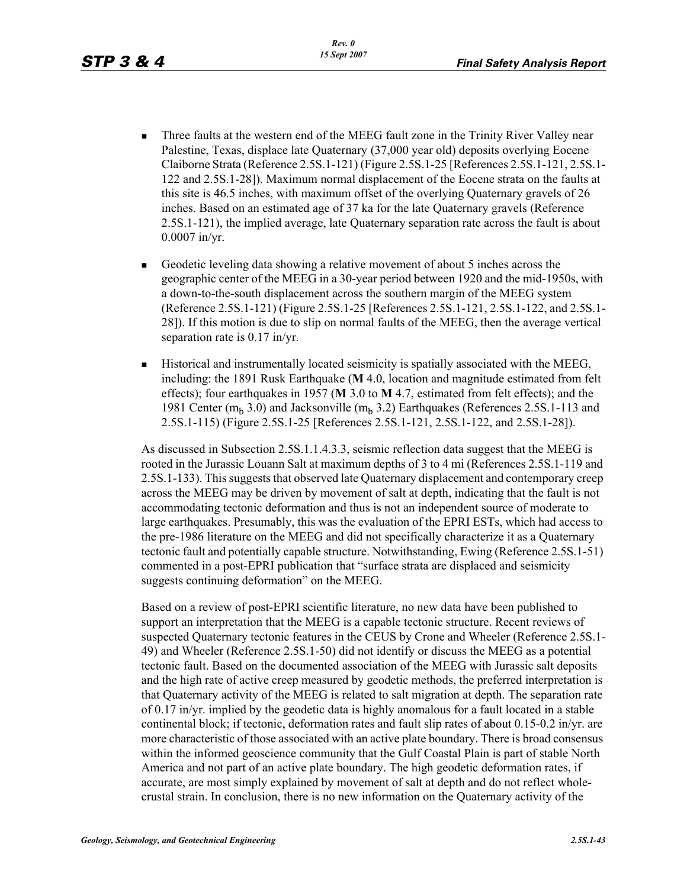- **Three faults at the western end of the MEEG fault zone in the Trinity River Valley near** Palestine, Texas, displace late Quaternary (37,000 year old) deposits overlying Eocene Claiborne Strata (Reference 2.5S.1-121) (Figure 2.5S.1-25 [References 2.5S.1-121, 2.5S.1- 122 and 2.5S.1-28]). Maximum normal displacement of the Eocene strata on the faults at this site is 46.5 inches, with maximum offset of the overlying Quaternary gravels of 26 inches. Based on an estimated age of 37 ka for the late Quaternary gravels (Reference 2.5S.1-121), the implied average, late Quaternary separation rate across the fault is about 0.0007 in/yr.
- Geodetic leveling data showing a relative movement of about 5 inches across the geographic center of the MEEG in a 30-year period between 1920 and the mid-1950s, with a down-to-the-south displacement across the southern margin of the MEEG system (Reference 2.5S.1-121) (Figure 2.5S.1-25 [References 2.5S.1-121, 2.5S.1-122, and 2.5S.1- 28]). If this motion is due to slip on normal faults of the MEEG, then the average vertical separation rate is 0.17 in/yr.
- **Historical and instrumentally located seismicity is spatially associated with the MEEG,** including: the 1891 Rusk Earthquake (**M** 4.0, location and magnitude estimated from felt effects); four earthquakes in 1957 (**M** 3.0 to **M** 4.7, estimated from felt effects); and the 1981 Center  $(m_b 3.0)$  and Jacksonville  $(m_b 3.2)$  Earthquakes (References 2.5S.1-113 and 2.5S.1-115) (Figure 2.5S.1-25 [References 2.5S.1-121, 2.5S.1-122, and 2.5S.1-28]).

As discussed in Subsection 2.5S.1.1.4.3.3, seismic reflection data suggest that the MEEG is rooted in the Jurassic Louann Salt at maximum depths of 3 to 4 mi (References 2.5S.1-119 and 2.5S.1-133). This suggests that observed late Quaternary displacement and contemporary creep across the MEEG may be driven by movement of salt at depth, indicating that the fault is not accommodating tectonic deformation and thus is not an independent source of moderate to large earthquakes. Presumably, this was the evaluation of the EPRI ESTs, which had access to the pre-1986 literature on the MEEG and did not specifically characterize it as a Quaternary tectonic fault and potentially capable structure. Notwithstanding, Ewing (Reference 2.5S.1-51) commented in a post-EPRI publication that "surface strata are displaced and seismicity suggests continuing deformation" on the MEEG.

Based on a review of post-EPRI scientific literature, no new data have been published to support an interpretation that the MEEG is a capable tectonic structure. Recent reviews of suspected Quaternary tectonic features in the CEUS by Crone and Wheeler (Reference 2.5S.1- 49) and Wheeler (Reference 2.5S.1-50) did not identify or discuss the MEEG as a potential tectonic fault. Based on the documented association of the MEEG with Jurassic salt deposits and the high rate of active creep measured by geodetic methods, the preferred interpretation is that Quaternary activity of the MEEG is related to salt migration at depth. The separation rate of 0.17 in/yr. implied by the geodetic data is highly anomalous for a fault located in a stable continental block; if tectonic, deformation rates and fault slip rates of about 0.15-0.2 in/yr. are more characteristic of those associated with an active plate boundary. There is broad consensus within the informed geoscience community that the Gulf Coastal Plain is part of stable North America and not part of an active plate boundary. The high geodetic deformation rates, if accurate, are most simply explained by movement of salt at depth and do not reflect wholecrustal strain. In conclusion, there is no new information on the Quaternary activity of the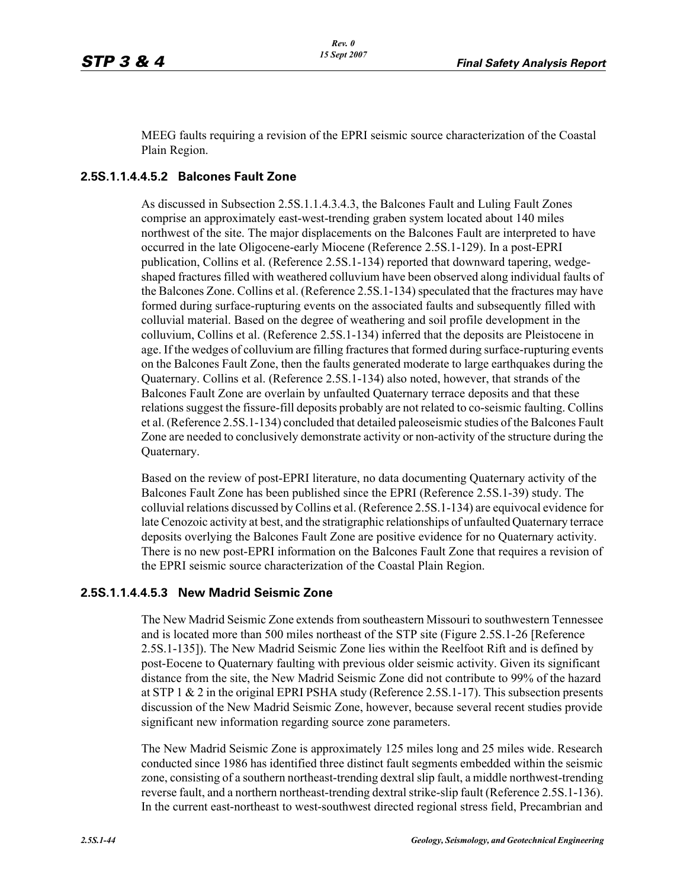MEEG faults requiring a revision of the EPRI seismic source characterization of the Coastal Plain Region.

### **2.5S.1.1.4.4.5.2 Balcones Fault Zone**

As discussed in Subsection 2.5S.1.1.4.3.4.3, the Balcones Fault and Luling Fault Zones comprise an approximately east-west-trending graben system located about 140 miles northwest of the site. The major displacements on the Balcones Fault are interpreted to have occurred in the late Oligocene-early Miocene (Reference 2.5S.1-129). In a post-EPRI publication, Collins et al. (Reference 2.5S.1-134) reported that downward tapering, wedgeshaped fractures filled with weathered colluvium have been observed along individual faults of the Balcones Zone. Collins et al. (Reference 2.5S.1-134) speculated that the fractures may have formed during surface-rupturing events on the associated faults and subsequently filled with colluvial material. Based on the degree of weathering and soil profile development in the colluvium, Collins et al. (Reference 2.5S.1-134) inferred that the deposits are Pleistocene in age. If the wedges of colluvium are filling fractures that formed during surface-rupturing events on the Balcones Fault Zone, then the faults generated moderate to large earthquakes during the Quaternary. Collins et al. (Reference 2.5S.1-134) also noted, however, that strands of the Balcones Fault Zone are overlain by unfaulted Quaternary terrace deposits and that these relations suggest the fissure-fill deposits probably are not related to co-seismic faulting. Collins et al. (Reference 2.5S.1-134) concluded that detailed paleoseismic studies of the Balcones Fault Zone are needed to conclusively demonstrate activity or non-activity of the structure during the Quaternary.

Based on the review of post-EPRI literature, no data documenting Quaternary activity of the Balcones Fault Zone has been published since the EPRI (Reference 2.5S.1-39) study. The colluvial relations discussed by Collins et al. (Reference 2.5S.1-134) are equivocal evidence for late Cenozoic activity at best, and the stratigraphic relationships of unfaulted Quaternary terrace deposits overlying the Balcones Fault Zone are positive evidence for no Quaternary activity. There is no new post-EPRI information on the Balcones Fault Zone that requires a revision of the EPRI seismic source characterization of the Coastal Plain Region.

#### **2.5S.1.1.4.4.5.3 New Madrid Seismic Zone**

The New Madrid Seismic Zone extends from southeastern Missouri to southwestern Tennessee and is located more than 500 miles northeast of the STP site (Figure 2.5S.1-26 [Reference 2.5S.1-135]). The New Madrid Seismic Zone lies within the Reelfoot Rift and is defined by post-Eocene to Quaternary faulting with previous older seismic activity. Given its significant distance from the site, the New Madrid Seismic Zone did not contribute to 99% of the hazard at STP 1  $&$  2 in the original EPRI PSHA study (Reference 2.5S.1-17). This subsection presents discussion of the New Madrid Seismic Zone, however, because several recent studies provide significant new information regarding source zone parameters.

The New Madrid Seismic Zone is approximately 125 miles long and 25 miles wide. Research conducted since 1986 has identified three distinct fault segments embedded within the seismic zone, consisting of a southern northeast-trending dextral slip fault, a middle northwest-trending reverse fault, and a northern northeast-trending dextral strike-slip fault (Reference 2.5S.1-136). In the current east-northeast to west-southwest directed regional stress field, Precambrian and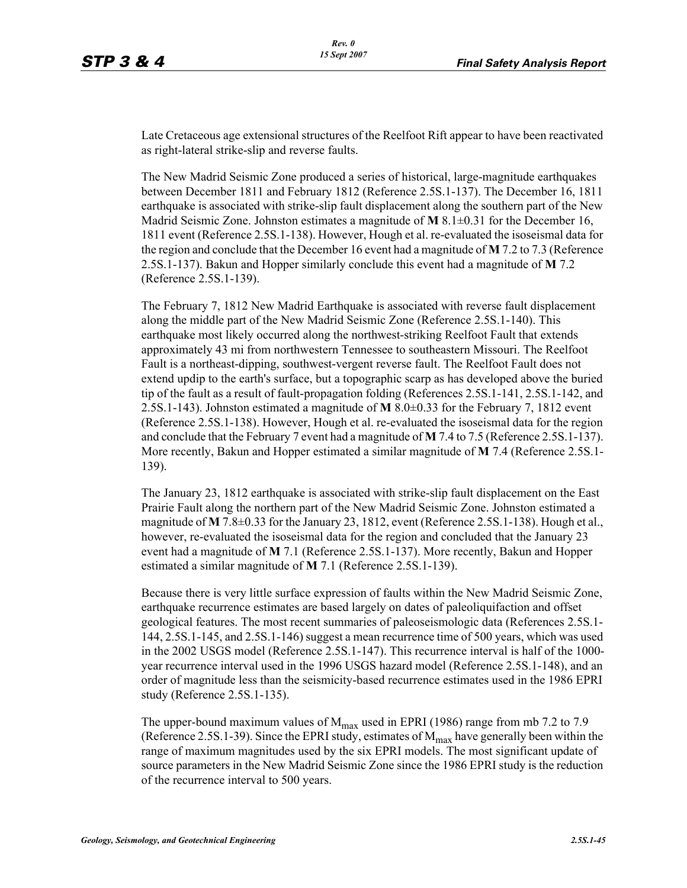Late Cretaceous age extensional structures of the Reelfoot Rift appear to have been reactivated as right-lateral strike-slip and reverse faults.

The New Madrid Seismic Zone produced a series of historical, large-magnitude earthquakes between December 1811 and February 1812 (Reference 2.5S.1-137). The December 16, 1811 earthquake is associated with strike-slip fault displacement along the southern part of the New Madrid Seismic Zone. Johnston estimates a magnitude of **M** 8.1±0.31 for the December 16, 1811 event (Reference 2.5S.1-138). However, Hough et al. re-evaluated the isoseismal data for the region and conclude that the December 16 event had a magnitude of **M** 7.2 to 7.3 (Reference 2.5S.1-137). Bakun and Hopper similarly conclude this event had a magnitude of **M** 7.2 (Reference 2.5S.1-139).

The February 7, 1812 New Madrid Earthquake is associated with reverse fault displacement along the middle part of the New Madrid Seismic Zone (Reference 2.5S.1-140). This earthquake most likely occurred along the northwest-striking Reelfoot Fault that extends approximately 43 mi from northwestern Tennessee to southeastern Missouri. The Reelfoot Fault is a northeast-dipping, southwest-vergent reverse fault. The Reelfoot Fault does not extend updip to the earth's surface, but a topographic scarp as has developed above the buried tip of the fault as a result of fault-propagation folding (References 2.5S.1-141, 2.5S.1-142, and 2.5S.1-143). Johnston estimated a magnitude of **M** 8.0±0.33 for the February 7, 1812 event (Reference 2.5S.1-138). However, Hough et al. re-evaluated the isoseismal data for the region and conclude that the February 7 event had a magnitude of **M** 7.4 to 7.5 (Reference 2.5S.1-137). More recently, Bakun and Hopper estimated a similar magnitude of **M** 7.4 (Reference 2.5S.1- 139).

The January 23, 1812 earthquake is associated with strike-slip fault displacement on the East Prairie Fault along the northern part of the New Madrid Seismic Zone. Johnston estimated a magnitude of **M** 7.8±0.33 for the January 23, 1812, event (Reference 2.5S.1-138). Hough et al., however, re-evaluated the isoseismal data for the region and concluded that the January 23 event had a magnitude of **M** 7.1 (Reference 2.5S.1-137). More recently, Bakun and Hopper estimated a similar magnitude of **M** 7.1 (Reference 2.5S.1-139).

Because there is very little surface expression of faults within the New Madrid Seismic Zone, earthquake recurrence estimates are based largely on dates of paleoliquifaction and offset geological features. The most recent summaries of paleoseismologic data (References 2.5S.1- 144, 2.5S.1-145, and 2.5S.1-146) suggest a mean recurrence time of 500 years, which was used in the 2002 USGS model (Reference 2.5S.1-147). This recurrence interval is half of the 1000 year recurrence interval used in the 1996 USGS hazard model (Reference 2.5S.1-148), and an order of magnitude less than the seismicity-based recurrence estimates used in the 1986 EPRI study (Reference 2.5S.1-135).

The upper-bound maximum values of  $M_{max}$  used in EPRI (1986) range from mb 7.2 to 7.9 (Reference 2.5S.1-39). Since the EPRI study, estimates of  $M_{\text{max}}$  have generally been within the range of maximum magnitudes used by the six EPRI models. The most significant update of source parameters in the New Madrid Seismic Zone since the 1986 EPRI study is the reduction of the recurrence interval to 500 years.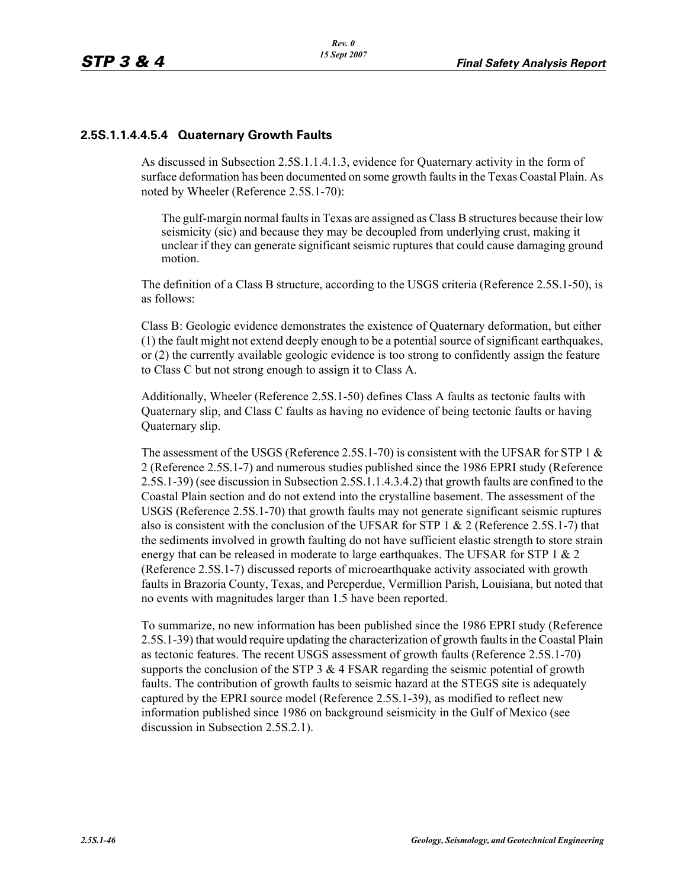### **2.5S.1.1.4.4.5.4 Quaternary Growth Faults**

As discussed in Subsection 2.5S.1.1.4.1.3, evidence for Quaternary activity in the form of surface deformation has been documented on some growth faults in the Texas Coastal Plain. As noted by Wheeler (Reference 2.5S.1-70):

The gulf-margin normal faults in Texas are assigned as Class B structures because their low seismicity (sic) and because they may be decoupled from underlying crust, making it unclear if they can generate significant seismic ruptures that could cause damaging ground motion.

The definition of a Class B structure, according to the USGS criteria (Reference 2.5S.1-50), is as follows:

Class B: Geologic evidence demonstrates the existence of Quaternary deformation, but either (1) the fault might not extend deeply enough to be a potential source of significant earthquakes, or (2) the currently available geologic evidence is too strong to confidently assign the feature to Class C but not strong enough to assign it to Class A.

Additionally, Wheeler (Reference 2.5S.1-50) defines Class A faults as tectonic faults with Quaternary slip, and Class C faults as having no evidence of being tectonic faults or having Quaternary slip.

The assessment of the USGS (Reference 2.5S.1-70) is consistent with the UFSAR for STP 1  $\&$ 2 (Reference 2.5S.1-7) and numerous studies published since the 1986 EPRI study (Reference 2.5S.1-39) (see discussion in Subsection 2.5S.1.1.4.3.4.2) that growth faults are confined to the Coastal Plain section and do not extend into the crystalline basement. The assessment of the USGS (Reference 2.5S.1-70) that growth faults may not generate significant seismic ruptures also is consistent with the conclusion of the UFSAR for STP 1  $\&$  2 (Reference 2.5S.1-7) that the sediments involved in growth faulting do not have sufficient elastic strength to store strain energy that can be released in moderate to large earthquakes. The UFSAR for STP 1 & 2 (Reference 2.5S.1-7) discussed reports of microearthquake activity associated with growth faults in Brazoria County, Texas, and Percperdue, Vermillion Parish, Louisiana, but noted that no events with magnitudes larger than 1.5 have been reported.

To summarize, no new information has been published since the 1986 EPRI study (Reference 2.5S.1-39) that would require updating the characterization of growth faults in the Coastal Plain as tectonic features. The recent USGS assessment of growth faults (Reference 2.5S.1-70) supports the conclusion of the STP  $3 \& 4$  FSAR regarding the seismic potential of growth faults. The contribution of growth faults to seismic hazard at the STEGS site is adequately captured by the EPRI source model (Reference 2.5S.1-39), as modified to reflect new information published since 1986 on background seismicity in the Gulf of Mexico (see discussion in Subsection 2.5S.2.1).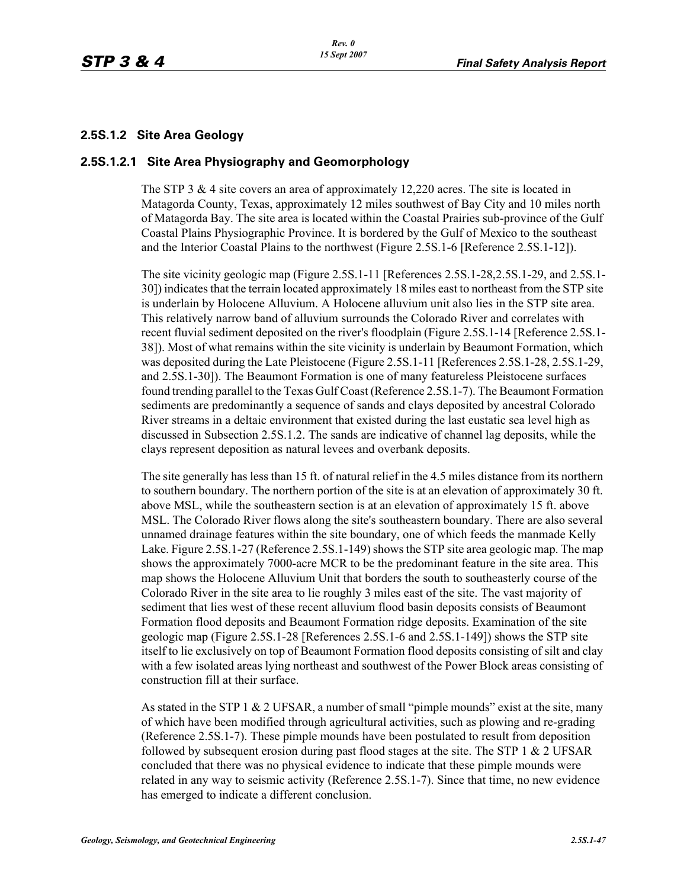### **2.5S.1.2 Site Area Geology**

#### **2.5S.1.2.1 Site Area Physiography and Geomorphology**

The STP 3 & 4 site covers an area of approximately 12,220 acres. The site is located in Matagorda County, Texas, approximately 12 miles southwest of Bay City and 10 miles north of Matagorda Bay. The site area is located within the Coastal Prairies sub-province of the Gulf Coastal Plains Physiographic Province. It is bordered by the Gulf of Mexico to the southeast and the Interior Coastal Plains to the northwest (Figure 2.5S.1-6 [Reference 2.5S.1-12]).

The site vicinity geologic map (Figure 2.5S.1-11 [References 2.5S.1-28,2.5S.1-29, and 2.5S.1- 30]) indicates that the terrain located approximately 18 miles east to northeast from the STP site is underlain by Holocene Alluvium. A Holocene alluvium unit also lies in the STP site area. This relatively narrow band of alluvium surrounds the Colorado River and correlates with recent fluvial sediment deposited on the river's floodplain (Figure 2.5S.1-14 [Reference 2.5S.1- 38]). Most of what remains within the site vicinity is underlain by Beaumont Formation, which was deposited during the Late Pleistocene (Figure 2.5S.1-11 [References 2.5S.1-28, 2.5S.1-29, and 2.5S.1-30]). The Beaumont Formation is one of many featureless Pleistocene surfaces found trending parallel to the Texas Gulf Coast (Reference 2.5S.1-7). The Beaumont Formation sediments are predominantly a sequence of sands and clays deposited by ancestral Colorado River streams in a deltaic environment that existed during the last eustatic sea level high as discussed in Subsection 2.5S.1.2. The sands are indicative of channel lag deposits, while the clays represent deposition as natural levees and overbank deposits.

The site generally has less than 15 ft. of natural relief in the 4.5 miles distance from its northern to southern boundary. The northern portion of the site is at an elevation of approximately 30 ft. above MSL, while the southeastern section is at an elevation of approximately 15 ft. above MSL. The Colorado River flows along the site's southeastern boundary. There are also several unnamed drainage features within the site boundary, one of which feeds the manmade Kelly Lake. Figure 2.5S.1-27 (Reference 2.5S.1-149) shows the STP site area geologic map. The map shows the approximately 7000-acre MCR to be the predominant feature in the site area. This map shows the Holocene Alluvium Unit that borders the south to southeasterly course of the Colorado River in the site area to lie roughly 3 miles east of the site. The vast majority of sediment that lies west of these recent alluvium flood basin deposits consists of Beaumont Formation flood deposits and Beaumont Formation ridge deposits. Examination of the site geologic map (Figure 2.5S.1-28 [References 2.5S.1-6 and 2.5S.1-149]) shows the STP site itself to lie exclusively on top of Beaumont Formation flood deposits consisting of silt and clay with a few isolated areas lying northeast and southwest of the Power Block areas consisting of construction fill at their surface.

As stated in the STP 1 & 2 UFSAR, a number of small "pimple mounds" exist at the site, many of which have been modified through agricultural activities, such as plowing and re-grading (Reference 2.5S.1-7). These pimple mounds have been postulated to result from deposition followed by subsequent erosion during past flood stages at the site. The STP 1  $\&$  2 UFSAR concluded that there was no physical evidence to indicate that these pimple mounds were related in any way to seismic activity (Reference 2.5S.1-7). Since that time, no new evidence has emerged to indicate a different conclusion.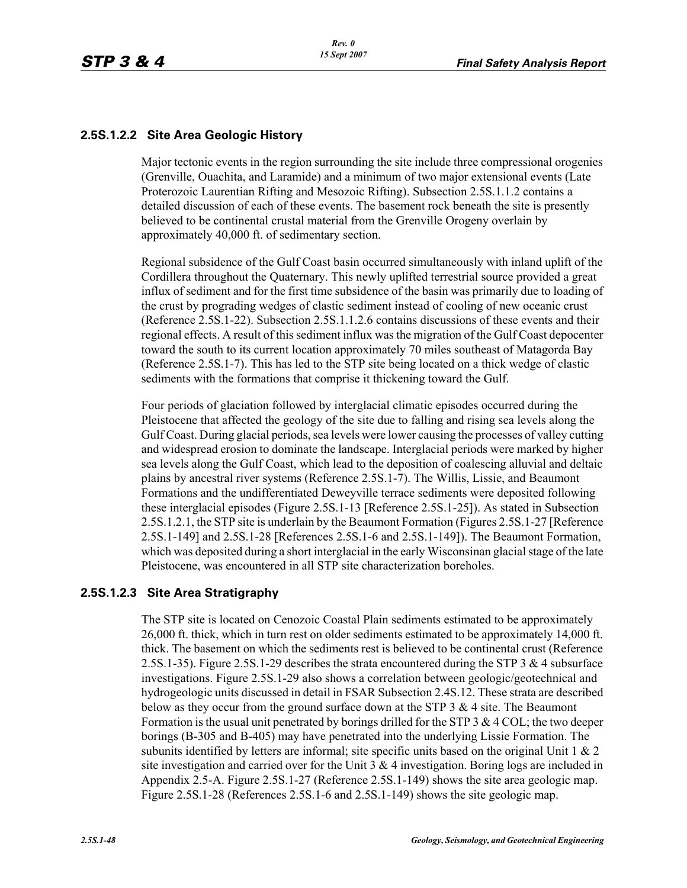# **2.5S.1.2.2 Site Area Geologic History**

Major tectonic events in the region surrounding the site include three compressional orogenies (Grenville, Ouachita, and Laramide) and a minimum of two major extensional events (Late Proterozoic Laurentian Rifting and Mesozoic Rifting). Subsection 2.5S.1.1.2 contains a detailed discussion of each of these events. The basement rock beneath the site is presently believed to be continental crustal material from the Grenville Orogeny overlain by approximately 40,000 ft. of sedimentary section.

Regional subsidence of the Gulf Coast basin occurred simultaneously with inland uplift of the Cordillera throughout the Quaternary. This newly uplifted terrestrial source provided a great influx of sediment and for the first time subsidence of the basin was primarily due to loading of the crust by prograding wedges of clastic sediment instead of cooling of new oceanic crust (Reference 2.5S.1-22). Subsection 2.5S.1.1.2.6 contains discussions of these events and their regional effects. A result of this sediment influx was the migration of the Gulf Coast depocenter toward the south to its current location approximately 70 miles southeast of Matagorda Bay (Reference 2.5S.1-7). This has led to the STP site being located on a thick wedge of clastic sediments with the formations that comprise it thickening toward the Gulf.

Four periods of glaciation followed by interglacial climatic episodes occurred during the Pleistocene that affected the geology of the site due to falling and rising sea levels along the Gulf Coast. During glacial periods, sea levels were lower causing the processes of valley cutting and widespread erosion to dominate the landscape. Interglacial periods were marked by higher sea levels along the Gulf Coast, which lead to the deposition of coalescing alluvial and deltaic plains by ancestral river systems (Reference 2.5S.1-7). The Willis, Lissie, and Beaumont Formations and the undifferentiated Deweyville terrace sediments were deposited following these interglacial episodes (Figure 2.5S.1-13 [Reference 2.5S.1-25]). As stated in Subsection 2.5S.1.2.1, the STP site is underlain by the Beaumont Formation (Figures 2.5S.1-27 [Reference 2.5S.1-149] and 2.5S.1-28 [References 2.5S.1-6 and 2.5S.1-149]). The Beaumont Formation, which was deposited during a short interglacial in the early Wisconsinan glacial stage of the late Pleistocene, was encountered in all STP site characterization boreholes.

# **2.5S.1.2.3 Site Area Stratigraphy**

The STP site is located on Cenozoic Coastal Plain sediments estimated to be approximately 26,000 ft. thick, which in turn rest on older sediments estimated to be approximately 14,000 ft. thick. The basement on which the sediments rest is believed to be continental crust (Reference 2.5S.1-35). Figure 2.5S.1-29 describes the strata encountered during the STP 3 & 4 subsurface investigations. Figure 2.5S.1-29 also shows a correlation between geologic/geotechnical and hydrogeologic units discussed in detail in FSAR Subsection 2.4S.12. These strata are described below as they occur from the ground surface down at the STP  $3 \& 4$  site. The Beaumont Formation is the usual unit penetrated by borings drilled for the STP 3  $\&$  4 COL; the two deeper borings (B-305 and B-405) may have penetrated into the underlying Lissie Formation. The subunits identified by letters are informal; site specific units based on the original Unit 1  $\&$  2 site investigation and carried over for the Unit  $3 \& 4$  investigation. Boring logs are included in Appendix 2.5-A. Figure 2.5S.1-27 (Reference 2.5S.1-149) shows the site area geologic map. Figure 2.5S.1-28 (References 2.5S.1-6 and 2.5S.1-149) shows the site geologic map.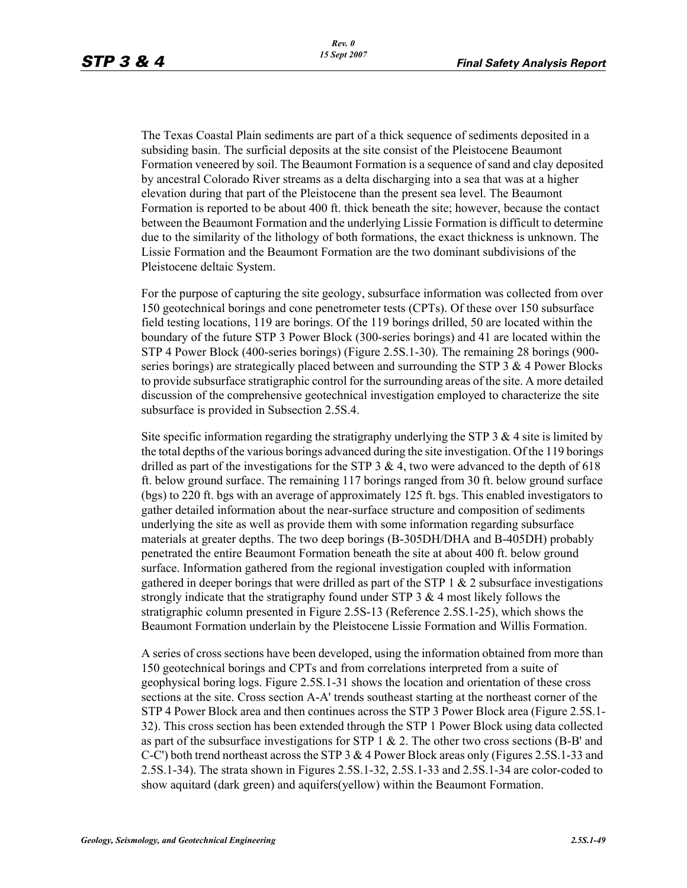The Texas Coastal Plain sediments are part of a thick sequence of sediments deposited in a subsiding basin. The surficial deposits at the site consist of the Pleistocene Beaumont Formation veneered by soil. The Beaumont Formation is a sequence of sand and clay deposited by ancestral Colorado River streams as a delta discharging into a sea that was at a higher elevation during that part of the Pleistocene than the present sea level. The Beaumont Formation is reported to be about 400 ft. thick beneath the site; however, because the contact between the Beaumont Formation and the underlying Lissie Formation is difficult to determine due to the similarity of the lithology of both formations, the exact thickness is unknown. The Lissie Formation and the Beaumont Formation are the two dominant subdivisions of the Pleistocene deltaic System.

For the purpose of capturing the site geology, subsurface information was collected from over 150 geotechnical borings and cone penetrometer tests (CPTs). Of these over 150 subsurface field testing locations, 119 are borings. Of the 119 borings drilled, 50 are located within the boundary of the future STP 3 Power Block (300-series borings) and 41 are located within the STP 4 Power Block (400-series borings) (Figure 2.5S.1-30). The remaining 28 borings (900 series borings) are strategically placed between and surrounding the STP 3  $\&$  4 Power Blocks to provide subsurface stratigraphic control for the surrounding areas of the site. A more detailed discussion of the comprehensive geotechnical investigation employed to characterize the site subsurface is provided in Subsection 2.5S.4.

Site specific information regarding the stratigraphy underlying the STP  $3 \& 4$  site is limited by the total depths of the various borings advanced during the site investigation. Of the 119 borings drilled as part of the investigations for the STP 3 & 4, two were advanced to the depth of 618 ft. below ground surface. The remaining 117 borings ranged from 30 ft. below ground surface (bgs) to 220 ft. bgs with an average of approximately 125 ft. bgs. This enabled investigators to gather detailed information about the near-surface structure and composition of sediments underlying the site as well as provide them with some information regarding subsurface materials at greater depths. The two deep borings (B-305DH/DHA and B-405DH) probably penetrated the entire Beaumont Formation beneath the site at about 400 ft. below ground surface. Information gathered from the regional investigation coupled with information gathered in deeper borings that were drilled as part of the STP  $1 \& 2$  subsurface investigations strongly indicate that the stratigraphy found under STP 3 & 4 most likely follows the stratigraphic column presented in Figure 2.5S-13 (Reference 2.5S.1-25), which shows the Beaumont Formation underlain by the Pleistocene Lissie Formation and Willis Formation.

A series of cross sections have been developed, using the information obtained from more than 150 geotechnical borings and CPTs and from correlations interpreted from a suite of geophysical boring logs. Figure 2.5S.1-31 shows the location and orientation of these cross sections at the site. Cross section A-A' trends southeast starting at the northeast corner of the STP 4 Power Block area and then continues across the STP 3 Power Block area (Figure 2.5S.1- 32). This cross section has been extended through the STP 1 Power Block using data collected as part of the subsurface investigations for STP  $1 \& 2$ . The other two cross sections (B-B' and C-C') both trend northeast across the STP 3 & 4 Power Block areas only (Figures 2.5S.1-33 and 2.5S.1-34). The strata shown in Figures 2.5S.1-32, 2.5S.1-33 and 2.5S.1-34 are color-coded to show aquitard (dark green) and aquifers(yellow) within the Beaumont Formation.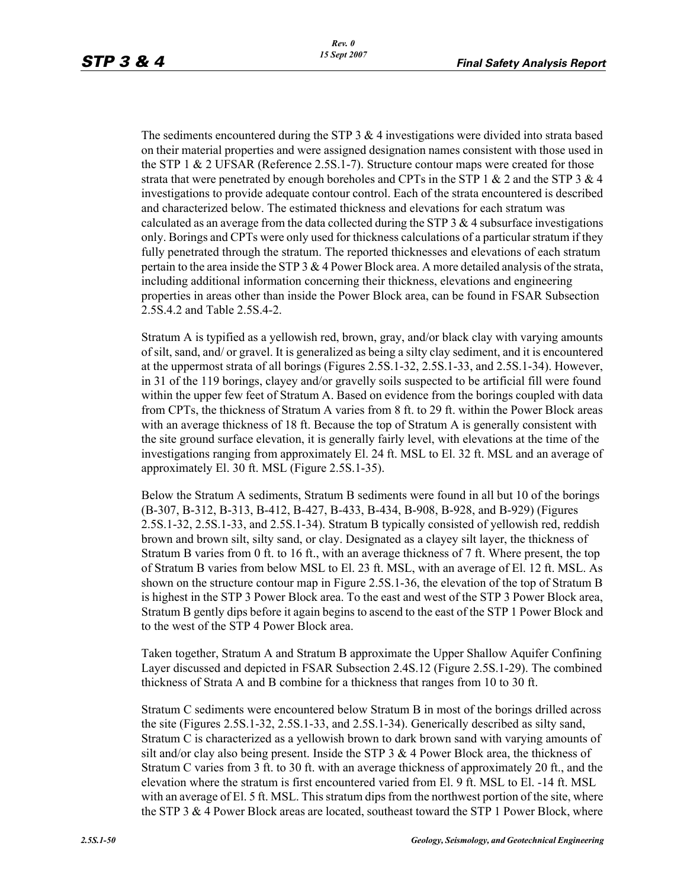The sediments encountered during the STP  $3 \& 4$  investigations were divided into strata based on their material properties and were assigned designation names consistent with those used in the STP 1 & 2 UFSAR (Reference 2.5S.1-7). Structure contour maps were created for those strata that were penetrated by enough boreholes and CPTs in the STP 1  $\&$  2 and the STP 3  $\&$  4 investigations to provide adequate contour control. Each of the strata encountered is described and characterized below. The estimated thickness and elevations for each stratum was calculated as an average from the data collected during the STP  $3 \& 4$  subsurface investigations only. Borings and CPTs were only used for thickness calculations of a particular stratum if they fully penetrated through the stratum. The reported thicknesses and elevations of each stratum pertain to the area inside the STP 3 & 4 Power Block area. A more detailed analysis of the strata, including additional information concerning their thickness, elevations and engineering properties in areas other than inside the Power Block area, can be found in FSAR Subsection 2.5S.4.2 and Table 2.5S.4-2.

Stratum A is typified as a yellowish red, brown, gray, and/or black clay with varying amounts of silt, sand, and/ or gravel. It is generalized as being a silty clay sediment, and it is encountered at the uppermost strata of all borings (Figures 2.5S.1-32, 2.5S.1-33, and 2.5S.1-34). However, in 31 of the 119 borings, clayey and/or gravelly soils suspected to be artificial fill were found within the upper few feet of Stratum A. Based on evidence from the borings coupled with data from CPTs, the thickness of Stratum A varies from 8 ft. to 29 ft. within the Power Block areas with an average thickness of 18 ft. Because the top of Stratum A is generally consistent with the site ground surface elevation, it is generally fairly level, with elevations at the time of the investigations ranging from approximately El. 24 ft. MSL to El. 32 ft. MSL and an average of approximately El. 30 ft. MSL (Figure 2.5S.1-35).

Below the Stratum A sediments, Stratum B sediments were found in all but 10 of the borings (B-307, B-312, B-313, B-412, B-427, B-433, B-434, B-908, B-928, and B-929) (Figures 2.5S.1-32, 2.5S.1-33, and 2.5S.1-34). Stratum B typically consisted of yellowish red, reddish brown and brown silt, silty sand, or clay. Designated as a clayey silt layer, the thickness of Stratum B varies from 0 ft. to 16 ft., with an average thickness of 7 ft. Where present, the top of Stratum B varies from below MSL to El. 23 ft. MSL, with an average of El. 12 ft. MSL. As shown on the structure contour map in Figure 2.5S.1-36, the elevation of the top of Stratum B is highest in the STP 3 Power Block area. To the east and west of the STP 3 Power Block area, Stratum B gently dips before it again begins to ascend to the east of the STP 1 Power Block and to the west of the STP 4 Power Block area.

Taken together, Stratum A and Stratum B approximate the Upper Shallow Aquifer Confining Layer discussed and depicted in FSAR Subsection 2.4S.12 (Figure 2.5S.1-29). The combined thickness of Strata A and B combine for a thickness that ranges from 10 to 30 ft.

Stratum C sediments were encountered below Stratum B in most of the borings drilled across the site (Figures 2.5S.1-32, 2.5S.1-33, and 2.5S.1-34). Generically described as silty sand, Stratum C is characterized as a yellowish brown to dark brown sand with varying amounts of silt and/or clay also being present. Inside the STP  $3 \& 4$  Power Block area, the thickness of Stratum C varies from 3 ft. to 30 ft. with an average thickness of approximately 20 ft., and the elevation where the stratum is first encountered varied from El. 9 ft. MSL to El. -14 ft. MSL with an average of El. 5 ft. MSL. This stratum dips from the northwest portion of the site, where the STP 3 & 4 Power Block areas are located, southeast toward the STP 1 Power Block, where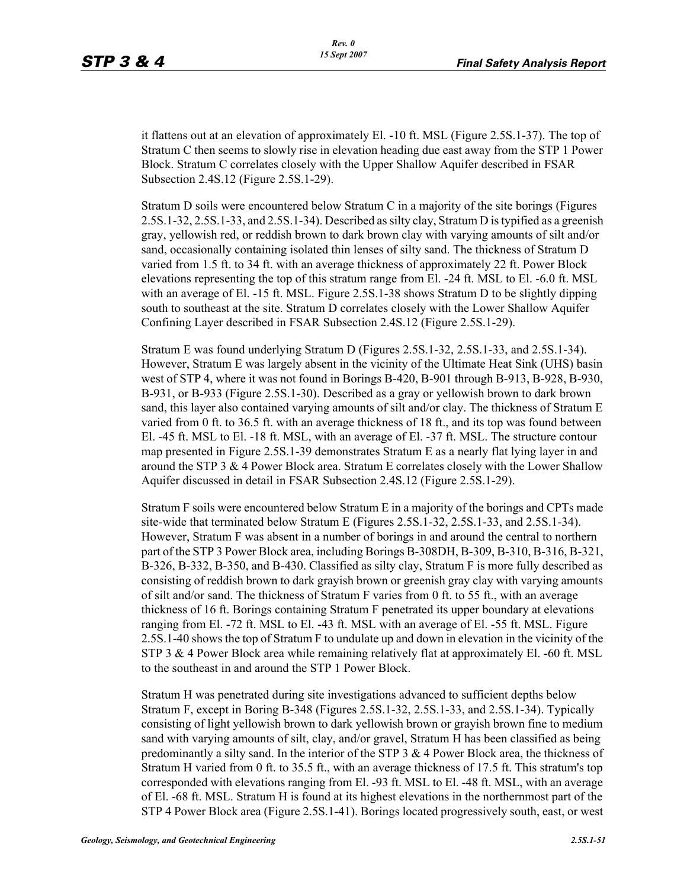it flattens out at an elevation of approximately El. -10 ft. MSL (Figure 2.5S.1-37). The top of Stratum C then seems to slowly rise in elevation heading due east away from the STP 1 Power Block. Stratum C correlates closely with the Upper Shallow Aquifer described in FSAR Subsection 2.4S.12 (Figure 2.5S.1-29).

Stratum D soils were encountered below Stratum C in a majority of the site borings (Figures 2.5S.1-32, 2.5S.1-33, and 2.5S.1-34). Described as silty clay, Stratum D is typified as a greenish gray, yellowish red, or reddish brown to dark brown clay with varying amounts of silt and/or sand, occasionally containing isolated thin lenses of silty sand. The thickness of Stratum D varied from 1.5 ft. to 34 ft. with an average thickness of approximately 22 ft. Power Block elevations representing the top of this stratum range from El. -24 ft. MSL to El. -6.0 ft. MSL with an average of El. -15 ft. MSL. Figure 2.5S.1-38 shows Stratum D to be slightly dipping south to southeast at the site. Stratum D correlates closely with the Lower Shallow Aquifer Confining Layer described in FSAR Subsection 2.4S.12 (Figure 2.5S.1-29).

Stratum E was found underlying Stratum D (Figures 2.5S.1-32, 2.5S.1-33, and 2.5S.1-34). However, Stratum E was largely absent in the vicinity of the Ultimate Heat Sink (UHS) basin west of STP 4, where it was not found in Borings B-420, B-901 through B-913, B-928, B-930, B-931, or B-933 (Figure 2.5S.1-30). Described as a gray or yellowish brown to dark brown sand, this layer also contained varying amounts of silt and/or clay. The thickness of Stratum E varied from 0 ft. to 36.5 ft. with an average thickness of 18 ft., and its top was found between El. -45 ft. MSL to El. -18 ft. MSL, with an average of El. -37 ft. MSL. The structure contour map presented in Figure 2.5S.1-39 demonstrates Stratum E as a nearly flat lying layer in and around the STP 3 & 4 Power Block area. Stratum E correlates closely with the Lower Shallow Aquifer discussed in detail in FSAR Subsection 2.4S.12 (Figure 2.5S.1-29).

Stratum F soils were encountered below Stratum E in a majority of the borings and CPTs made site-wide that terminated below Stratum E (Figures 2.5S.1-32, 2.5S.1-33, and 2.5S.1-34). However, Stratum F was absent in a number of borings in and around the central to northern part of the STP 3 Power Block area, including Borings B-308DH, B-309, B-310, B-316, B-321, B-326, B-332, B-350, and B-430. Classified as silty clay, Stratum F is more fully described as consisting of reddish brown to dark grayish brown or greenish gray clay with varying amounts of silt and/or sand. The thickness of Stratum F varies from 0 ft. to 55 ft., with an average thickness of 16 ft. Borings containing Stratum F penetrated its upper boundary at elevations ranging from El. -72 ft. MSL to El. -43 ft. MSL with an average of El. -55 ft. MSL. Figure 2.5S.1-40 shows the top of Stratum F to undulate up and down in elevation in the vicinity of the STP 3 & 4 Power Block area while remaining relatively flat at approximately El. -60 ft. MSL to the southeast in and around the STP 1 Power Block.

Stratum H was penetrated during site investigations advanced to sufficient depths below Stratum F, except in Boring B-348 (Figures 2.5S.1-32, 2.5S.1-33, and 2.5S.1-34). Typically consisting of light yellowish brown to dark yellowish brown or grayish brown fine to medium sand with varying amounts of silt, clay, and/or gravel, Stratum H has been classified as being predominantly a silty sand. In the interior of the STP  $3 \& 4$  Power Block area, the thickness of Stratum H varied from 0 ft. to 35.5 ft., with an average thickness of 17.5 ft. This stratum's top corresponded with elevations ranging from El. -93 ft. MSL to El. -48 ft. MSL, with an average of El. -68 ft. MSL. Stratum H is found at its highest elevations in the northernmost part of the STP 4 Power Block area (Figure 2.5S.1-41). Borings located progressively south, east, or west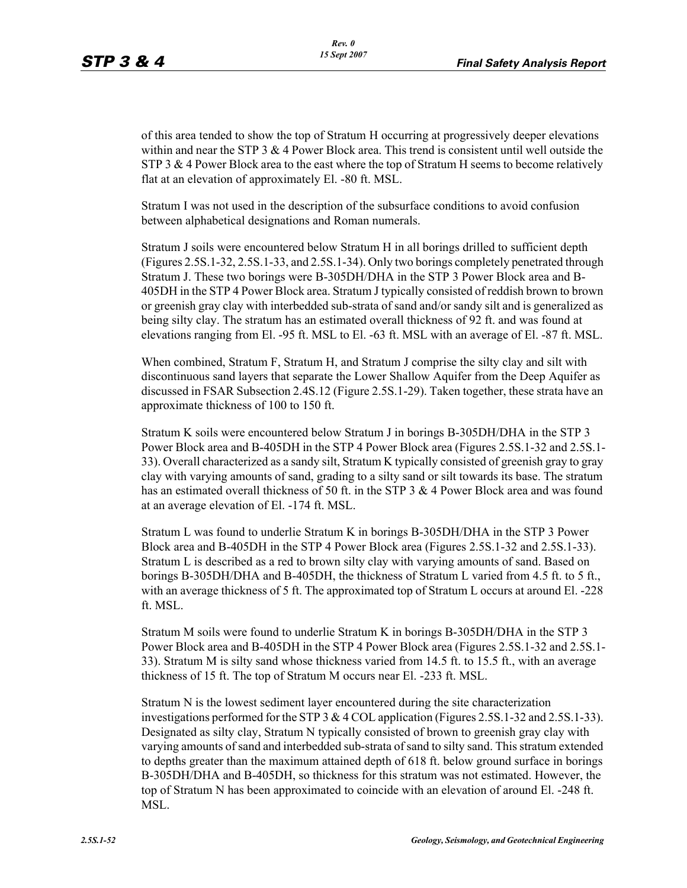of this area tended to show the top of Stratum H occurring at progressively deeper elevations within and near the STP  $3 \& 4$  Power Block area. This trend is consistent until well outside the STP 3  $\&$  4 Power Block area to the east where the top of Stratum H seems to become relatively flat at an elevation of approximately El. -80 ft. MSL.

Stratum I was not used in the description of the subsurface conditions to avoid confusion between alphabetical designations and Roman numerals.

Stratum J soils were encountered below Stratum H in all borings drilled to sufficient depth (Figures 2.5S.1-32, 2.5S.1-33, and 2.5S.1-34). Only two borings completely penetrated through Stratum J. These two borings were B-305DH/DHA in the STP 3 Power Block area and B-405DH in the STP 4 Power Block area. Stratum J typically consisted of reddish brown to brown or greenish gray clay with interbedded sub-strata of sand and/or sandy silt and is generalized as being silty clay. The stratum has an estimated overall thickness of 92 ft. and was found at elevations ranging from El. -95 ft. MSL to El. -63 ft. MSL with an average of El. -87 ft. MSL.

When combined, Stratum F, Stratum H, and Stratum J comprise the silty clay and silt with discontinuous sand layers that separate the Lower Shallow Aquifer from the Deep Aquifer as discussed in FSAR Subsection 2.4S.12 (Figure 2.5S.1-29). Taken together, these strata have an approximate thickness of 100 to 150 ft.

Stratum K soils were encountered below Stratum J in borings B-305DH/DHA in the STP 3 Power Block area and B-405DH in the STP 4 Power Block area (Figures 2.5S.1-32 and 2.5S.1- 33). Overall characterized as a sandy silt, Stratum K typically consisted of greenish gray to gray clay with varying amounts of sand, grading to a silty sand or silt towards its base. The stratum has an estimated overall thickness of 50 ft. in the STP 3 & 4 Power Block area and was found at an average elevation of El. -174 ft. MSL.

Stratum L was found to underlie Stratum K in borings B-305DH/DHA in the STP 3 Power Block area and B-405DH in the STP 4 Power Block area (Figures 2.5S.1-32 and 2.5S.1-33). Stratum L is described as a red to brown silty clay with varying amounts of sand. Based on borings B-305DH/DHA and B-405DH, the thickness of Stratum L varied from 4.5 ft. to 5 ft., with an average thickness of 5 ft. The approximated top of Stratum L occurs at around El. -228 ft. MSL.

Stratum M soils were found to underlie Stratum K in borings B-305DH/DHA in the STP 3 Power Block area and B-405DH in the STP 4 Power Block area (Figures 2.5S.1-32 and 2.5S.1- 33). Stratum M is silty sand whose thickness varied from 14.5 ft. to 15.5 ft., with an average thickness of 15 ft. The top of Stratum M occurs near El. -233 ft. MSL.

Stratum N is the lowest sediment layer encountered during the site characterization investigations performed for the STP 3 & 4 COL application (Figures 2.5S.1-32 and 2.5S.1-33). Designated as silty clay, Stratum N typically consisted of brown to greenish gray clay with varying amounts of sand and interbedded sub-strata of sand to silty sand. This stratum extended to depths greater than the maximum attained depth of 618 ft. below ground surface in borings B-305DH/DHA and B-405DH, so thickness for this stratum was not estimated. However, the top of Stratum N has been approximated to coincide with an elevation of around El. -248 ft. MSL.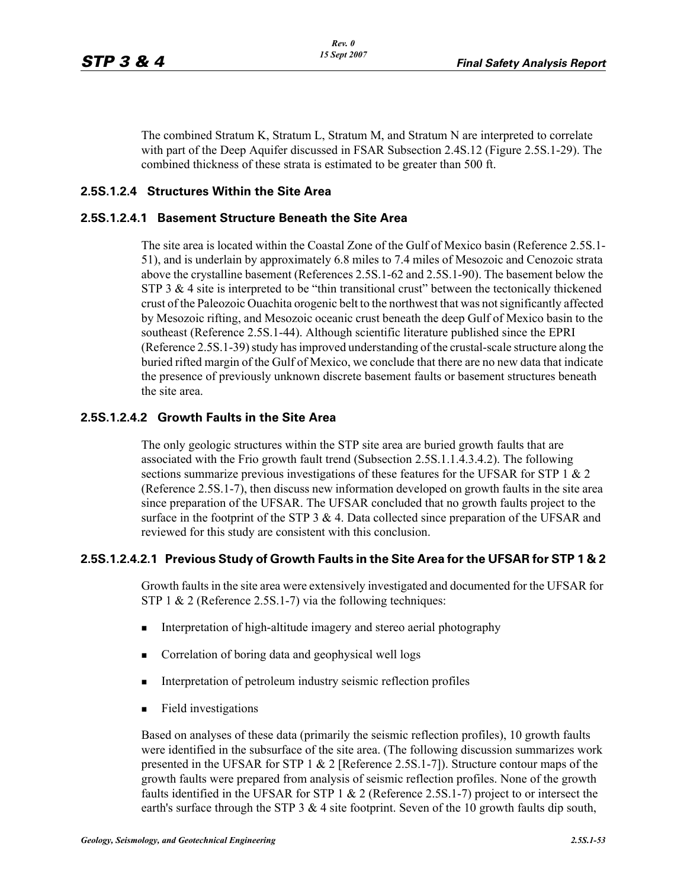The combined Stratum K, Stratum L, Stratum M, and Stratum N are interpreted to correlate with part of the Deep Aquifer discussed in FSAR Subsection 2.4S.12 (Figure 2.5S.1-29). The combined thickness of these strata is estimated to be greater than 500 ft.

# **2.5S.1.2.4 Structures Within the Site Area**

### **2.5S.1.2.4.1 Basement Structure Beneath the Site Area**

The site area is located within the Coastal Zone of the Gulf of Mexico basin (Reference 2.5S.1- 51), and is underlain by approximately 6.8 miles to 7.4 miles of Mesozoic and Cenozoic strata above the crystalline basement (References 2.5S.1-62 and 2.5S.1-90). The basement below the STP 3  $\&$  4 site is interpreted to be "thin transitional crust" between the tectonically thickened crust of the Paleozoic Ouachita orogenic belt to the northwest that was not significantly affected by Mesozoic rifting, and Mesozoic oceanic crust beneath the deep Gulf of Mexico basin to the southeast (Reference 2.5S.1-44). Although scientific literature published since the EPRI (Reference 2.5S.1-39) study has improved understanding of the crustal-scale structure along the buried rifted margin of the Gulf of Mexico, we conclude that there are no new data that indicate the presence of previously unknown discrete basement faults or basement structures beneath the site area.

### **2.5S.1.2.4.2 Growth Faults in the Site Area**

The only geologic structures within the STP site area are buried growth faults that are associated with the Frio growth fault trend (Subsection 2.5S.1.1.4.3.4.2). The following sections summarize previous investigations of these features for the UFSAR for STP 1  $\&$  2 (Reference 2.5S.1-7), then discuss new information developed on growth faults in the site area since preparation of the UFSAR. The UFSAR concluded that no growth faults project to the surface in the footprint of the STP 3 & 4. Data collected since preparation of the UFSAR and reviewed for this study are consistent with this conclusion.

# **2.5S.1.2.4.2.1 Previous Study of Growth Faults in the Site Area for the UFSAR for STP 1 & 2**

Growth faults in the site area were extensively investigated and documented for the UFSAR for STP 1 & 2 (Reference 2.5S.1-7) via the following techniques:

- **Interpretation of high-altitude imagery and stereo aerial photography**
- **Correlation of boring data and geophysical well logs**
- **Interpretation of petroleum industry seismic reflection profiles**
- **Field investigations**

Based on analyses of these data (primarily the seismic reflection profiles), 10 growth faults were identified in the subsurface of the site area. (The following discussion summarizes work presented in the UFSAR for STP 1 & 2 [Reference 2.5S.1-7]). Structure contour maps of the growth faults were prepared from analysis of seismic reflection profiles. None of the growth faults identified in the UFSAR for STP 1 & 2 (Reference 2.5S.1-7) project to or intersect the earth's surface through the STP 3  $&$  4 site footprint. Seven of the 10 growth faults dip south,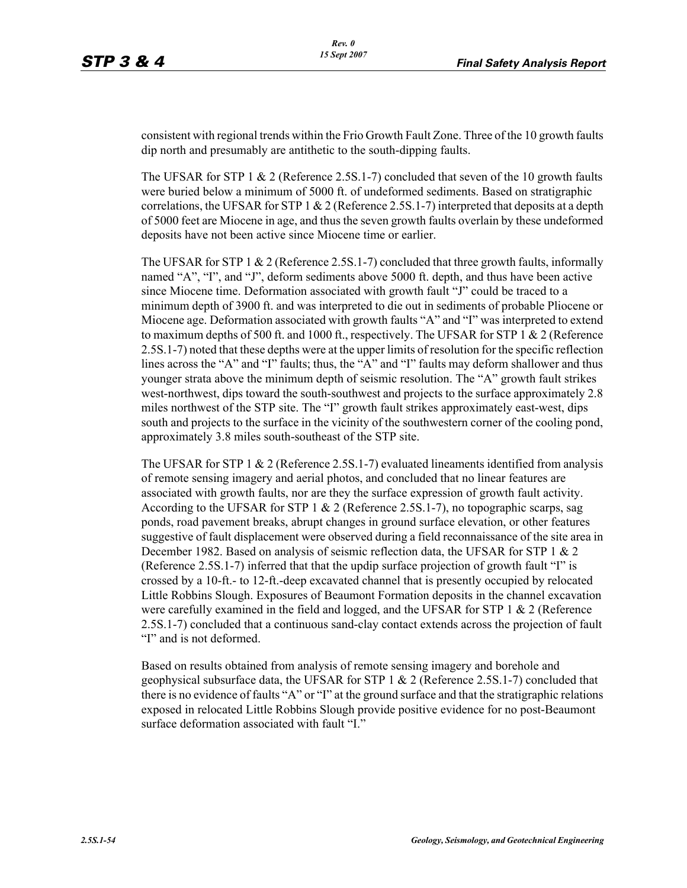consistent with regional trends within the Frio Growth Fault Zone. Three of the 10 growth faults dip north and presumably are antithetic to the south-dipping faults.

The UFSAR for STP 1  $\&$  2 (Reference 2.5S.1-7) concluded that seven of the 10 growth faults were buried below a minimum of 5000 ft. of undeformed sediments. Based on stratigraphic correlations, the UFSAR for STP 1  $& 2$  (Reference 2.5S.1-7) interpreted that deposits at a depth of 5000 feet are Miocene in age, and thus the seven growth faults overlain by these undeformed deposits have not been active since Miocene time or earlier.

The UFSAR for STP 1  $\&$  2 (Reference 2.5S.1-7) concluded that three growth faults, informally named "A", "I", and "J", deform sediments above 5000 ft. depth, and thus have been active since Miocene time. Deformation associated with growth fault "J" could be traced to a minimum depth of 3900 ft. and was interpreted to die out in sediments of probable Pliocene or Miocene age. Deformation associated with growth faults "A" and "I" was interpreted to extend to maximum depths of 500 ft. and 1000 ft., respectively. The UFSAR for STP 1  $\&$  2 (Reference 2.5S.1-7) noted that these depths were at the upper limits of resolution for the specific reflection lines across the "A" and "I" faults; thus, the "A" and "I" faults may deform shallower and thus younger strata above the minimum depth of seismic resolution. The "A" growth fault strikes west-northwest, dips toward the south-southwest and projects to the surface approximately 2.8 miles northwest of the STP site. The "I" growth fault strikes approximately east-west, dips south and projects to the surface in the vicinity of the southwestern corner of the cooling pond, approximately 3.8 miles south-southeast of the STP site.

The UFSAR for STP 1  $\&$  2 (Reference 2.5S.1-7) evaluated lineaments identified from analysis of remote sensing imagery and aerial photos, and concluded that no linear features are associated with growth faults, nor are they the surface expression of growth fault activity. According to the UFSAR for STP 1  $\&$  2 (Reference 2.5S.1-7), no topographic scarps, sag ponds, road pavement breaks, abrupt changes in ground surface elevation, or other features suggestive of fault displacement were observed during a field reconnaissance of the site area in December 1982. Based on analysis of seismic reflection data, the UFSAR for STP 1 & 2 (Reference 2.5S.1-7) inferred that that the updip surface projection of growth fault "I" is crossed by a 10-ft.- to 12-ft.-deep excavated channel that is presently occupied by relocated Little Robbins Slough. Exposures of Beaumont Formation deposits in the channel excavation were carefully examined in the field and logged, and the UFSAR for STP  $1 \& 2$  (Reference 2.5S.1-7) concluded that a continuous sand-clay contact extends across the projection of fault "I" and is not deformed.

Based on results obtained from analysis of remote sensing imagery and borehole and geophysical subsurface data, the UFSAR for STP  $1 \& 2$  (Reference 2.5S.1-7) concluded that there is no evidence of faults "A" or "I" at the ground surface and that the stratigraphic relations exposed in relocated Little Robbins Slough provide positive evidence for no post-Beaumont surface deformation associated with fault "I."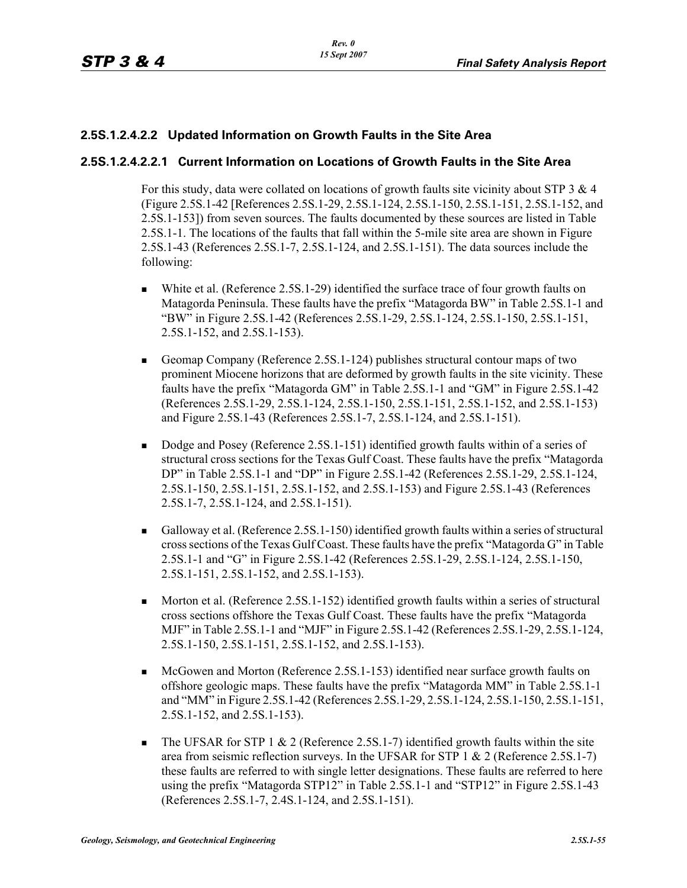# **2.5S.1.2.4.2.2 Updated Information on Growth Faults in the Site Area**

### **2.5S.1.2.4.2.2.1 Current Information on Locations of Growth Faults in the Site Area**

For this study, data were collated on locations of growth faults site vicinity about STP  $3 \& 4$ (Figure 2.5S.1-42 [References 2.5S.1-29, 2.5S.1-124, 2.5S.1-150, 2.5S.1-151, 2.5S.1-152, and 2.5S.1-153]) from seven sources. The faults documented by these sources are listed in Table 2.5S.1-1. The locations of the faults that fall within the 5-mile site area are shown in Figure 2.5S.1-43 (References 2.5S.1-7, 2.5S.1-124, and 2.5S.1-151). The data sources include the following:

- White et al. (Reference 2.5S.1-29) identified the surface trace of four growth faults on Matagorda Peninsula. These faults have the prefix "Matagorda BW" in Table 2.5S.1-1 and "BW" in Figure 2.5S.1-42 (References 2.5S.1-29, 2.5S.1-124, 2.5S.1-150, 2.5S.1-151, 2.5S.1-152, and 2.5S.1-153).
- Geomap Company (Reference 2.5S.1-124) publishes structural contour maps of two prominent Miocene horizons that are deformed by growth faults in the site vicinity. These faults have the prefix "Matagorda GM" in Table 2.5S.1-1 and "GM" in Figure 2.5S.1-42 (References 2.5S.1-29, 2.5S.1-124, 2.5S.1-150, 2.5S.1-151, 2.5S.1-152, and 2.5S.1-153) and Figure 2.5S.1-43 (References 2.5S.1-7, 2.5S.1-124, and 2.5S.1-151).
- Dodge and Posey (Reference 2.5S.1-151) identified growth faults within of a series of structural cross sections for the Texas Gulf Coast. These faults have the prefix "Matagorda DP" in Table 2.5S.1-1 and "DP" in Figure 2.5S.1-42 (References 2.5S.1-29, 2.5S.1-124, 2.5S.1-150, 2.5S.1-151, 2.5S.1-152, and 2.5S.1-153) and Figure 2.5S.1-43 (References 2.5S.1-7, 2.5S.1-124, and 2.5S.1-151).
- Galloway et al. (Reference 2.5S.1-150) identified growth faults within a series of structural cross sections of the Texas Gulf Coast. These faults have the prefix "Matagorda G" in Table 2.5S.1-1 and "G" in Figure 2.5S.1-42 (References 2.5S.1-29, 2.5S.1-124, 2.5S.1-150, 2.5S.1-151, 2.5S.1-152, and 2.5S.1-153).
- Morton et al. (Reference 2.5S.1-152) identified growth faults within a series of structural cross sections offshore the Texas Gulf Coast. These faults have the prefix "Matagorda MJF" in Table 2.5S.1-1 and "MJF" in Figure 2.5S.1-42 (References 2.5S.1-29, 2.5S.1-124, 2.5S.1-150, 2.5S.1-151, 2.5S.1-152, and 2.5S.1-153).
- McGowen and Morton (Reference 2.5S.1-153) identified near surface growth faults on offshore geologic maps. These faults have the prefix "Matagorda MM" in Table 2.5S.1-1 and "MM" in Figure 2.5S.1-42 (References 2.5S.1-29, 2.5S.1-124, 2.5S.1-150, 2.5S.1-151, 2.5S.1-152, and 2.5S.1-153).
- The UFSAR for STP 1  $\&$  2 (Reference 2.5S.1-7) identified growth faults within the site area from seismic reflection surveys. In the UFSAR for STP 1 & 2 (Reference 2.5S.1-7) these faults are referred to with single letter designations. These faults are referred to here using the prefix "Matagorda STP12" in Table 2.5S.1-1 and "STP12" in Figure 2.5S.1-43 (References 2.5S.1-7, 2.4S.1-124, and 2.5S.1-151).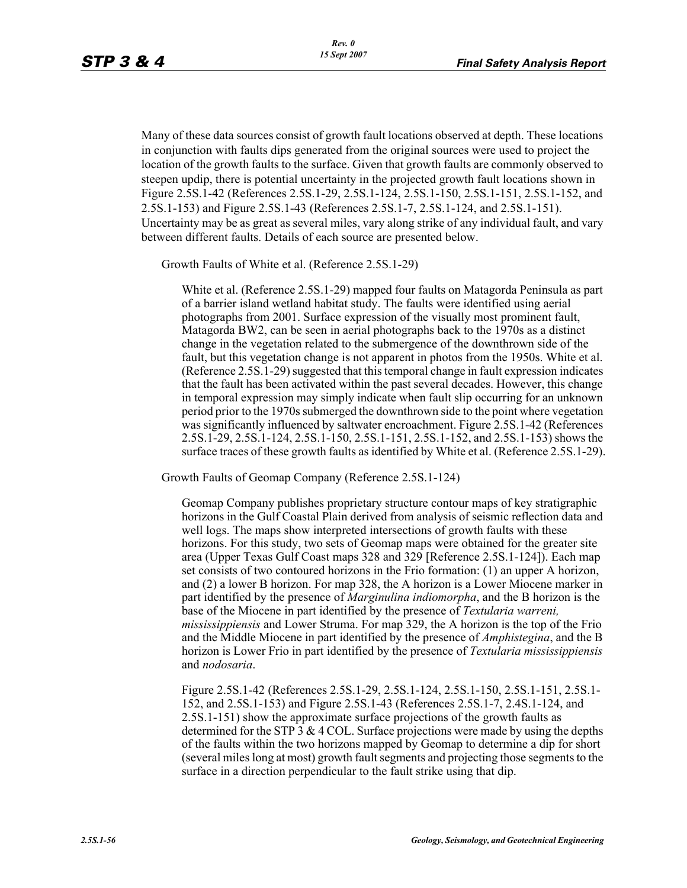Many of these data sources consist of growth fault locations observed at depth. These locations in conjunction with faults dips generated from the original sources were used to project the location of the growth faults to the surface. Given that growth faults are commonly observed to steepen updip, there is potential uncertainty in the projected growth fault locations shown in Figure 2.5S.1-42 (References 2.5S.1-29, 2.5S.1-124, 2.5S.1-150, 2.5S.1-151, 2.5S.1-152, and 2.5S.1-153) and Figure 2.5S.1-43 (References 2.5S.1-7, 2.5S.1-124, and 2.5S.1-151). Uncertainty may be as great as several miles, vary along strike of any individual fault, and vary between different faults. Details of each source are presented below.

Growth Faults of White et al. (Reference 2.5S.1-29)

White et al. (Reference 2.5S.1-29) mapped four faults on Matagorda Peninsula as part of a barrier island wetland habitat study. The faults were identified using aerial photographs from 2001. Surface expression of the visually most prominent fault, Matagorda BW2, can be seen in aerial photographs back to the 1970s as a distinct change in the vegetation related to the submergence of the downthrown side of the fault, but this vegetation change is not apparent in photos from the 1950s. White et al. (Reference 2.5S.1-29) suggested that this temporal change in fault expression indicates that the fault has been activated within the past several decades. However, this change in temporal expression may simply indicate when fault slip occurring for an unknown period prior to the 1970s submerged the downthrown side to the point where vegetation was significantly influenced by saltwater encroachment. Figure 2.5S.1-42 (References 2.5S.1-29, 2.5S.1-124, 2.5S.1-150, 2.5S.1-151, 2.5S.1-152, and 2.5S.1-153) shows the surface traces of these growth faults as identified by White et al. (Reference 2.5S.1-29).

Growth Faults of Geomap Company (Reference 2.5S.1-124)

Geomap Company publishes proprietary structure contour maps of key stratigraphic horizons in the Gulf Coastal Plain derived from analysis of seismic reflection data and well logs. The maps show interpreted intersections of growth faults with these horizons. For this study, two sets of Geomap maps were obtained for the greater site area (Upper Texas Gulf Coast maps 328 and 329 [Reference 2.5S.1-124]). Each map set consists of two contoured horizons in the Frio formation: (1) an upper A horizon, and (2) a lower B horizon. For map 328, the A horizon is a Lower Miocene marker in part identified by the presence of *Marginulina indiomorpha*, and the B horizon is the base of the Miocene in part identified by the presence of *Textularia warreni, mississippiensis* and Lower Struma. For map 329, the A horizon is the top of the Frio and the Middle Miocene in part identified by the presence of *Amphistegina*, and the B horizon is Lower Frio in part identified by the presence of *Textularia mississippiensis* and *nodosaria*.

Figure 2.5S.1-42 (References 2.5S.1-29, 2.5S.1-124, 2.5S.1-150, 2.5S.1-151, 2.5S.1- 152, and 2.5S.1-153) and Figure 2.5S.1-43 (References 2.5S.1-7, 2.4S.1-124, and 2.5S.1-151) show the approximate surface projections of the growth faults as determined for the STP 3  $\&$  4 COL. Surface projections were made by using the depths of the faults within the two horizons mapped by Geomap to determine a dip for short (several miles long at most) growth fault segments and projecting those segments to the surface in a direction perpendicular to the fault strike using that dip.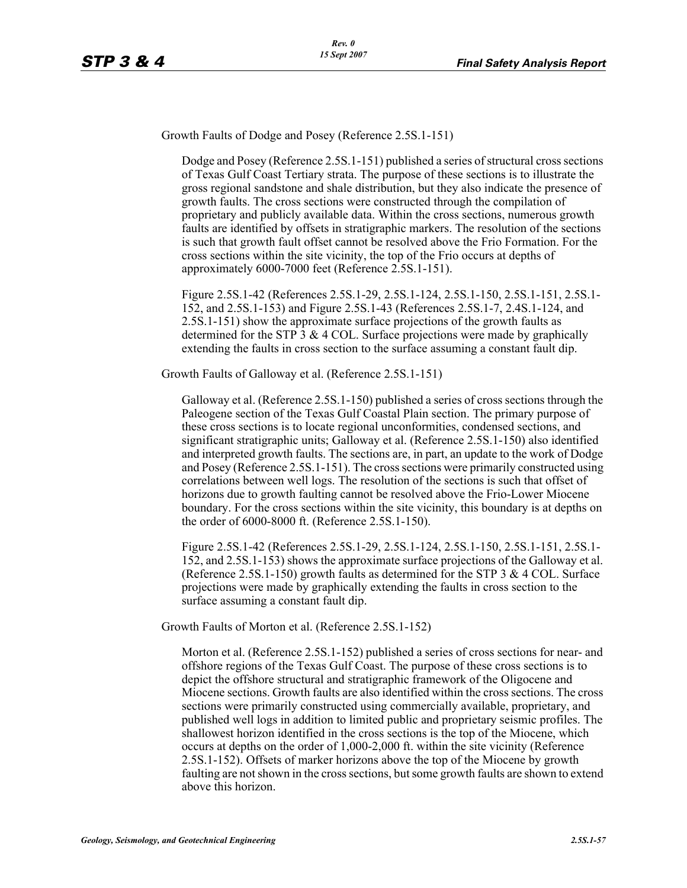Growth Faults of Dodge and Posey (Reference 2.5S.1-151)

Dodge and Posey (Reference 2.5S.1-151) published a series of structural cross sections of Texas Gulf Coast Tertiary strata. The purpose of these sections is to illustrate the gross regional sandstone and shale distribution, but they also indicate the presence of growth faults. The cross sections were constructed through the compilation of proprietary and publicly available data. Within the cross sections, numerous growth faults are identified by offsets in stratigraphic markers. The resolution of the sections is such that growth fault offset cannot be resolved above the Frio Formation. For the cross sections within the site vicinity, the top of the Frio occurs at depths of approximately 6000-7000 feet (Reference 2.5S.1-151).

Figure 2.5S.1-42 (References 2.5S.1-29, 2.5S.1-124, 2.5S.1-150, 2.5S.1-151, 2.5S.1- 152, and 2.5S.1-153) and Figure 2.5S.1-43 (References 2.5S.1-7, 2.4S.1-124, and 2.5S.1-151) show the approximate surface projections of the growth faults as determined for the STP 3  $\&$  4 COL. Surface projections were made by graphically extending the faults in cross section to the surface assuming a constant fault dip.

Growth Faults of Galloway et al. (Reference 2.5S.1-151)

Galloway et al. (Reference 2.5S.1-150) published a series of cross sections through the Paleogene section of the Texas Gulf Coastal Plain section. The primary purpose of these cross sections is to locate regional unconformities, condensed sections, and significant stratigraphic units; Galloway et al. (Reference 2.5S.1-150) also identified and interpreted growth faults. The sections are, in part, an update to the work of Dodge and Posey (Reference 2.5S.1-151). The cross sections were primarily constructed using correlations between well logs. The resolution of the sections is such that offset of horizons due to growth faulting cannot be resolved above the Frio-Lower Miocene boundary. For the cross sections within the site vicinity, this boundary is at depths on the order of 6000-8000 ft. (Reference 2.5S.1-150).

Figure 2.5S.1-42 (References 2.5S.1-29, 2.5S.1-124, 2.5S.1-150, 2.5S.1-151, 2.5S.1- 152, and 2.5S.1-153) shows the approximate surface projections of the Galloway et al. (Reference 2.5S.1-150) growth faults as determined for the STP 3  $& 4$  COL. Surface projections were made by graphically extending the faults in cross section to the surface assuming a constant fault dip.

Growth Faults of Morton et al. (Reference 2.5S.1-152)

Morton et al. (Reference 2.5S.1-152) published a series of cross sections for near- and offshore regions of the Texas Gulf Coast. The purpose of these cross sections is to depict the offshore structural and stratigraphic framework of the Oligocene and Miocene sections. Growth faults are also identified within the cross sections. The cross sections were primarily constructed using commercially available, proprietary, and published well logs in addition to limited public and proprietary seismic profiles. The shallowest horizon identified in the cross sections is the top of the Miocene, which occurs at depths on the order of 1,000-2,000 ft. within the site vicinity (Reference 2.5S.1-152). Offsets of marker horizons above the top of the Miocene by growth faulting are not shown in the cross sections, but some growth faults are shown to extend above this horizon.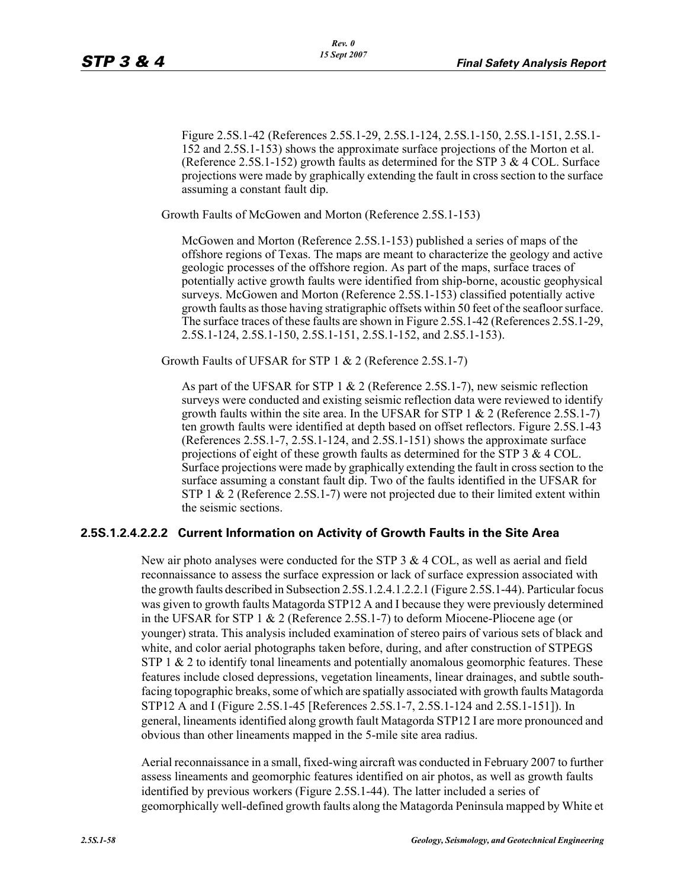Figure 2.5S.1-42 (References 2.5S.1-29, 2.5S.1-124, 2.5S.1-150, 2.5S.1-151, 2.5S.1- 152 and 2.5S.1-153) shows the approximate surface projections of the Morton et al. (Reference 2.5S.1-152) growth faults as determined for the STP 3 & 4 COL. Surface projections were made by graphically extending the fault in cross section to the surface assuming a constant fault dip.

Growth Faults of McGowen and Morton (Reference 2.5S.1-153)

McGowen and Morton (Reference 2.5S.1-153) published a series of maps of the offshore regions of Texas. The maps are meant to characterize the geology and active geologic processes of the offshore region. As part of the maps, surface traces of potentially active growth faults were identified from ship-borne, acoustic geophysical surveys. McGowen and Morton (Reference 2.5S.1-153) classified potentially active growth faults as those having stratigraphic offsets within 50 feet of the seafloor surface. The surface traces of these faults are shown in Figure 2.5S.1-42 (References 2.5S.1-29, 2.5S.1-124, 2.5S.1-150, 2.5S.1-151, 2.5S.1-152, and 2.S5.1-153).

Growth Faults of UFSAR for STP 1 & 2 (Reference 2.5S.1-7)

As part of the UFSAR for STP 1 & 2 (Reference 2.5S.1-7), new seismic reflection surveys were conducted and existing seismic reflection data were reviewed to identify growth faults within the site area. In the UFSAR for STP 1  $\&$  2 (Reference 2.5S.1-7) ten growth faults were identified at depth based on offset reflectors. Figure 2.5S.1-43 (References 2.5S.1-7, 2.5S.1-124, and 2.5S.1-151) shows the approximate surface projections of eight of these growth faults as determined for the STP 3  $\&$  4 COL. Surface projections were made by graphically extending the fault in cross section to the surface assuming a constant fault dip. Two of the faults identified in the UFSAR for STP 1 & 2 (Reference 2.5S.1-7) were not projected due to their limited extent within the seismic sections.

#### **2.5S.1.2.4.2.2.2 Current Information on Activity of Growth Faults in the Site Area**

New air photo analyses were conducted for the STP 3 & 4 COL, as well as aerial and field reconnaissance to assess the surface expression or lack of surface expression associated with the growth faults described in Subsection 2.5S.1.2.4.1.2.2.1 (Figure 2.5S.1-44). Particular focus was given to growth faults Matagorda STP12 A and I because they were previously determined in the UFSAR for STP 1 & 2 (Reference 2.5S.1-7) to deform Miocene-Pliocene age (or younger) strata. This analysis included examination of stereo pairs of various sets of black and white, and color aerial photographs taken before, during, and after construction of STPEGS STP 1  $&$  2 to identify tonal lineaments and potentially anomalous geomorphic features. These features include closed depressions, vegetation lineaments, linear drainages, and subtle southfacing topographic breaks, some of which are spatially associated with growth faults Matagorda STP12 A and I (Figure 2.5S.1-45 [References 2.5S.1-7, 2.5S.1-124 and 2.5S.1-151]). In general, lineaments identified along growth fault Matagorda STP12 I are more pronounced and obvious than other lineaments mapped in the 5-mile site area radius.

Aerial reconnaissance in a small, fixed-wing aircraft was conducted in February 2007 to further assess lineaments and geomorphic features identified on air photos, as well as growth faults identified by previous workers (Figure 2.5S.1-44). The latter included a series of geomorphically well-defined growth faults along the Matagorda Peninsula mapped by White et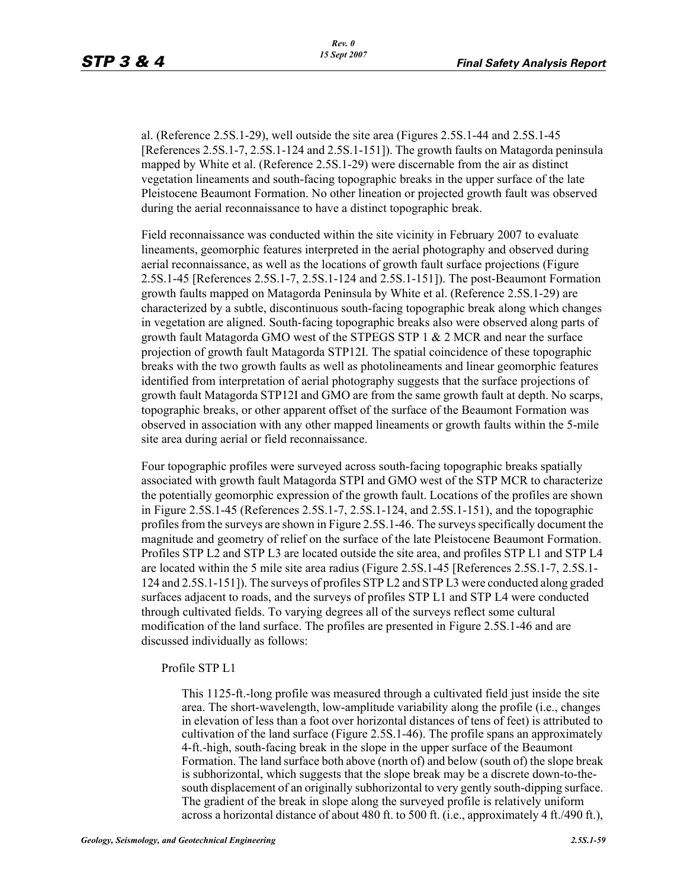al. (Reference 2.5S.1-29), well outside the site area (Figures 2.5S.1-44 and 2.5S.1-45 [References 2.5S.1-7, 2.5S.1-124 and 2.5S.1-151]). The growth faults on Matagorda peninsula mapped by White et al. (Reference 2.5S.1-29) were discernable from the air as distinct vegetation lineaments and south-facing topographic breaks in the upper surface of the late Pleistocene Beaumont Formation. No other lineation or projected growth fault was observed during the aerial reconnaissance to have a distinct topographic break.

Field reconnaissance was conducted within the site vicinity in February 2007 to evaluate lineaments, geomorphic features interpreted in the aerial photography and observed during aerial reconnaissance, as well as the locations of growth fault surface projections (Figure 2.5S.1-45 [References 2.5S.1-7, 2.5S.1-124 and 2.5S.1-151]). The post-Beaumont Formation growth faults mapped on Matagorda Peninsula by White et al. (Reference 2.5S.1-29) are characterized by a subtle, discontinuous south-facing topographic break along which changes in vegetation are aligned. South-facing topographic breaks also were observed along parts of growth fault Matagorda GMO west of the STPEGS STP 1 & 2 MCR and near the surface projection of growth fault Matagorda STP12I. The spatial coincidence of these topographic breaks with the two growth faults as well as photolineaments and linear geomorphic features identified from interpretation of aerial photography suggests that the surface projections of growth fault Matagorda STP12I and GMO are from the same growth fault at depth. No scarps, topographic breaks, or other apparent offset of the surface of the Beaumont Formation was observed in association with any other mapped lineaments or growth faults within the 5-mile site area during aerial or field reconnaissance.

Four topographic profiles were surveyed across south-facing topographic breaks spatially associated with growth fault Matagorda STPI and GMO west of the STP MCR to characterize the potentially geomorphic expression of the growth fault. Locations of the profiles are shown in Figure 2.5S.1-45 (References 2.5S.1-7, 2.5S.1-124, and 2.5S.1-151), and the topographic profiles from the surveys are shown in Figure 2.5S.1-46. The surveys specifically document the magnitude and geometry of relief on the surface of the late Pleistocene Beaumont Formation. Profiles STP L2 and STP L3 are located outside the site area, and profiles STP L1 and STP L4 are located within the 5 mile site area radius (Figure 2.5S.1-45 [References 2.5S.1-7, 2.5S.1- 124 and 2.5S.1-151]). The surveys of profiles STP L2 and STP L3 were conducted along graded surfaces adjacent to roads, and the surveys of profiles STP L1 and STP L4 were conducted through cultivated fields. To varying degrees all of the surveys reflect some cultural modification of the land surface. The profiles are presented in Figure 2.5S.1-46 and are discussed individually as follows:

#### Profile STP L1

This 1125-ft.-long profile was measured through a cultivated field just inside the site area. The short-wavelength, low-amplitude variability along the profile (i.e., changes in elevation of less than a foot over horizontal distances of tens of feet) is attributed to cultivation of the land surface (Figure 2.5S.1-46). The profile spans an approximately 4-ft.-high, south-facing break in the slope in the upper surface of the Beaumont Formation. The land surface both above (north of) and below (south of) the slope break is subhorizontal, which suggests that the slope break may be a discrete down-to-thesouth displacement of an originally subhorizontal to very gently south-dipping surface. The gradient of the break in slope along the surveyed profile is relatively uniform across a horizontal distance of about 480 ft. to 500 ft. (i.e., approximately 4 ft./490 ft.),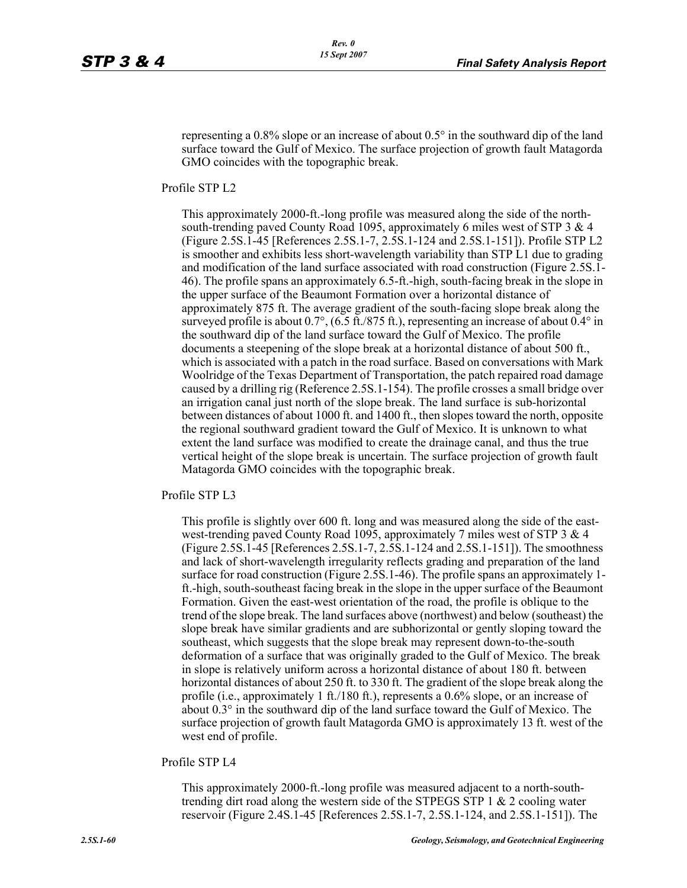representing a 0.8% slope or an increase of about 0.5° in the southward dip of the land surface toward the Gulf of Mexico. The surface projection of growth fault Matagorda GMO coincides with the topographic break.

Profile STP L2

This approximately 2000-ft.-long profile was measured along the side of the northsouth-trending paved County Road 1095, approximately 6 miles west of STP 3 & 4 (Figure 2.5S.1-45 [References 2.5S.1-7, 2.5S.1-124 and 2.5S.1-151]). Profile STP L2 is smoother and exhibits less short-wavelength variability than STP L1 due to grading and modification of the land surface associated with road construction (Figure 2.5S.1- 46). The profile spans an approximately 6.5-ft.-high, south-facing break in the slope in the upper surface of the Beaumont Formation over a horizontal distance of approximately 875 ft. The average gradient of the south-facing slope break along the surveyed profile is about  $0.7^{\circ}$ , (6.5 ft./875 ft.), representing an increase of about  $0.4^{\circ}$  in the southward dip of the land surface toward the Gulf of Mexico. The profile documents a steepening of the slope break at a horizontal distance of about 500 ft., which is associated with a patch in the road surface. Based on conversations with Mark Woolridge of the Texas Department of Transportation, the patch repaired road damage caused by a drilling rig (Reference 2.5S.1-154). The profile crosses a small bridge over an irrigation canal just north of the slope break. The land surface is sub-horizontal between distances of about 1000 ft. and 1400 ft., then slopes toward the north, opposite the regional southward gradient toward the Gulf of Mexico. It is unknown to what extent the land surface was modified to create the drainage canal, and thus the true vertical height of the slope break is uncertain. The surface projection of growth fault Matagorda GMO coincides with the topographic break.

Profile STP L3

This profile is slightly over 600 ft. long and was measured along the side of the eastwest-trending paved County Road 1095, approximately 7 miles west of STP 3 & 4 (Figure 2.5S.1-45 [References 2.5S.1-7, 2.5S.1-124 and 2.5S.1-151]). The smoothness and lack of short-wavelength irregularity reflects grading and preparation of the land surface for road construction (Figure 2.5S.1-46). The profile spans an approximately 1 ft.-high, south-southeast facing break in the slope in the upper surface of the Beaumont Formation. Given the east-west orientation of the road, the profile is oblique to the trend of the slope break. The land surfaces above (northwest) and below (southeast) the slope break have similar gradients and are subhorizontal or gently sloping toward the southeast, which suggests that the slope break may represent down-to-the-south deformation of a surface that was originally graded to the Gulf of Mexico. The break in slope is relatively uniform across a horizontal distance of about 180 ft. between horizontal distances of about 250 ft. to 330 ft. The gradient of the slope break along the profile (i.e., approximately 1 ft./180 ft.), represents a 0.6% slope, or an increase of about 0.3° in the southward dip of the land surface toward the Gulf of Mexico. The surface projection of growth fault Matagorda GMO is approximately 13 ft. west of the west end of profile.

Profile STP L4

This approximately 2000-ft.-long profile was measured adjacent to a north-southtrending dirt road along the western side of the STPEGS STP 1 & 2 cooling water reservoir (Figure 2.4S.1-45 [References 2.5S.1-7, 2.5S.1-124, and 2.5S.1-151]). The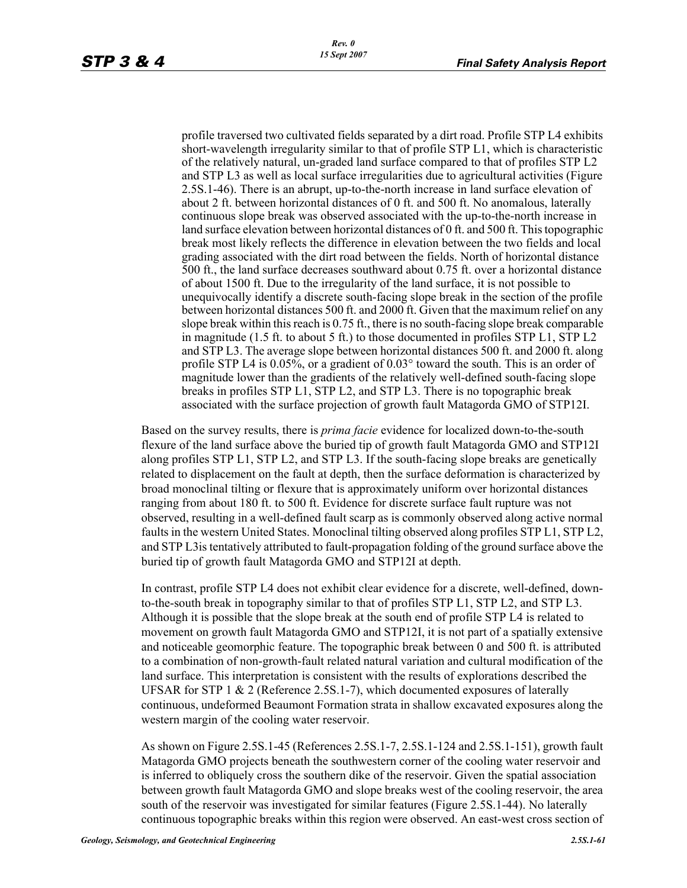profile traversed two cultivated fields separated by a dirt road. Profile STP L4 exhibits short-wavelength irregularity similar to that of profile STP L1, which is characteristic of the relatively natural, un-graded land surface compared to that of profiles STP L2 and STP L3 as well as local surface irregularities due to agricultural activities (Figure 2.5S.1-46). There is an abrupt, up-to-the-north increase in land surface elevation of about 2 ft. between horizontal distances of 0 ft. and 500 ft. No anomalous, laterally continuous slope break was observed associated with the up-to-the-north increase in land surface elevation between horizontal distances of 0 ft. and 500 ft. This topographic break most likely reflects the difference in elevation between the two fields and local grading associated with the dirt road between the fields. North of horizontal distance 500 ft., the land surface decreases southward about 0.75 ft. over a horizontal distance of about 1500 ft. Due to the irregularity of the land surface, it is not possible to unequivocally identify a discrete south-facing slope break in the section of the profile between horizontal distances 500 ft. and 2000 ft. Given that the maximum relief on any slope break within this reach is 0.75 ft., there is no south-facing slope break comparable in magnitude (1.5 ft. to about 5 ft.) to those documented in profiles STP L1, STP L2 and STP L3. The average slope between horizontal distances 500 ft. and 2000 ft. along profile STP L4 is 0.05%, or a gradient of 0.03° toward the south. This is an order of magnitude lower than the gradients of the relatively well-defined south-facing slope breaks in profiles STP L1, STP L2, and STP L3. There is no topographic break associated with the surface projection of growth fault Matagorda GMO of STP12I.

Based on the survey results, there is *prima facie* evidence for localized down-to-the-south flexure of the land surface above the buried tip of growth fault Matagorda GMO and STP12I along profiles STP L1, STP L2, and STP L3. If the south-facing slope breaks are genetically related to displacement on the fault at depth, then the surface deformation is characterized by broad monoclinal tilting or flexure that is approximately uniform over horizontal distances ranging from about 180 ft. to 500 ft. Evidence for discrete surface fault rupture was not observed, resulting in a well-defined fault scarp as is commonly observed along active normal faults in the western United States. Monoclinal tilting observed along profiles STP L1, STP L2, and STP L3is tentatively attributed to fault-propagation folding of the ground surface above the buried tip of growth fault Matagorda GMO and STP12I at depth.

In contrast, profile STP L4 does not exhibit clear evidence for a discrete, well-defined, downto-the-south break in topography similar to that of profiles STP L1, STP L2, and STP L3. Although it is possible that the slope break at the south end of profile STP L4 is related to movement on growth fault Matagorda GMO and STP12I, it is not part of a spatially extensive and noticeable geomorphic feature. The topographic break between 0 and 500 ft. is attributed to a combination of non-growth-fault related natural variation and cultural modification of the land surface. This interpretation is consistent with the results of explorations described the UFSAR for STP 1 & 2 (Reference 2.5S.1-7), which documented exposures of laterally continuous, undeformed Beaumont Formation strata in shallow excavated exposures along the western margin of the cooling water reservoir.

As shown on Figure 2.5S.1-45 (References 2.5S.1-7, 2.5S.1-124 and 2.5S.1-151), growth fault Matagorda GMO projects beneath the southwestern corner of the cooling water reservoir and is inferred to obliquely cross the southern dike of the reservoir. Given the spatial association between growth fault Matagorda GMO and slope breaks west of the cooling reservoir, the area south of the reservoir was investigated for similar features (Figure 2.5S.1-44). No laterally continuous topographic breaks within this region were observed. An east-west cross section of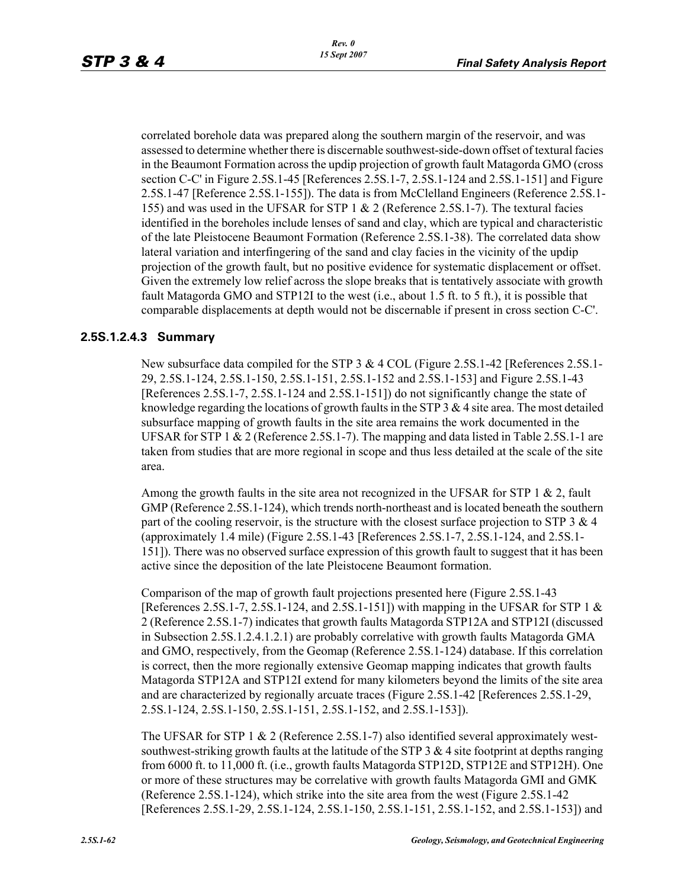correlated borehole data was prepared along the southern margin of the reservoir, and was assessed to determine whether there is discernable southwest-side-down offset of textural facies in the Beaumont Formation across the updip projection of growth fault Matagorda GMO (cross section C-C' in Figure 2.5S.1-45 [References 2.5S.1-7, 2.5S.1-124 and 2.5S.1-151] and Figure 2.5S.1-47 [Reference 2.5S.1-155]). The data is from McClelland Engineers (Reference 2.5S.1- 155) and was used in the UFSAR for STP 1 & 2 (Reference 2.5S.1-7). The textural facies identified in the boreholes include lenses of sand and clay, which are typical and characteristic of the late Pleistocene Beaumont Formation (Reference 2.5S.1-38). The correlated data show lateral variation and interfingering of the sand and clay facies in the vicinity of the updip projection of the growth fault, but no positive evidence for systematic displacement or offset. Given the extremely low relief across the slope breaks that is tentatively associate with growth fault Matagorda GMO and STP12I to the west (i.e., about 1.5 ft. to 5 ft.), it is possible that comparable displacements at depth would not be discernable if present in cross section C-C'.

#### **2.5S.1.2.4.3 Summary**

New subsurface data compiled for the STP 3 & 4 COL (Figure 2.5S.1-42 [References 2.5S.1-29, 2.5S.1-124, 2.5S.1-150, 2.5S.1-151, 2.5S.1-152 and 2.5S.1-153] and Figure 2.5S.1-43 [References 2.5S.1-7, 2.5S.1-124 and 2.5S.1-151]) do not significantly change the state of knowledge regarding the locations of growth faults in the STP  $3 \& 4$  site area. The most detailed subsurface mapping of growth faults in the site area remains the work documented in the UFSAR for STP  $1 \& 2$  (Reference 2.5S.1-7). The mapping and data listed in Table 2.5S.1-1 are taken from studies that are more regional in scope and thus less detailed at the scale of the site area.

Among the growth faults in the site area not recognized in the UFSAR for STP  $1 \& 2$ , fault GMP (Reference 2.5S.1-124), which trends north-northeast and is located beneath the southern part of the cooling reservoir, is the structure with the closest surface projection to STP 3  $\&$  4 (approximately 1.4 mile) (Figure 2.5S.1-43 [References 2.5S.1-7, 2.5S.1-124, and 2.5S.1- 151]). There was no observed surface expression of this growth fault to suggest that it has been active since the deposition of the late Pleistocene Beaumont formation.

Comparison of the map of growth fault projections presented here (Figure 2.5S.1-43 [References 2.5S.1-7, 2.5S.1-124, and 2.5S.1-151]) with mapping in the UFSAR for STP 1  $\&$ 2 (Reference 2.5S.1-7) indicates that growth faults Matagorda STP12A and STP12I (discussed in Subsection 2.5S.1.2.4.1.2.1) are probably correlative with growth faults Matagorda GMA and GMO, respectively, from the Geomap (Reference 2.5S.1-124) database. If this correlation is correct, then the more regionally extensive Geomap mapping indicates that growth faults Matagorda STP12A and STP12I extend for many kilometers beyond the limits of the site area and are characterized by regionally arcuate traces (Figure 2.5S.1-42 [References 2.5S.1-29, 2.5S.1-124, 2.5S.1-150, 2.5S.1-151, 2.5S.1-152, and 2.5S.1-153]).

The UFSAR for STP 1  $\&$  2 (Reference 2.5S.1-7) also identified several approximately westsouthwest-striking growth faults at the latitude of the STP 3  $\&$  4 site footprint at depths ranging from 6000 ft. to 11,000 ft. (i.e., growth faults Matagorda STP12D, STP12E and STP12H). One or more of these structures may be correlative with growth faults Matagorda GMI and GMK (Reference 2.5S.1-124), which strike into the site area from the west (Figure 2.5S.1-42 [References 2.5S.1-29, 2.5S.1-124, 2.5S.1-150, 2.5S.1-151, 2.5S.1-152, and 2.5S.1-153]) and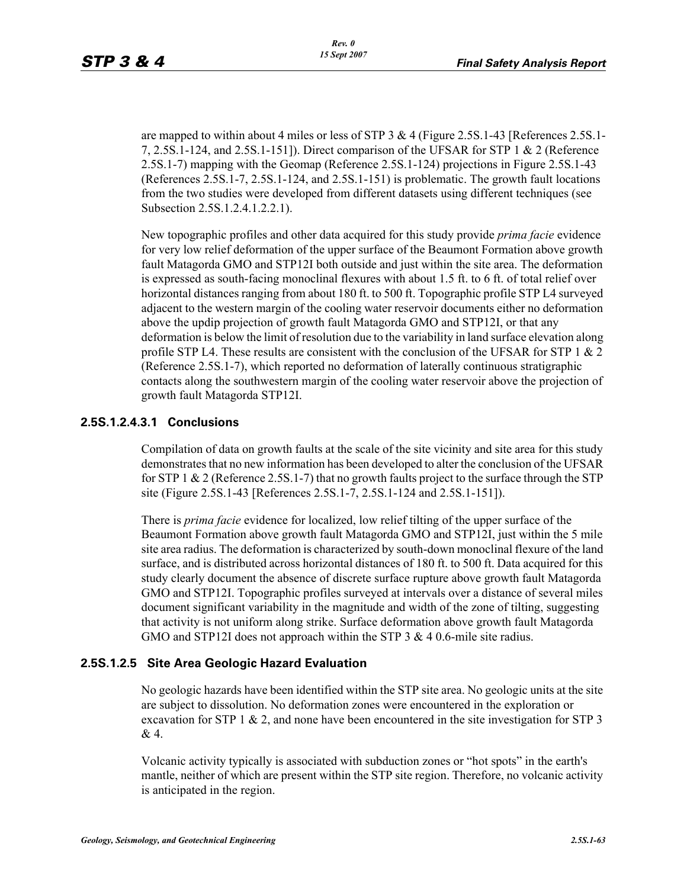are mapped to within about 4 miles or less of STP 3 & 4 (Figure 2.5S.1-43 [References 2.5S.1-7, 2.5S.1-124, and 2.5S.1-151]). Direct comparison of the UFSAR for STP 1 & 2 (Reference 2.5S.1-7) mapping with the Geomap (Reference 2.5S.1-124) projections in Figure 2.5S.1-43 (References 2.5S.1-7, 2.5S.1-124, and 2.5S.1-151) is problematic. The growth fault locations from the two studies were developed from different datasets using different techniques (see Subsection 2.5S.1.2.4.1.2.2.1).

New topographic profiles and other data acquired for this study provide *prima facie* evidence for very low relief deformation of the upper surface of the Beaumont Formation above growth fault Matagorda GMO and STP12I both outside and just within the site area. The deformation is expressed as south-facing monoclinal flexures with about 1.5 ft. to 6 ft. of total relief over horizontal distances ranging from about 180 ft. to 500 ft. Topographic profile STP L4 surveyed adjacent to the western margin of the cooling water reservoir documents either no deformation above the updip projection of growth fault Matagorda GMO and STP12I, or that any deformation is below the limit of resolution due to the variability in land surface elevation along profile STP L4. These results are consistent with the conclusion of the UFSAR for STP 1  $\&$  2 (Reference 2.5S.1-7), which reported no deformation of laterally continuous stratigraphic contacts along the southwestern margin of the cooling water reservoir above the projection of growth fault Matagorda STP12I.

#### **2.5S.1.2.4.3.1 Conclusions**

Compilation of data on growth faults at the scale of the site vicinity and site area for this study demonstrates that no new information has been developed to alter the conclusion of the UFSAR for STP 1  $\&$  2 (Reference 2.5S.1-7) that no growth faults project to the surface through the STP site (Figure 2.5S.1-43 [References 2.5S.1-7, 2.5S.1-124 and 2.5S.1-151]).

There is *prima facie* evidence for localized, low relief tilting of the upper surface of the Beaumont Formation above growth fault Matagorda GMO and STP12I, just within the 5 mile site area radius. The deformation is characterized by south-down monoclinal flexure of the land surface, and is distributed across horizontal distances of 180 ft. to 500 ft. Data acquired for this study clearly document the absence of discrete surface rupture above growth fault Matagorda GMO and STP12I. Topographic profiles surveyed at intervals over a distance of several miles document significant variability in the magnitude and width of the zone of tilting, suggesting that activity is not uniform along strike. Surface deformation above growth fault Matagorda GMO and STP12I does not approach within the STP 3 & 4 0.6-mile site radius.

# **2.5S.1.2.5 Site Area Geologic Hazard Evaluation**

No geologic hazards have been identified within the STP site area. No geologic units at the site are subject to dissolution. No deformation zones were encountered in the exploration or excavation for STP 1  $\&$  2, and none have been encountered in the site investigation for STP 3 & 4.

Volcanic activity typically is associated with subduction zones or "hot spots" in the earth's mantle, neither of which are present within the STP site region. Therefore, no volcanic activity is anticipated in the region.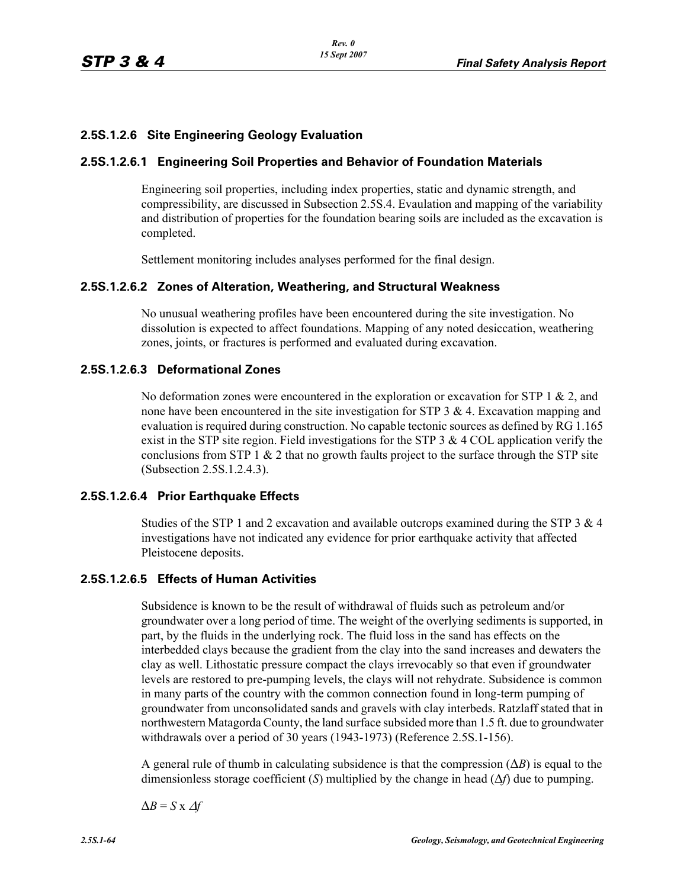# **2.5S.1.2.6 Site Engineering Geology Evaluation**

# **2.5S.1.2.6.1 Engineering Soil Properties and Behavior of Foundation Materials**

Engineering soil properties, including index properties, static and dynamic strength, and compressibility, are discussed in Subsection 2.5S.4. Evaulation and mapping of the variability and distribution of properties for the foundation bearing soils are included as the excavation is completed.

Settlement monitoring includes analyses performed for the final design.

### **2.5S.1.2.6.2 Zones of Alteration, Weathering, and Structural Weakness**

No unusual weathering profiles have been encountered during the site investigation. No dissolution is expected to affect foundations. Mapping of any noted desiccation, weathering zones, joints, or fractures is performed and evaluated during excavation.

### **2.5S.1.2.6.3 Deformational Zones**

No deformation zones were encountered in the exploration or excavation for STP 1 & 2, and none have been encountered in the site investigation for STP  $3 \& 4$ . Excavation mapping and evaluation is required during construction. No capable tectonic sources as defined by RG 1.165 exist in the STP site region. Field investigations for the STP  $3 \& 4 \text{ COL application verify the}$ conclusions from STP 1  $\&$  2 that no growth faults project to the surface through the STP site (Subsection 2.5S.1.2.4.3).

#### **2.5S.1.2.6.4 Prior Earthquake Effects**

Studies of the STP 1 and 2 excavation and available outcrops examined during the STP 3  $\&$  4 investigations have not indicated any evidence for prior earthquake activity that affected Pleistocene deposits.

### **2.5S.1.2.6.5 Effects of Human Activities**

Subsidence is known to be the result of withdrawal of fluids such as petroleum and/or groundwater over a long period of time. The weight of the overlying sediments is supported, in part, by the fluids in the underlying rock. The fluid loss in the sand has effects on the interbedded clays because the gradient from the clay into the sand increases and dewaters the clay as well. Lithostatic pressure compact the clays irrevocably so that even if groundwater levels are restored to pre-pumping levels, the clays will not rehydrate. Subsidence is common in many parts of the country with the common connection found in long-term pumping of groundwater from unconsolidated sands and gravels with clay interbeds. Ratzlaff stated that in northwestern Matagorda County, the land surface subsided more than 1.5 ft. due to groundwater withdrawals over a period of 30 years (1943-1973) (Reference 2.5S.1-156).

A general rule of thumb in calculating subsidence is that the compression (Δ*B*) is equal to the dimensionless storage coefficient (*S*) multiplied by the change in head ( $\Delta f$ ) due to pumping.

 $\Delta B = S \times \Delta f$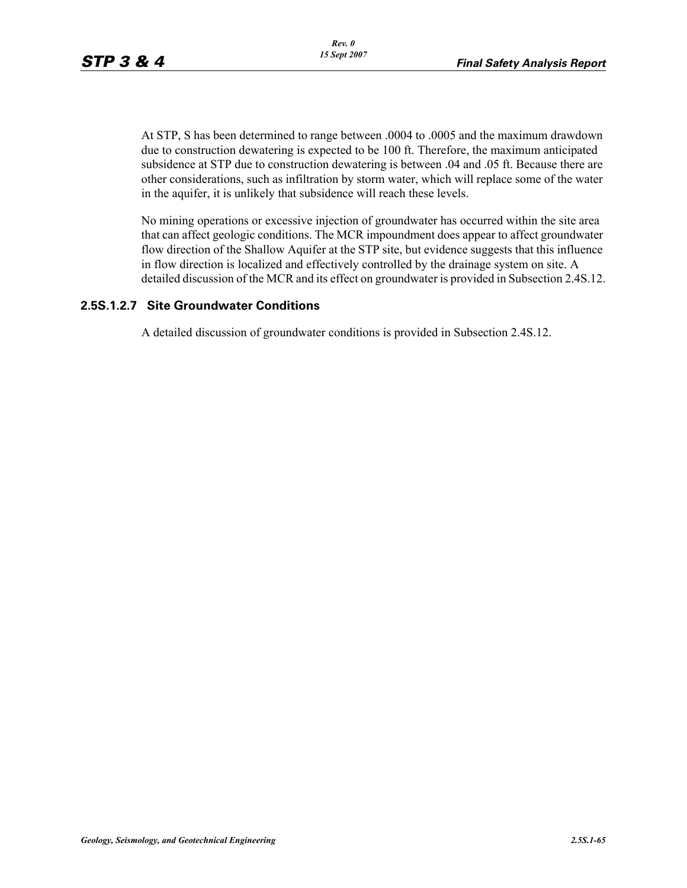At STP, S has been determined to range between .0004 to .0005 and the maximum drawdown due to construction dewatering is expected to be 100 ft. Therefore, the maximum anticipated subsidence at STP due to construction dewatering is between .04 and .05 ft. Because there are other considerations, such as infiltration by storm water, which will replace some of the water in the aquifer, it is unlikely that subsidence will reach these levels.

No mining operations or excessive injection of groundwater has occurred within the site area that can affect geologic conditions. The MCR impoundment does appear to affect groundwater flow direction of the Shallow Aquifer at the STP site, but evidence suggests that this influence in flow direction is localized and effectively controlled by the drainage system on site. A detailed discussion of the MCR and its effect on groundwater is provided in Subsection 2.4S.12.

### **2.5S.1.2.7 Site Groundwater Conditions**

A detailed discussion of groundwater conditions is provided in Subsection 2.4S.12.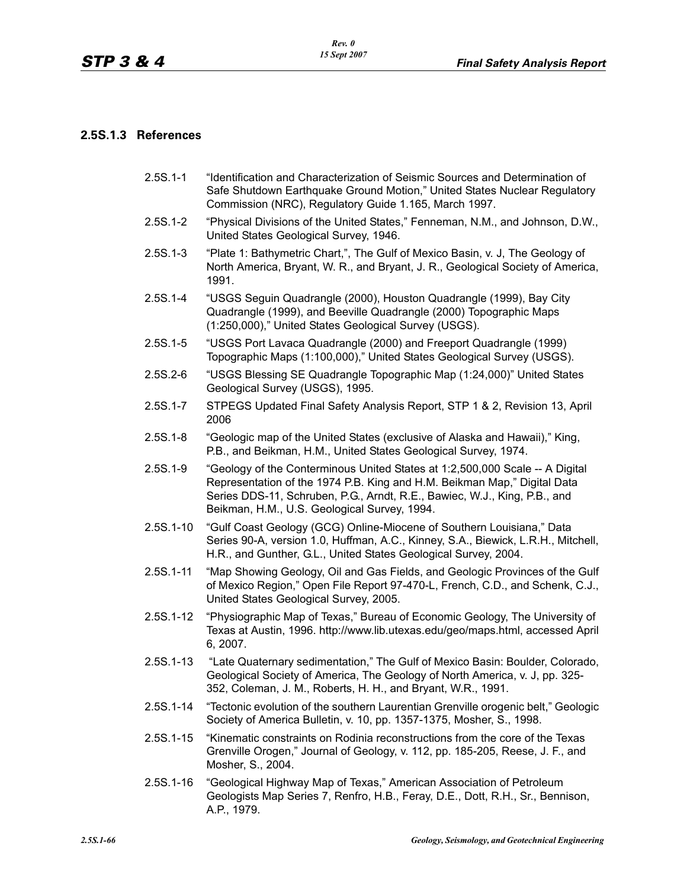#### **2.5S.1.3 References**

- 2.5S.1-1 "Identification and Characterization of Seismic Sources and Determination of Safe Shutdown Earthquake Ground Motion," United States Nuclear Regulatory Commission (NRC), Regulatory Guide 1.165, March 1997.
- 2.5S.1-2 "Physical Divisions of the United States," Fenneman, N.M., and Johnson, D.W., United States Geological Survey, 1946.
- 2.5S.1-3 "Plate 1: Bathymetric Chart,", The Gulf of Mexico Basin, v. J, The Geology of North America, Bryant, W. R., and Bryant, J. R., Geological Society of America, 1991.
- 2.5S.1-4 "USGS Seguin Quadrangle (2000), Houston Quadrangle (1999), Bay City Quadrangle (1999), and Beeville Quadrangle (2000) Topographic Maps (1:250,000)," United States Geological Survey (USGS).
- 2.5S.1-5 "USGS Port Lavaca Quadrangle (2000) and Freeport Quadrangle (1999) Topographic Maps (1:100,000)," United States Geological Survey (USGS).
- 2.5S.2-6 "USGS Blessing SE Quadrangle Topographic Map (1:24,000)" United States Geological Survey (USGS), 1995.
- 2.5S.1-7 STPEGS Updated Final Safety Analysis Report, STP 1 & 2, Revision 13, April 2006
- 2.5S.1-8 "Geologic map of the United States (exclusive of Alaska and Hawaii)," King, P.B., and Beikman, H.M., United States Geological Survey, 1974.
- 2.5S.1-9 "Geology of the Conterminous United States at 1:2,500,000 Scale -- A Digital Representation of the 1974 P.B. King and H.M. Beikman Map," Digital Data Series DDS-11, Schruben, P.G., Arndt, R.E., Bawiec, W.J., King, P.B., and Beikman, H.M., U.S. Geological Survey, 1994.
- 2.5S.1-10 "Gulf Coast Geology (GCG) Online-Miocene of Southern Louisiana," Data Series 90-A, version 1.0, Huffman, A.C., Kinney, S.A., Biewick, L.R.H., Mitchell, H.R., and Gunther, G.L., United States Geological Survey, 2004.
- 2.5S.1-11 "Map Showing Geology, Oil and Gas Fields, and Geologic Provinces of the Gulf of Mexico Region," Open File Report 97-470-L, French, C.D., and Schenk, C.J., United States Geological Survey, 2005.
- 2.5S.1-12 "Physiographic Map of Texas," Bureau of Economic Geology, The University of Texas at Austin, 1996. http://www.lib.utexas.edu/geo/maps.html, accessed April 6, 2007.
- 2.5S.1-13 "Late Quaternary sedimentation," The Gulf of Mexico Basin: Boulder, Colorado, Geological Society of America, The Geology of North America, v. J, pp. 325- 352, Coleman, J. M., Roberts, H. H., and Bryant, W.R., 1991.
- 2.5S.1-14 "Tectonic evolution of the southern Laurentian Grenville orogenic belt," Geologic Society of America Bulletin, v. 10, pp. 1357-1375, Mosher, S., 1998.
- 2.5S.1-15 "Kinematic constraints on Rodinia reconstructions from the core of the Texas Grenville Orogen," Journal of Geology, v. 112, pp. 185-205, Reese, J. F., and Mosher, S., 2004.
- 2.5S.1-16 "Geological Highway Map of Texas," American Association of Petroleum Geologists Map Series 7, Renfro, H.B., Feray, D.E., Dott, R.H., Sr., Bennison, A.P., 1979.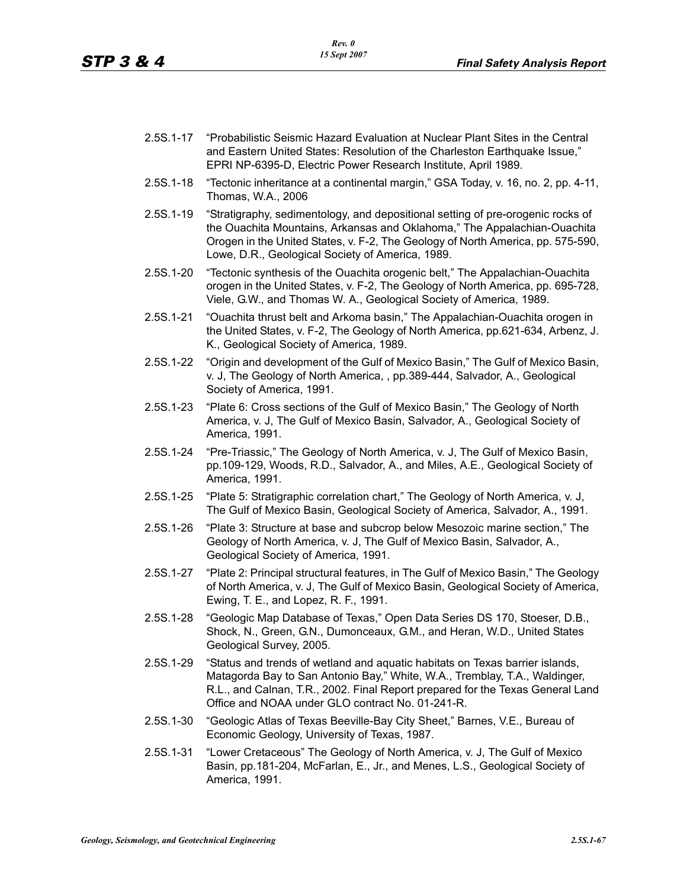- 2.5S.1-17 "Probabilistic Seismic Hazard Evaluation at Nuclear Plant Sites in the Central and Eastern United States: Resolution of the Charleston Earthquake Issue," EPRI NP-6395-D, Electric Power Research Institute, April 1989.
- 2.5S.1-18 "Tectonic inheritance at a continental margin," GSA Today, v. 16, no. 2, pp. 4-11, Thomas, W.A., 2006
- 2.5S.1-19 "Stratigraphy, sedimentology, and depositional setting of pre-orogenic rocks of the Ouachita Mountains, Arkansas and Oklahoma," The Appalachian-Ouachita Orogen in the United States, v. F-2, The Geology of North America, pp. 575-590, Lowe, D.R., Geological Society of America, 1989.
- 2.5S.1-20 "Tectonic synthesis of the Ouachita orogenic belt," The Appalachian-Ouachita orogen in the United States, v. F-2, The Geology of North America, pp. 695-728, Viele, G.W., and Thomas W. A., Geological Society of America, 1989.
- 2.5S.1-21 "Ouachita thrust belt and Arkoma basin," The Appalachian-Ouachita orogen in the United States, v. F-2, The Geology of North America, pp.621-634, Arbenz, J. K., Geological Society of America, 1989.
- 2.5S.1-22 "Origin and development of the Gulf of Mexico Basin," The Gulf of Mexico Basin, v. J, The Geology of North America, , pp.389-444, Salvador, A., Geological Society of America, 1991.
- 2.5S.1-23 "Plate 6: Cross sections of the Gulf of Mexico Basin," The Geology of North America, v. J, The Gulf of Mexico Basin, Salvador, A., Geological Society of America, 1991.
- 2.5S.1-24 "Pre-Triassic," The Geology of North America, v. J, The Gulf of Mexico Basin, pp.109-129, Woods, R.D., Salvador, A., and Miles, A.E., Geological Society of America, 1991.
- 2.5S.1-25 "Plate 5: Stratigraphic correlation chart," The Geology of North America, v. J, The Gulf of Mexico Basin, Geological Society of America, Salvador, A., 1991.
- 2.5S.1-26 "Plate 3: Structure at base and subcrop below Mesozoic marine section," The Geology of North America, v. J, The Gulf of Mexico Basin, Salvador, A., Geological Society of America, 1991.
- 2.5S.1-27 "Plate 2: Principal structural features, in The Gulf of Mexico Basin," The Geology of North America, v. J, The Gulf of Mexico Basin, Geological Society of America, Ewing, T. E., and Lopez, R. F., 1991.
- 2.5S.1-28 "Geologic Map Database of Texas," Open Data Series DS 170, Stoeser, D.B., Shock, N., Green, G.N., Dumonceaux, G.M., and Heran, W.D., United States Geological Survey, 2005.
- 2.5S.1-29 "Status and trends of wetland and aquatic habitats on Texas barrier islands, Matagorda Bay to San Antonio Bay," White, W.A., Tremblay, T.A., Waldinger, R.L., and Calnan, T.R., 2002. Final Report prepared for the Texas General Land Office and NOAA under GLO contract No. 01-241-R.
- 2.5S.1-30 "Geologic Atlas of Texas Beeville-Bay City Sheet," Barnes, V.E., Bureau of Economic Geology, University of Texas, 1987.
- 2.5S.1-31 "Lower Cretaceous" The Geology of North America, v. J, The Gulf of Mexico Basin, pp.181-204, McFarlan, E., Jr., and Menes, L.S., Geological Society of America, 1991.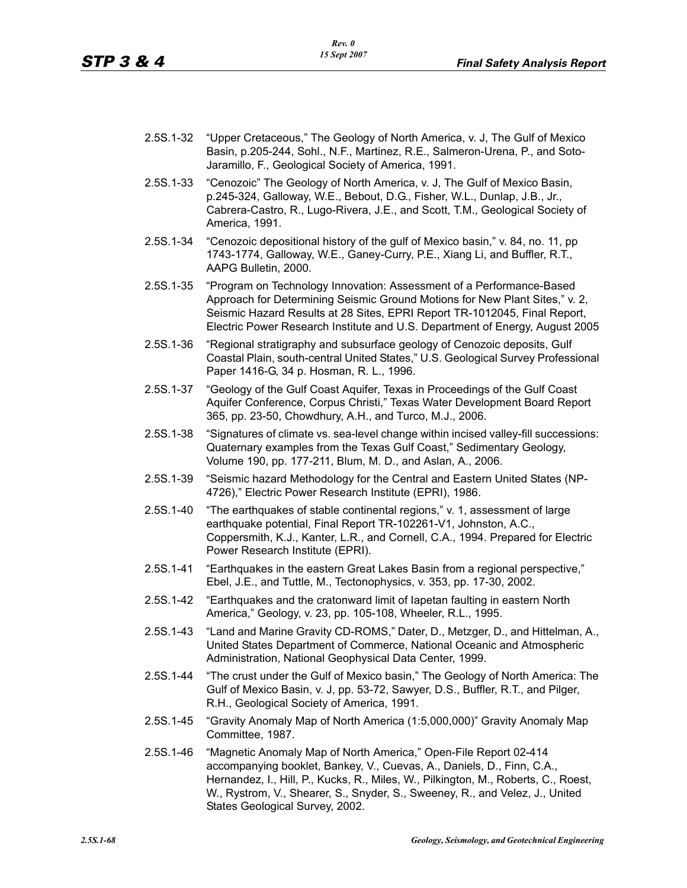- 2.5S.1-32 "Upper Cretaceous," The Geology of North America, v. J, The Gulf of Mexico Basin, p.205-244, Sohl., N.F., Martinez, R.E., Salmeron-Urena, P., and Soto-Jaramillo, F., Geological Society of America, 1991.
- 2.5S.1-33 "Cenozoic" The Geology of North America, v. J, The Gulf of Mexico Basin, p.245-324, Galloway, W.E., Bebout, D.G., Fisher, W.L., Dunlap, J.B., Jr., Cabrera-Castro, R., Lugo-Rivera, J.E., and Scott, T.M., Geological Society of America, 1991.
- 2.5S.1-34 "Cenozoic depositional history of the gulf of Mexico basin," v. 84, no. 11, pp 1743-1774, Galloway, W.E., Ganey-Curry, P.E., Xiang Li, and Buffler, R.T., AAPG Bulletin, 2000.
- 2.5S.1-35 "Program on Technology Innovation: Assessment of a Performance-Based Approach for Determining Seismic Ground Motions for New Plant Sites," v. 2, Seismic Hazard Results at 28 Sites, EPRI Report TR-1012045, Final Report, Electric Power Research Institute and U.S. Department of Energy, August 2005
- 2.5S.1-36 "Regional stratigraphy and subsurface geology of Cenozoic deposits, Gulf Coastal Plain, south-central United States," U.S. Geological Survey Professional Paper 1416-G, 34 p. Hosman, R. L., 1996.
- 2.5S.1-37 "Geology of the Gulf Coast Aquifer, Texas in Proceedings of the Gulf Coast Aquifer Conference, Corpus Christi," Texas Water Development Board Report 365, pp. 23-50, Chowdhury, A.H., and Turco, M.J., 2006.
- 2.5S.1-38 "Signatures of climate vs. sea-level change within incised valley-fill successions: Quaternary examples from the Texas Gulf Coast," Sedimentary Geology, Volume 190, pp. 177-211, Blum, M. D., and Aslan, A., 2006.
- 2.5S.1-39 "Seismic hazard Methodology for the Central and Eastern United States (NP-4726)," Electric Power Research Institute (EPRI), 1986.
- 2.5S.1-40 "The earthquakes of stable continental regions," v. 1, assessment of large earthquake potential, Final Report TR-102261-V1, Johnston, A.C., Coppersmith, K.J., Kanter, L.R., and Cornell, C.A., 1994. Prepared for Electric Power Research Institute (EPRI).
- 2.5S.1-41 "Earthquakes in the eastern Great Lakes Basin from a regional perspective," Ebel, J.E., and Tuttle, M., Tectonophysics, v. 353, pp. 17-30, 2002.
- 2.5S.1-42 "Earthquakes and the cratonward limit of Iapetan faulting in eastern North America," Geology, v. 23, pp. 105-108, Wheeler, R.L., 1995.
- 2.5S.1-43 "Land and Marine Gravity CD-ROMS," Dater, D., Metzger, D., and Hittelman, A., United States Department of Commerce, National Oceanic and Atmospheric Administration, National Geophysical Data Center, 1999.
- 2.5S.1-44 "The crust under the Gulf of Mexico basin," The Geology of North America: The Gulf of Mexico Basin, v. J, pp. 53-72, Sawyer, D.S., Buffler, R.T., and Pilger, R.H., Geological Society of America, 1991.
- 2.5S.1-45 "Gravity Anomaly Map of North America (1:5,000,000)" Gravity Anomaly Map Committee, 1987.
- 2.5S.1-46 "Magnetic Anomaly Map of North America," Open-File Report 02-414 accompanying booklet, Bankey, V., Cuevas, A., Daniels, D., Finn, C.A., Hernandez, I., Hill, P., Kucks, R., Miles, W., Pilkington, M., Roberts, C., Roest, W., Rystrom, V., Shearer, S., Snyder, S., Sweeney, R., and Velez, J., United States Geological Survey, 2002.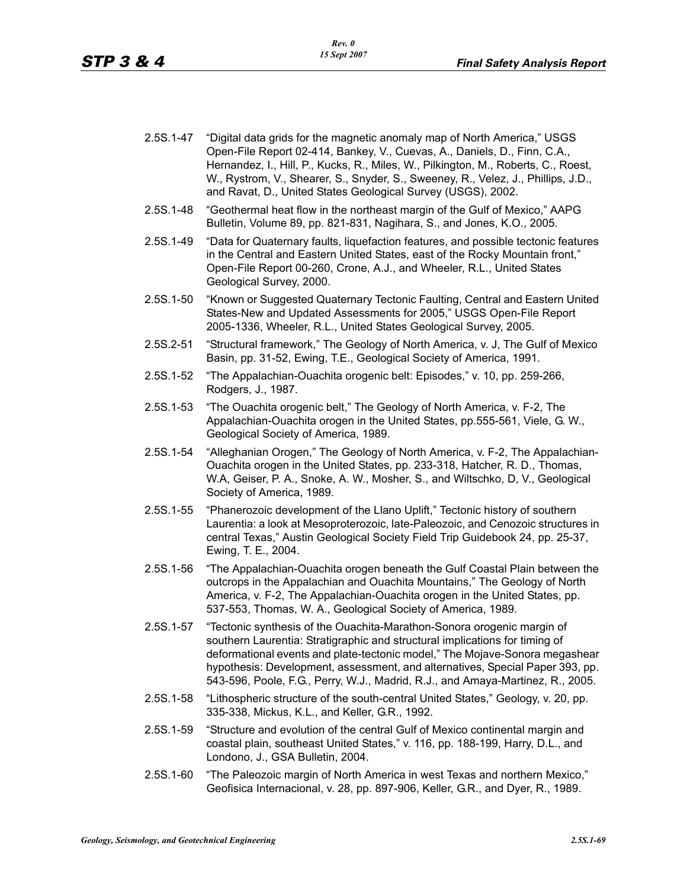- 2.5S.1-47 "Digital data grids for the magnetic anomaly map of North America," USGS Open-File Report 02-414, Bankey, V., Cuevas, A., Daniels, D., Finn, C.A., Hernandez, I., Hill, P., Kucks, R., Miles, W., Pilkington, M., Roberts, C., Roest, W., Rystrom, V., Shearer, S., Snyder, S., Sweeney, R., Velez, J., Phillips, J.D., and Ravat, D., United States Geological Survey (USGS), 2002.
- 2.5S.1-48 "Geothermal heat flow in the northeast margin of the Gulf of Mexico," AAPG Bulletin, Volume 89, pp. 821-831, Nagihara, S., and Jones, K.O., 2005.
- 2.5S.1-49 "Data for Quaternary faults, liquefaction features, and possible tectonic features in the Central and Eastern United States, east of the Rocky Mountain front," Open-File Report 00-260, Crone, A.J., and Wheeler, R.L., United States Geological Survey, 2000.
- 2.5S.1-50 "Known or Suggested Quaternary Tectonic Faulting, Central and Eastern United States-New and Updated Assessments for 2005," USGS Open-File Report 2005-1336, Wheeler, R.L., United States Geological Survey, 2005.
- 2.5S.2-51 "Structural framework," The Geology of North America, v. J, The Gulf of Mexico Basin, pp. 31-52, Ewing, T.E., Geological Society of America, 1991.
- 2.5S.1-52 "The Appalachian-Ouachita orogenic belt: Episodes," v. 10, pp. 259-266, Rodgers, J., 1987.
- 2.5S.1-53 "The Ouachita orogenic belt," The Geology of North America, v. F-2, The Appalachian-Ouachita orogen in the United States, pp.555-561, Viele, G. W., Geological Society of America, 1989.
- 2.5S.1-54 "Alleghanian Orogen," The Geology of North America, v. F-2, The Appalachian-Ouachita orogen in the United States, pp. 233-318, Hatcher, R. D., Thomas, W.A, Geiser, P. A., Snoke, A. W., Mosher, S., and Wiltschko, D, V., Geological Society of America, 1989.
- 2.5S.1-55 "Phanerozoic development of the Llano Uplift," Tectonic history of southern Laurentia: a look at Mesoproterozoic, late-Paleozoic, and Cenozoic structures in central Texas," Austin Geological Society Field Trip Guidebook 24, pp. 25-37, Ewing, T. E., 2004.
- 2.5S.1-56 "The Appalachian-Ouachita orogen beneath the Gulf Coastal Plain between the outcrops in the Appalachian and Ouachita Mountains," The Geology of North America, v. F-2, The Appalachian-Ouachita orogen in the United States, pp. 537-553, Thomas, W. A., Geological Society of America, 1989.
- 2.5S.1-57 "Tectonic synthesis of the Ouachita-Marathon-Sonora orogenic margin of southern Laurentia: Stratigraphic and structural implications for timing of deformational events and plate-tectonic model," The Mojave-Sonora megashear hypothesis: Development, assessment, and alternatives, Special Paper 393, pp. 543-596, Poole, F.G., Perry, W.J., Madrid, R.J., and Amaya-Martinez, R., 2005.
- 2.5S.1-58 "Lithospheric structure of the south-central United States," Geology, v. 20, pp. 335-338, Mickus, K.L., and Keller, G.R., 1992.
- 2.5S.1-59 "Structure and evolution of the central Gulf of Mexico continental margin and coastal plain, southeast United States," v. 116, pp. 188-199, Harry, D.L., and Londono, J., GSA Bulletin, 2004.
- 2.5S.1-60 "The Paleozoic margin of North America in west Texas and northern Mexico," Geofisica Internacional, v. 28, pp. 897-906, Keller, G.R., and Dyer, R., 1989.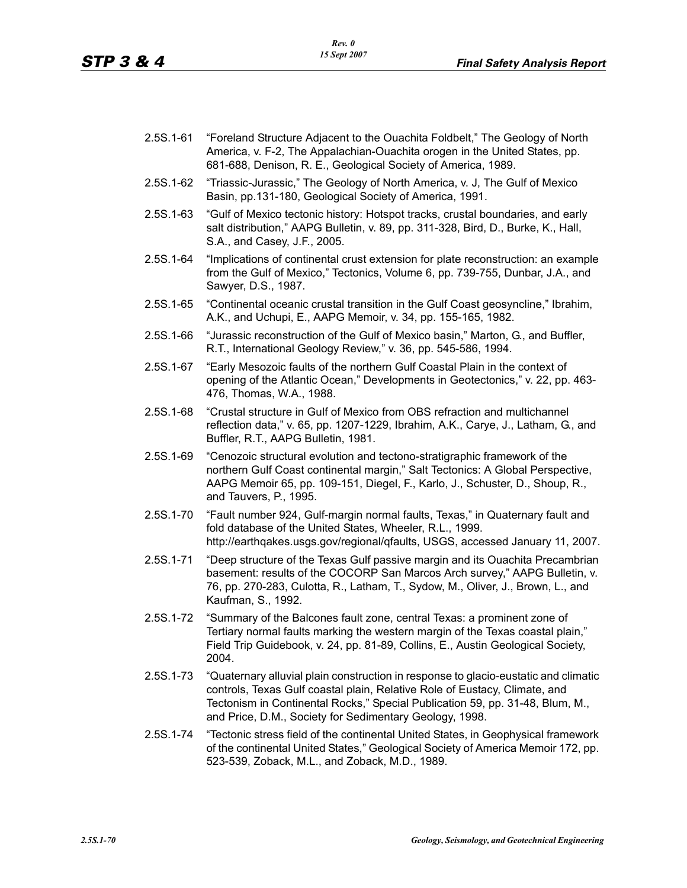- 2.5S.1-61 "Foreland Structure Adjacent to the Ouachita Foldbelt," The Geology of North America, v. F-2, The Appalachian-Ouachita orogen in the United States, pp. 681-688, Denison, R. E., Geological Society of America, 1989.
- 2.5S.1-62 "Triassic-Jurassic," The Geology of North America, v. J, The Gulf of Mexico Basin, pp.131-180, Geological Society of America, 1991.
- 2.5S.1-63 "Gulf of Mexico tectonic history: Hotspot tracks, crustal boundaries, and early salt distribution," AAPG Bulletin, v. 89, pp. 311-328, Bird, D., Burke, K., Hall, S.A., and Casey, J.F., 2005.
- 2.5S.1-64 "Implications of continental crust extension for plate reconstruction: an example from the Gulf of Mexico," Tectonics, Volume 6, pp. 739-755, Dunbar, J.A., and Sawyer, D.S., 1987.
- 2.5S.1-65 "Continental oceanic crustal transition in the Gulf Coast geosyncline," Ibrahim, A.K., and Uchupi, E., AAPG Memoir, v. 34, pp. 155-165, 1982.
- 2.5S.1-66 "Jurassic reconstruction of the Gulf of Mexico basin," Marton, G., and Buffler, R.T., International Geology Review," v. 36, pp. 545-586, 1994.
- 2.5S.1-67 "Early Mesozoic faults of the northern Gulf Coastal Plain in the context of opening of the Atlantic Ocean," Developments in Geotectonics," v. 22, pp. 463- 476, Thomas, W.A., 1988.
- 2.5S.1-68 "Crustal structure in Gulf of Mexico from OBS refraction and multichannel reflection data," v. 65, pp. 1207-1229, Ibrahim, A.K., Carye, J., Latham, G., and Buffler, R.T., AAPG Bulletin, 1981.
- 2.5S.1-69 "Cenozoic structural evolution and tectono-stratigraphic framework of the northern Gulf Coast continental margin," Salt Tectonics: A Global Perspective, AAPG Memoir 65, pp. 109-151, Diegel, F., Karlo, J., Schuster, D., Shoup, R., and Tauvers, P., 1995.
- 2.5S.1-70 "Fault number 924, Gulf-margin normal faults, Texas," in Quaternary fault and fold database of the United States, Wheeler, R.L., 1999. http://earthqakes.usgs.gov/regional/qfaults, USGS, accessed January 11, 2007.
- 2.5S.1-71 "Deep structure of the Texas Gulf passive margin and its Ouachita Precambrian basement: results of the COCORP San Marcos Arch survey," AAPG Bulletin, v. 76, pp. 270-283, Culotta, R., Latham, T., Sydow, M., Oliver, J., Brown, L., and Kaufman, S., 1992.
- 2.5S.1-72 "Summary of the Balcones fault zone, central Texas: a prominent zone of Tertiary normal faults marking the western margin of the Texas coastal plain," Field Trip Guidebook, v. 24, pp. 81-89, Collins, E., Austin Geological Society, 2004.
- 2.5S.1-73 "Quaternary alluvial plain construction in response to glacio-eustatic and climatic controls, Texas Gulf coastal plain, Relative Role of Eustacy, Climate, and Tectonism in Continental Rocks," Special Publication 59, pp. 31-48, Blum, M., and Price, D.M., Society for Sedimentary Geology, 1998.
- 2.5S.1-74 "Tectonic stress field of the continental United States, in Geophysical framework of the continental United States," Geological Society of America Memoir 172, pp. 523-539, Zoback, M.L., and Zoback, M.D., 1989.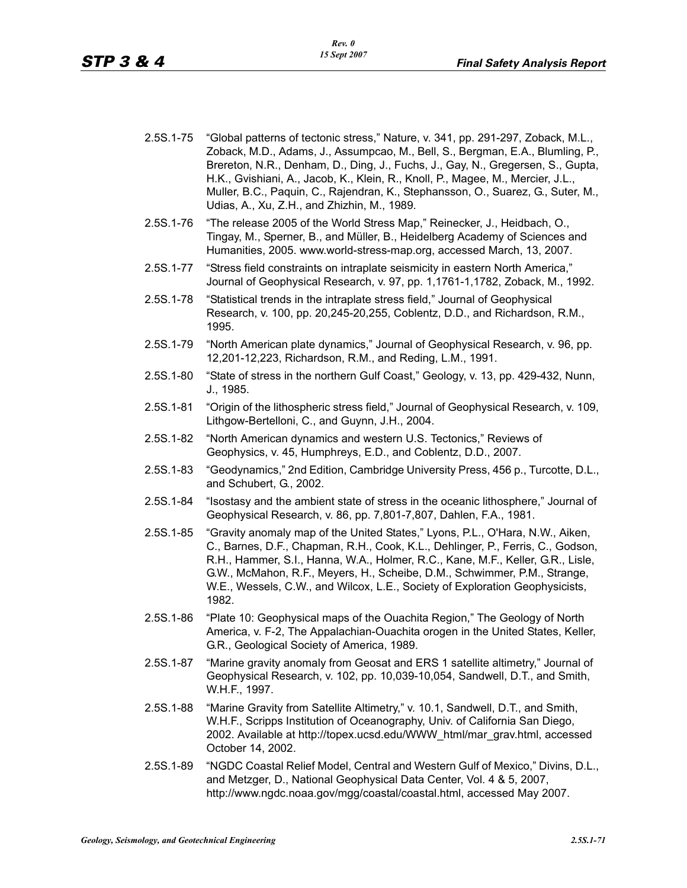- 2.5S.1-75 "Global patterns of tectonic stress," Nature, v. 341, pp. 291-297, Zoback, M.L., Zoback, M.D., Adams, J., Assumpcao, M., Bell, S., Bergman, E.A., Blumling, P., Brereton, N.R., Denham, D., Ding, J., Fuchs, J., Gay, N., Gregersen, S., Gupta, H.K., Gvishiani, A., Jacob, K., Klein, R., Knoll, P., Magee, M., Mercier, J.L., Muller, B.C., Paquin, C., Rajendran, K., Stephansson, O., Suarez, G., Suter, M., Udias, A., Xu, Z.H., and Zhizhin, M., 1989.
- 2.5S.1-76 "The release 2005 of the World Stress Map," Reinecker, J., Heidbach, O., Tingay, M., Sperner, B., and Müller, B., Heidelberg Academy of Sciences and Humanities, 2005. www.world-stress-map.org, accessed March, 13, 2007.
- 2.5S.1-77 "Stress field constraints on intraplate seismicity in eastern North America," Journal of Geophysical Research, v. 97, pp. 1,1761-1,1782, Zoback, M., 1992.
- 2.5S.1-78 "Statistical trends in the intraplate stress field," Journal of Geophysical Research, v. 100, pp. 20,245-20,255, Coblentz, D.D., and Richardson, R.M., 1995.
- 2.5S.1-79 "North American plate dynamics," Journal of Geophysical Research, v. 96, pp. 12,201-12,223, Richardson, R.M., and Reding, L.M., 1991.
- 2.5S.1-80 "State of stress in the northern Gulf Coast," Geology, v. 13, pp. 429-432, Nunn, J., 1985.
- 2.5S.1-81 "Origin of the lithospheric stress field," Journal of Geophysical Research, v. 109, Lithgow-Bertelloni, C., and Guynn, J.H., 2004.
- 2.5S.1-82 "North American dynamics and western U.S. Tectonics," Reviews of Geophysics, v. 45, Humphreys, E.D., and Coblentz, D.D., 2007.
- 2.5S.1-83 "Geodynamics," 2nd Edition, Cambridge University Press, 456 p., Turcotte, D.L., and Schubert, G., 2002.
- 2.5S.1-84 "Isostasy and the ambient state of stress in the oceanic lithosphere," Journal of Geophysical Research, v. 86, pp. 7,801-7,807, Dahlen, F.A., 1981.
- 2.5S.1-85 "Gravity anomaly map of the United States," Lyons, P.L., O'Hara, N.W., Aiken, C., Barnes, D.F., Chapman, R.H., Cook, K.L., Dehlinger, P., Ferris, C., Godson, R.H., Hammer, S.I., Hanna, W.A., Holmer, R.C., Kane, M.F., Keller, G.R., Lisle, G.W., McMahon, R.F., Meyers, H., Scheibe, D.M., Schwimmer, P.M., Strange, W.E., Wessels, C.W., and Wilcox, L.E., Society of Exploration Geophysicists, 1982.
- 2.5S.1-86 "Plate 10: Geophysical maps of the Ouachita Region," The Geology of North America, v. F-2, The Appalachian-Ouachita orogen in the United States, Keller, G.R., Geological Society of America, 1989.
- 2.5S.1-87 "Marine gravity anomaly from Geosat and ERS 1 satellite altimetry," Journal of Geophysical Research, v. 102, pp. 10,039-10,054, Sandwell, D.T., and Smith, W.H.F., 1997.
- 2.5S.1-88 "Marine Gravity from Satellite Altimetry," v. 10.1, Sandwell, D.T., and Smith, W.H.F., Scripps Institution of Oceanography, Univ. of California San Diego, 2002. Available at http://topex.ucsd.edu/WWW\_html/mar\_grav.html, accessed October 14, 2002.
- 2.5S.1-89 "NGDC Coastal Relief Model, Central and Western Gulf of Mexico," Divins, D.L., and Metzger, D., National Geophysical Data Center, Vol. 4 & 5, 2007, http://www.ngdc.noaa.gov/mgg/coastal/coastal.html, accessed May 2007.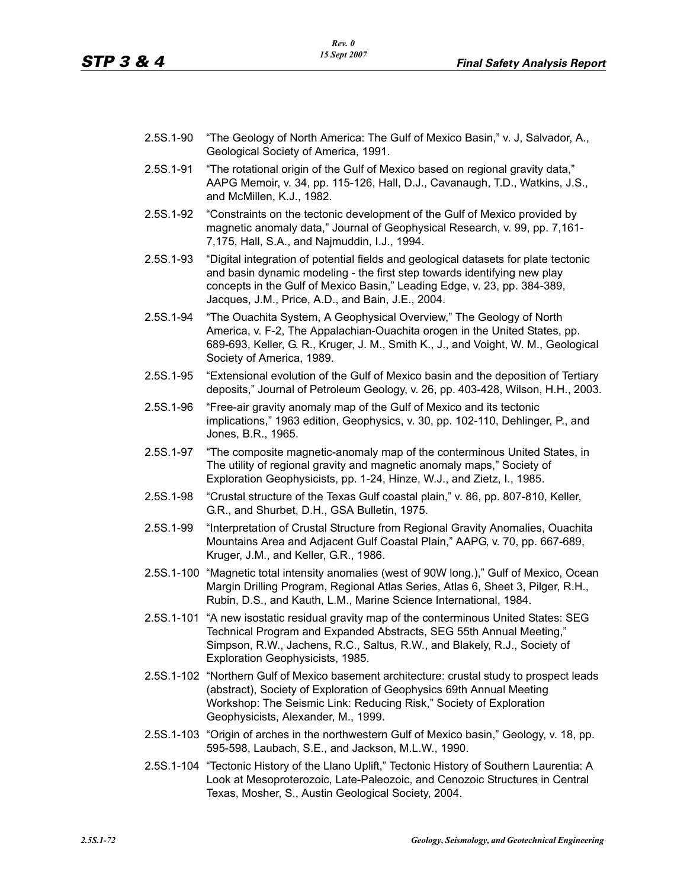- 2.5S.1-90 "The Geology of North America: The Gulf of Mexico Basin," v. J, Salvador, A., Geological Society of America, 1991.
- 2.5S.1-91 "The rotational origin of the Gulf of Mexico based on regional gravity data," AAPG Memoir, v. 34, pp. 115-126, Hall, D.J., Cavanaugh, T.D., Watkins, J.S., and McMillen, K.J., 1982.
- 2.5S.1-92 "Constraints on the tectonic development of the Gulf of Mexico provided by magnetic anomaly data," Journal of Geophysical Research, v. 99, pp. 7,161- 7,175, Hall, S.A., and Najmuddin, I.J., 1994.
- 2.5S.1-93 "Digital integration of potential fields and geological datasets for plate tectonic and basin dynamic modeling - the first step towards identifying new play concepts in the Gulf of Mexico Basin," Leading Edge, v. 23, pp. 384-389, Jacques, J.M., Price, A.D., and Bain, J.E., 2004.
- 2.5S.1-94 "The Ouachita System, A Geophysical Overview," The Geology of North America, v. F-2, The Appalachian-Ouachita orogen in the United States, pp. 689-693, Keller, G. R., Kruger, J. M., Smith K., J., and Voight, W. M., Geological Society of America, 1989.
- 2.5S.1-95 "Extensional evolution of the Gulf of Mexico basin and the deposition of Tertiary deposits," Journal of Petroleum Geology, v. 26, pp. 403-428, Wilson, H.H., 2003.
- 2.5S.1-96 "Free-air gravity anomaly map of the Gulf of Mexico and its tectonic implications," 1963 edition, Geophysics, v. 30, pp. 102-110, Dehlinger, P., and Jones, B.R., 1965.
- 2.5S.1-97 "The composite magnetic-anomaly map of the conterminous United States, in The utility of regional gravity and magnetic anomaly maps," Society of Exploration Geophysicists, pp. 1-24, Hinze, W.J., and Zietz, I., 1985.
- 2.5S.1-98 "Crustal structure of the Texas Gulf coastal plain," v. 86, pp. 807-810, Keller, G.R., and Shurbet, D.H., GSA Bulletin, 1975.
- 2.5S.1-99 "Interpretation of Crustal Structure from Regional Gravity Anomalies, Ouachita Mountains Area and Adjacent Gulf Coastal Plain," AAPG, v. 70, pp. 667-689, Kruger, J.M., and Keller, G.R., 1986.
- 2.5S.1-100 "Magnetic total intensity anomalies (west of 90W long.)," Gulf of Mexico, Ocean Margin Drilling Program, Regional Atlas Series, Atlas 6, Sheet 3, Pilger, R.H., Rubin, D.S., and Kauth, L.M., Marine Science International, 1984.
- 2.5S.1-101 "A new isostatic residual gravity map of the conterminous United States: SEG Technical Program and Expanded Abstracts, SEG 55th Annual Meeting," Simpson, R.W., Jachens, R.C., Saltus, R.W., and Blakely, R.J., Society of Exploration Geophysicists, 1985.
- 2.5S.1-102 "Northern Gulf of Mexico basement architecture: crustal study to prospect leads (abstract), Society of Exploration of Geophysics 69th Annual Meeting Workshop: The Seismic Link: Reducing Risk," Society of Exploration Geophysicists, Alexander, M., 1999.
- 2.5S.1-103 "Origin of arches in the northwestern Gulf of Mexico basin," Geology, v. 18, pp. 595-598, Laubach, S.E., and Jackson, M.L.W., 1990.
- 2.5S.1-104 "Tectonic History of the Llano Uplift," Tectonic History of Southern Laurentia: A Look at Mesoproterozoic, Late-Paleozoic, and Cenozoic Structures in Central Texas, Mosher, S., Austin Geological Society, 2004.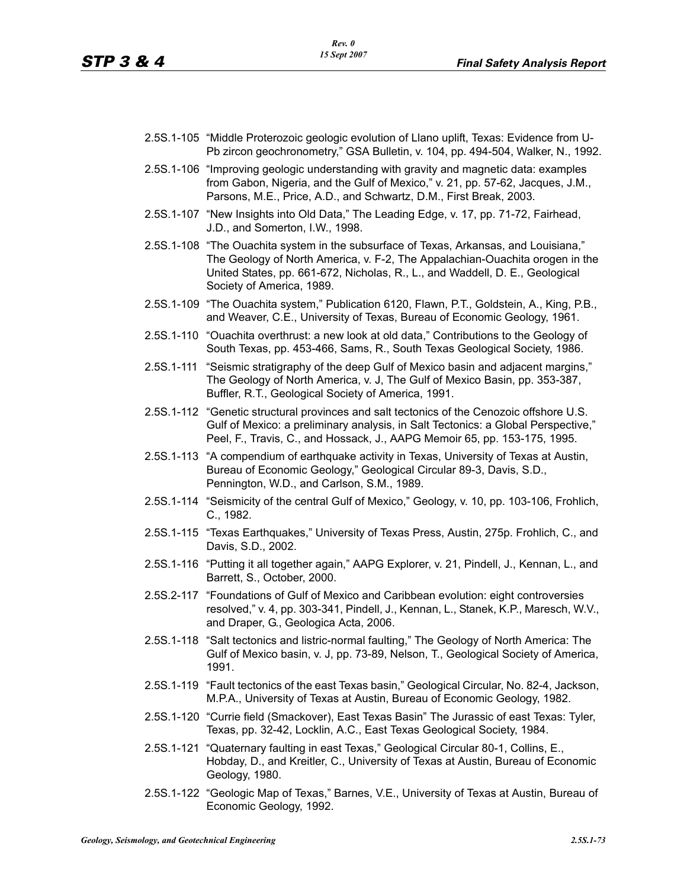- 2.5S.1-105 "Middle Proterozoic geologic evolution of Llano uplift, Texas: Evidence from U-Pb zircon geochronometry," GSA Bulletin, v. 104, pp. 494-504, Walker, N., 1992.
- 2.5S.1-106 "Improving geologic understanding with gravity and magnetic data: examples from Gabon, Nigeria, and the Gulf of Mexico," v. 21, pp. 57-62, Jacques, J.M., Parsons, M.E., Price, A.D., and Schwartz, D.M., First Break, 2003.
- 2.5S.1-107 "New Insights into Old Data," The Leading Edge, v. 17, pp. 71-72, Fairhead, J.D., and Somerton, I.W., 1998.
- 2.5S.1-108 "The Ouachita system in the subsurface of Texas, Arkansas, and Louisiana," The Geology of North America, v. F-2, The Appalachian-Ouachita orogen in the United States, pp. 661-672, Nicholas, R., L., and Waddell, D. E., Geological Society of America, 1989.
- 2.5S.1-109 "The Ouachita system," Publication 6120, Flawn, P.T., Goldstein, A., King, P.B., and Weaver, C.E., University of Texas, Bureau of Economic Geology, 1961.
- 2.5S.1-110 "Ouachita overthrust: a new look at old data," Contributions to the Geology of South Texas, pp. 453-466, Sams, R., South Texas Geological Society, 1986.
- 2.5S.1-111 "Seismic stratigraphy of the deep Gulf of Mexico basin and adjacent margins," The Geology of North America, v. J, The Gulf of Mexico Basin, pp. 353-387, Buffler, R.T., Geological Society of America, 1991.
- 2.5S.1-112 "Genetic structural provinces and salt tectonics of the Cenozoic offshore U.S. Gulf of Mexico: a preliminary analysis, in Salt Tectonics: a Global Perspective," Peel, F., Travis, C., and Hossack, J., AAPG Memoir 65, pp. 153-175, 1995.
- 2.5S.1-113 "A compendium of earthquake activity in Texas, University of Texas at Austin, Bureau of Economic Geology," Geological Circular 89-3, Davis, S.D., Pennington, W.D., and Carlson, S.M., 1989.
- 2.5S.1-114 "Seismicity of the central Gulf of Mexico," Geology, v. 10, pp. 103-106, Frohlich, C., 1982.
- 2.5S.1-115 "Texas Earthquakes," University of Texas Press, Austin, 275p. Frohlich, C., and Davis, S.D., 2002.
- 2.5S.1-116 "Putting it all together again," AAPG Explorer, v. 21, Pindell, J., Kennan, L., and Barrett, S., October, 2000.
- 2.5S.2-117 "Foundations of Gulf of Mexico and Caribbean evolution: eight controversies resolved," v. 4, pp. 303-341, Pindell, J., Kennan, L., Stanek, K.P., Maresch, W.V., and Draper, G., Geologica Acta, 2006.
- 2.5S.1-118 "Salt tectonics and listric-normal faulting," The Geology of North America: The Gulf of Mexico basin, v. J, pp. 73-89, Nelson, T., Geological Society of America, 1991.
- 2.5S.1-119 "Fault tectonics of the east Texas basin," Geological Circular, No. 82-4, Jackson, M.P.A., University of Texas at Austin, Bureau of Economic Geology, 1982.
- 2.5S.1-120 "Currie field (Smackover), East Texas Basin" The Jurassic of east Texas: Tyler, Texas, pp. 32-42, Locklin, A.C., East Texas Geological Society, 1984.
- 2.5S.1-121 "Quaternary faulting in east Texas," Geological Circular 80-1, Collins, E., Hobday, D., and Kreitler, C., University of Texas at Austin, Bureau of Economic Geology, 1980.
- 2.5S.1-122 "Geologic Map of Texas," Barnes, V.E., University of Texas at Austin, Bureau of Economic Geology, 1992.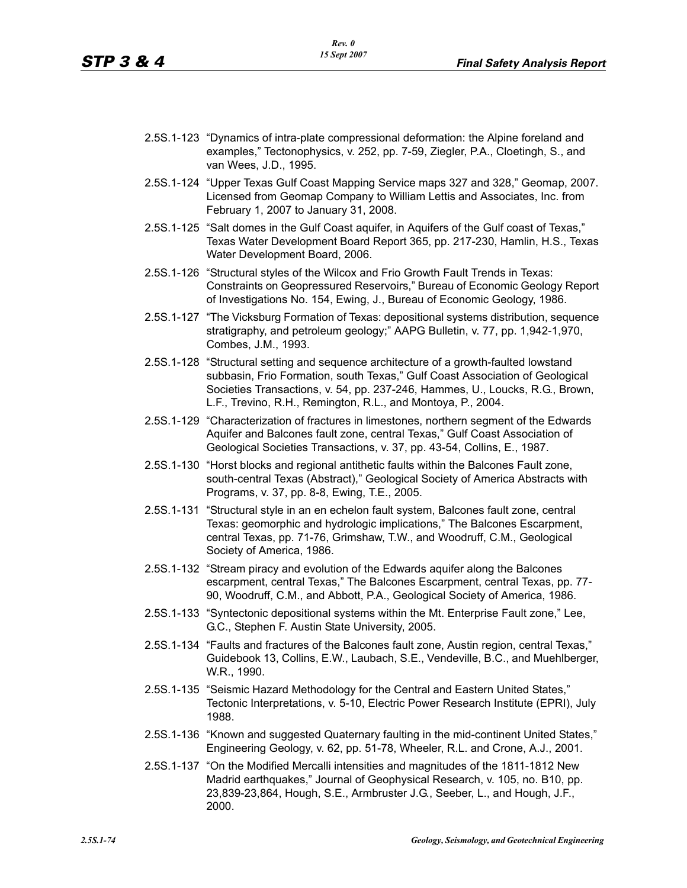- 2.5S.1-123 "Dynamics of intra-plate compressional deformation: the Alpine foreland and examples," Tectonophysics, v. 252, pp. 7-59, Ziegler, P.A., Cloetingh, S., and van Wees, J.D., 1995.
- 2.5S.1-124 "Upper Texas Gulf Coast Mapping Service maps 327 and 328," Geomap, 2007. Licensed from Geomap Company to William Lettis and Associates, Inc. from February 1, 2007 to January 31, 2008.
- 2.5S.1-125 "Salt domes in the Gulf Coast aquifer, in Aquifers of the Gulf coast of Texas," Texas Water Development Board Report 365, pp. 217-230, Hamlin, H.S., Texas Water Development Board, 2006.
- 2.5S.1-126 "Structural styles of the Wilcox and Frio Growth Fault Trends in Texas: Constraints on Geopressured Reservoirs," Bureau of Economic Geology Report of Investigations No. 154, Ewing, J., Bureau of Economic Geology, 1986.
- 2.5S.1-127 "The Vicksburg Formation of Texas: depositional systems distribution, sequence stratigraphy, and petroleum geology;" AAPG Bulletin, v. 77, pp. 1,942-1,970, Combes, J.M., 1993.
- 2.5S.1-128 "Structural setting and sequence architecture of a growth-faulted lowstand subbasin, Frio Formation, south Texas," Gulf Coast Association of Geological Societies Transactions, v. 54, pp. 237-246, Hammes, U., Loucks, R.G., Brown, L.F., Trevino, R.H., Remington, R.L., and Montoya, P., 2004.
- 2.5S.1-129 "Characterization of fractures in limestones, northern segment of the Edwards Aquifer and Balcones fault zone, central Texas," Gulf Coast Association of Geological Societies Transactions, v. 37, pp. 43-54, Collins, E., 1987.
- 2.5S.1-130 "Horst blocks and regional antithetic faults within the Balcones Fault zone, south-central Texas (Abstract)," Geological Society of America Abstracts with Programs, v. 37, pp. 8-8, Ewing, T.E., 2005.
- 2.5S.1-131 "Structural style in an en echelon fault system, Balcones fault zone, central Texas: geomorphic and hydrologic implications," The Balcones Escarpment, central Texas, pp. 71-76, Grimshaw, T.W., and Woodruff, C.M., Geological Society of America, 1986.
- 2.5S.1-132 "Stream piracy and evolution of the Edwards aquifer along the Balcones escarpment, central Texas," The Balcones Escarpment, central Texas, pp. 77- 90, Woodruff, C.M., and Abbott, P.A., Geological Society of America, 1986.
- 2.5S.1-133 "Syntectonic depositional systems within the Mt. Enterprise Fault zone," Lee, G.C., Stephen F. Austin State University, 2005.
- 2.5S.1-134 "Faults and fractures of the Balcones fault zone, Austin region, central Texas," Guidebook 13, Collins, E.W., Laubach, S.E., Vendeville, B.C., and Muehlberger, W.R., 1990.
- 2.5S.1-135 "Seismic Hazard Methodology for the Central and Eastern United States," Tectonic Interpretations, v. 5-10, Electric Power Research Institute (EPRI), July 1988.
- 2.5S.1-136 "Known and suggested Quaternary faulting in the mid-continent United States," Engineering Geology, v. 62, pp. 51-78, Wheeler, R.L. and Crone, A.J., 2001.
- 2.5S.1-137 "On the Modified Mercalli intensities and magnitudes of the 1811-1812 New Madrid earthquakes," Journal of Geophysical Research, v. 105, no. B10, pp. 23,839-23,864, Hough, S.E., Armbruster J.G., Seeber, L., and Hough, J.F., 2000.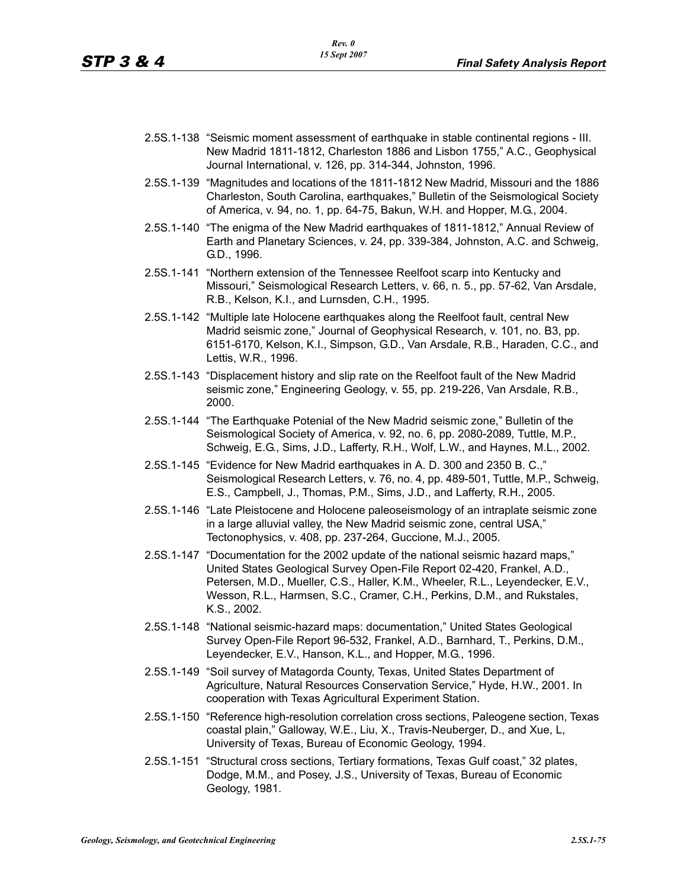- 2.5S.1-138 "Seismic moment assessment of earthquake in stable continental regions III. New Madrid 1811-1812, Charleston 1886 and Lisbon 1755," A.C., Geophysical Journal International, v. 126, pp. 314-344, Johnston, 1996.
- 2.5S.1-139 "Magnitudes and locations of the 1811-1812 New Madrid, Missouri and the 1886 Charleston, South Carolina, earthquakes," Bulletin of the Seismological Society of America, v. 94, no. 1, pp. 64-75, Bakun, W.H. and Hopper, M.G., 2004.
- 2.5S.1-140 "The enigma of the New Madrid earthquakes of 1811-1812," Annual Review of Earth and Planetary Sciences, v. 24, pp. 339-384, Johnston, A.C. and Schweig, G.D., 1996.
- 2.5S.1-141 "Northern extension of the Tennessee Reelfoot scarp into Kentucky and Missouri," Seismological Research Letters, v. 66, n. 5., pp. 57-62, Van Arsdale, R.B., Kelson, K.I., and Lurnsden, C.H., 1995.
- 2.5S.1-142 "Multiple late Holocene earthquakes along the Reelfoot fault, central New Madrid seismic zone," Journal of Geophysical Research, v. 101, no. B3, pp. 6151-6170, Kelson, K.I., Simpson, G.D., Van Arsdale, R.B., Haraden, C.C., and Lettis, W.R., 1996.
- 2.5S.1-143 "Displacement history and slip rate on the Reelfoot fault of the New Madrid seismic zone," Engineering Geology, v. 55, pp. 219-226, Van Arsdale, R.B., 2000.
- 2.5S.1-144 "The Earthquake Potenial of the New Madrid seismic zone," Bulletin of the Seismological Society of America, v. 92, no. 6, pp. 2080-2089, Tuttle, M.P., Schweig, E.G., Sims, J.D., Lafferty, R.H., Wolf, L.W., and Haynes, M.L., 2002.
- 2.5S.1-145 "Evidence for New Madrid earthquakes in A. D. 300 and 2350 B. C.," Seismological Research Letters, v. 76, no. 4, pp. 489-501, Tuttle, M.P., Schweig, E.S., Campbell, J., Thomas, P.M., Sims, J.D., and Lafferty, R.H., 2005.
- 2.5S.1-146 "Late Pleistocene and Holocene paleoseismology of an intraplate seismic zone in a large alluvial valley, the New Madrid seismic zone, central USA," Tectonophysics, v. 408, pp. 237-264, Guccione, M.J., 2005.
- 2.5S.1-147 "Documentation for the 2002 update of the national seismic hazard maps," United States Geological Survey Open-File Report 02-420, Frankel, A.D., Petersen, M.D., Mueller, C.S., Haller, K.M., Wheeler, R.L., Leyendecker, E.V., Wesson, R.L., Harmsen, S.C., Cramer, C.H., Perkins, D.M., and Rukstales, K.S., 2002.
- 2.5S.1-148 "National seismic-hazard maps: documentation," United States Geological Survey Open-File Report 96-532, Frankel, A.D., Barnhard, T., Perkins, D.M., Leyendecker, E.V., Hanson, K.L., and Hopper, M.G., 1996.
- 2.5S.1-149 "Soil survey of Matagorda County, Texas, United States Department of Agriculture, Natural Resources Conservation Service," Hyde, H.W., 2001. In cooperation with Texas Agricultural Experiment Station.
- 2.5S.1-150 "Reference high-resolution correlation cross sections, Paleogene section, Texas coastal plain," Galloway, W.E., Liu, X., Travis-Neuberger, D., and Xue, L, University of Texas, Bureau of Economic Geology, 1994.
- 2.5S.1-151 "Structural cross sections, Tertiary formations, Texas Gulf coast," 32 plates, Dodge, M.M., and Posey, J.S., University of Texas, Bureau of Economic Geology, 1981.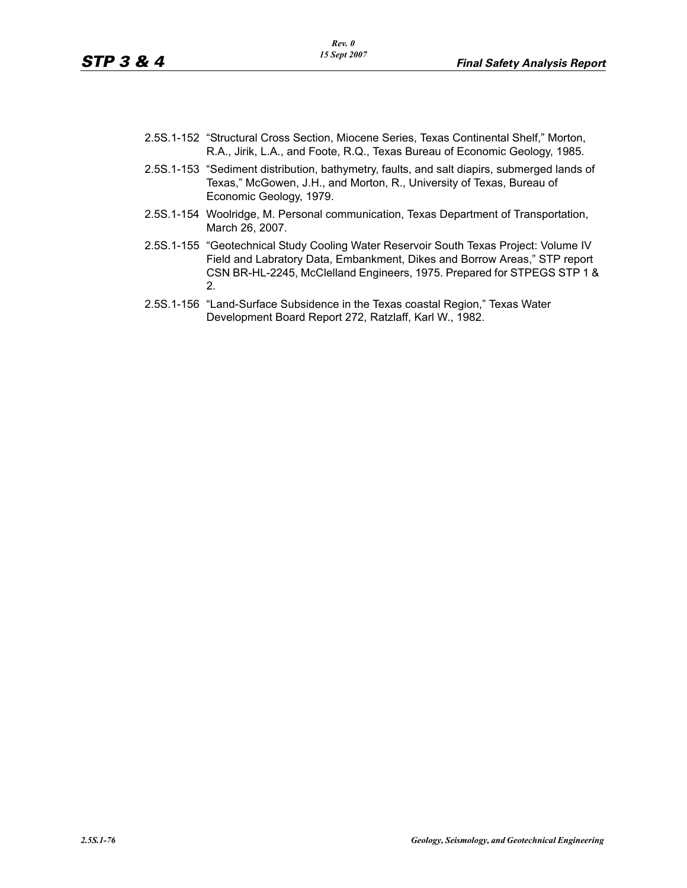- 2.5S.1-152 "Structural Cross Section, Miocene Series, Texas Continental Shelf," Morton, R.A., Jirik, L.A., and Foote, R.Q., Texas Bureau of Economic Geology, 1985.
- 2.5S.1-153 "Sediment distribution, bathymetry, faults, and salt diapirs, submerged lands of Texas," McGowen, J.H., and Morton, R., University of Texas, Bureau of Economic Geology, 1979.
- 2.5S.1-154 Woolridge, M. Personal communication, Texas Department of Transportation, March 26, 2007.
- 2.5S.1-155 "Geotechnical Study Cooling Water Reservoir South Texas Project: Volume IV Field and Labratory Data, Embankment, Dikes and Borrow Areas," STP report CSN BR-HL-2245, McClelland Engineers, 1975. Prepared for STPEGS STP 1 & 2.
- 2.5S.1-156 "Land-Surface Subsidence in the Texas coastal Region," Texas Water Development Board Report 272, Ratzlaff, Karl W., 1982.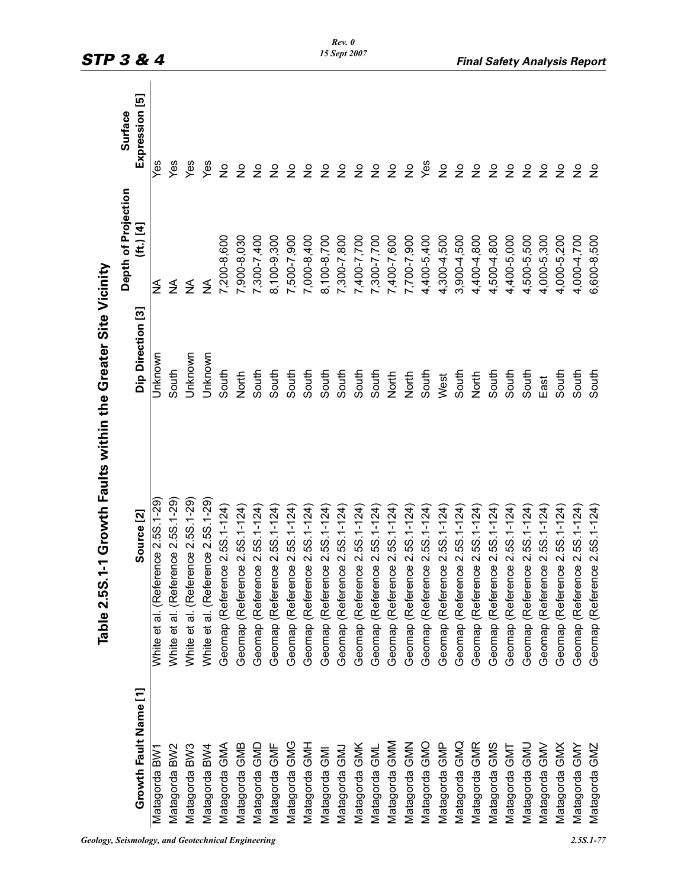|                       | <b>Table 2.5S.</b>                    | 1-1 Growth Faults within the Greater Site Vicinity |                     |                |
|-----------------------|---------------------------------------|----------------------------------------------------|---------------------|----------------|
|                       |                                       |                                                    | Depth of Projection | Surface        |
| Growth Fault Name [1] | Source [2]                            | Dip Direction [3]                                  | (ft.) [4]           | Expression [5] |
| Matagorda BW'         | ence 2.5S.1-29<br>White et al. (Refer | Jnknown                                            | ₹                   | yes            |
| Matagorda BW2         | ence 2.5S.1-29<br>White et al. (Refer | South                                              | ≸                   | Yes            |
| Matagorda BW3         | ence 2.5S.1-29<br>White et al. (Refer | Jnknown                                            | ₹                   | Yes            |
| Matagorda BW4         | ence 2.5S.1-29<br>White et al. (Refer | Jnknown                                            | ₹                   | Yes            |
| Matagorda GMA         | Geomap (Reference 2.5S.1-124          | South                                              | 7,200-8,600         | $\frac{1}{2}$  |
| Matagorda GMB         | Geomap (Reference 2.5S.1-124          | North                                              | 7,900-8,030         | $\frac{1}{2}$  |
| Matagorda GMD         | Geomap (Reference 2.5S.1-124          | South                                              | 7,300-7,400         | $\frac{1}{2}$  |
| Matagorda GMF         | Geomap (Reference 2.5S.1-124)         | South                                              | 8,100-9,300         | $\frac{1}{2}$  |
| Matagorda GMG         | Geomap (Reference 2.5S.1-124          | South                                              | 7,500-7,900         | $\frac{1}{2}$  |
| Matagorda GMH         | ce 2.5S.1-124<br>Geomap (Referen      | South                                              | 7,000-8,400         | $\frac{1}{2}$  |
| Matagorda GMI         | Geomap (Reference 2.5S.1-124)         | South                                              | 8,100-8,700         | $\frac{1}{2}$  |
| Matagorda GMJ         | ce 2.5S.1-124)<br>Geomap (Referen     | South                                              | 7,300-7,800         | $\frac{1}{2}$  |
| Matagorda GMK         | Geomap (Reference 2.5S.1-124)         | South                                              | 7,400-7,700         | $\frac{1}{2}$  |
| Matagorda GML         | Geomap (Reference 2.5S.1-124)         | South                                              | 7,300-7,700         | $\frac{1}{2}$  |
| Matagorda GMM         | Geomap (Reference 2.5S.1-124)         | North                                              | 7,400-7,600         | $\frac{1}{2}$  |
| Matagorda GMN         | Geomap (Reference 2.5S.1-124)         | North                                              | 7,700-7,900         | $\frac{1}{2}$  |
| Matagorda GMO         | Geomap (Reference 2.5S.1-124          | South                                              | 4,400-5,400         | Yes            |
| Matagorda GMP         | Geomap (Reference 2.5S.1-124)         | West                                               | 4,300-4,500         | $\frac{1}{2}$  |
| Matagorda GMQ         | Geomap (Reference 2.5S.1-124)         | South                                              | 3,900-4,500         | $\frac{1}{2}$  |
| Matagorda GMR         | Geomap (Reference 2.5S.1-124)         | North                                              | 4,400-4,800         | $\frac{1}{2}$  |
| Matagorda GMS         | Geomap (Reference 2.5S.1-124          | South                                              | 4,500-4,800         | $\frac{1}{2}$  |
| Matagorda GMT         | Geomap (Reference 2.5S.1-124          | South                                              | 4,400-5,000         | $\frac{1}{2}$  |
| Matagorda GMU         | Geomap (Reference 2.5S.1-124)         | South                                              | 4,500-5,500         | $\frac{1}{2}$  |
| Matagorda GMV         | Geomap (Reference 2.5S.1-124)         | East                                               | 4,000-5,300         | $\frac{1}{2}$  |
| Matagorda GMX         | ce 2.5S.1-124<br>Geomap (Referen      | South                                              | 4,000-5,200         | $\frac{1}{2}$  |
| <b>Matagorda GMY</b>  | Geomap (Reference 2.5S.1-124)         | South                                              | 4,000-4,700         | $\frac{1}{2}$  |
| Matagorda GMZ         | Geomap (Reference 2.5S.1-124)         | South                                              | 6,600-8,500         | $\frac{1}{2}$  |

*Geology, Seismology, and Geotechnical Engineering 2.5S.1-77*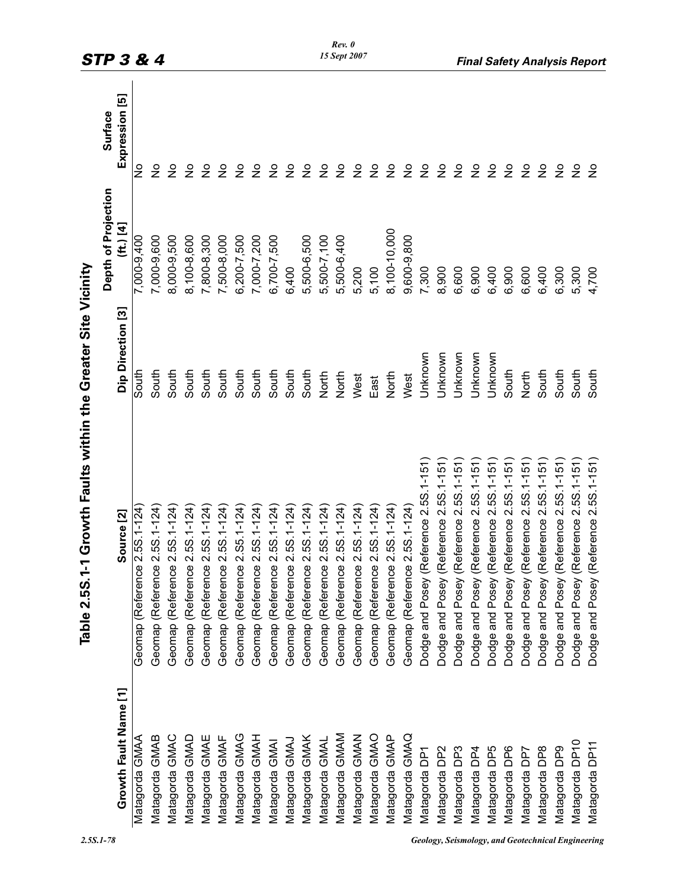|                           | Table 2.5S.1-1 Growth Faults within the Greater Site Vicinity |                   |                     |                |
|---------------------------|---------------------------------------------------------------|-------------------|---------------------|----------------|
|                           |                                                               |                   | Depth of Projection | Surface        |
| Growth Fault Name [1]     | Source [2]                                                    | Dip Direction [3] | (ft.) [4]           | Expression [5] |
| Matagorda GMAA            | $2.5S.1 - 124$<br>Geomap (Reference                           | South             | 7,000-9,400         | $\frac{1}{2}$  |
| Matagorda GMAB            | Geomap (Reference 2.5S.1-124                                  | South             | 7,000-9,600         | ş              |
| Matagorda GMAC            | Geomap (Reference 2.5S.1-124                                  | South             | 8,000-9,500         | $\frac{1}{2}$  |
| Matagorda GMAD            | $2.5S.1 - 124$<br>Geomap (Reference                           | South             | 8,100-8,600         | $\frac{1}{2}$  |
| Matagorda GMAE            | Geomap (Reference 2.5S.1-124)                                 | South             | 7,800-8,300         | $\frac{1}{2}$  |
| Matagorda GMAF            | $2.5S.1 - 124$<br>Geomap (Reference                           | South             | 7,500-8,000         | $\frac{1}{2}$  |
| Matagorda GMAG            | $2. S5. 1 - 124$<br>Geomap (Reference                         | South             | 6,200-7,500         | $\frac{1}{2}$  |
| Matagorda GMAH            | Geomap (Reference 2.5S.1-124)                                 | South             | 7,000-7,200         | $\frac{1}{2}$  |
| Matagorda GMAI            | Geomap (Reference 2.5S.1-124)                                 | South             | 6,700-7,500         | $\frac{9}{2}$  |
| Matagorda GMAJ            | Geomap (Reference 2.5S.1-124)                                 | South             | 6,400               | $\frac{1}{2}$  |
| Matagorda GMAK            | $2.5S.1 - 124$<br>Geomap (Reference                           | South             | 5,500-6,500         | $\frac{1}{2}$  |
| Matagorda GMAL            | $2.5S.1 - 124$<br>Geomap (Reference                           | North             | 5,500-7,100         | $\frac{1}{2}$  |
| Matagorda GMAM            | $2.5S.1 - 124$<br>Geomap (Reference                           | North             | 5,500-6,400         | $\frac{1}{2}$  |
| Matagorda GMAN            | $2.5S.1 - 124$<br>Geomap (Reference                           | West              | 5,200               | $\frac{1}{2}$  |
| Matagorda GMAO            | Geomap (Reference 2.5S.1-124)                                 | East              | 5,100               | $\frac{1}{2}$  |
| Matagorda GMAP            | Geomap (Reference 2.5S.1-124)                                 | North             | 8,100-10,000        | $\frac{1}{2}$  |
| Matagorda GMAQ            | Geomap (Reference 2.5S.1-124)                                 | West              | 9,600-9,800         | $\frac{1}{2}$  |
| Matagorda DP <sup>-</sup> | (Reference 2.5S.1-151<br>Dodge and Posey                      | Unknown           | 7,300               | $\frac{1}{2}$  |
| Matagorda DP2             | (Reference 2.5S.1-151<br>Dodge and Posey                      | Unknown           | 8,900               | $\frac{1}{2}$  |
| Matagorda DP3             | (Reference 2.5S.1-151<br>Dodge and Posey                      | Unknown           | 6,600               | $\frac{1}{2}$  |
| Matagorda DP4             | (Reference 2.5S.1-151<br>Dodge and Posey                      | Unknown           | 6,900               | $\frac{1}{2}$  |
| Matagorda DP5             | (Reference 2.5S.1-151<br>Dodge and Posey                      | Unknown           | 6,400               | $\frac{1}{2}$  |
| Matagorda DP6             | (Reference 2.5S.1-151<br>Dodge and Posey                      | South             | 6,900               | $\frac{1}{2}$  |
| Matagorda DP7             | (Reference 2.5S.1-151<br>Dodge and Posey                      | North             | 6,600               | $\frac{1}{2}$  |
| Matagorda DP8             | (Reference 2.5S.1-151<br>Dodge and Posey                      | South             | 6,400               | $\frac{1}{2}$  |
| Matagorda DP9             | (Reference 2.5S.1-151<br>Dodge and Posey                      | South             | 6,300               | $\frac{1}{2}$  |
| Matagorda DP10            | (Reference 2.5S.1-151)<br>Dodge and Posey                     | South             | 5,300               | $\frac{1}{2}$  |
| Matagorda DP11            | (Reference 2.5S.1-151)<br>Dodge and Posey                     | South             | 4,700               | $\frac{1}{2}$  |

*2.5S.1-78 Geology, Seismology, and Geotechnical Engineering* 

*Rev. 0 15 Sept 2007*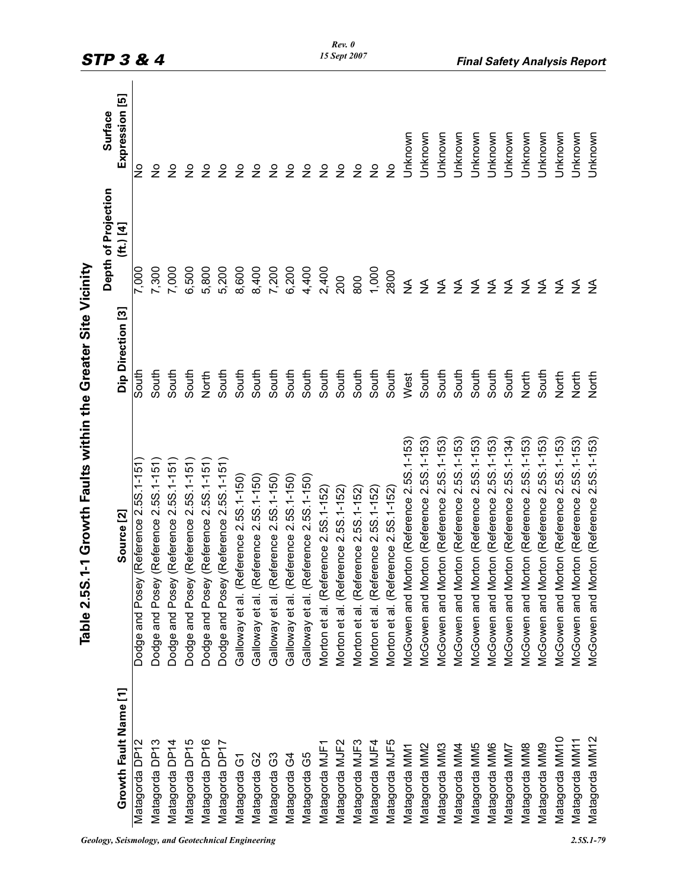|                       |                                           |                   | Depth of Projection     | Surface        |
|-----------------------|-------------------------------------------|-------------------|-------------------------|----------------|
| Growth Fault Name [1] | Source <sup>[2]</sup>                     | Dip Direction [3] | (ft.) [4]               | Expression [5] |
| Matagorda DP1         | (Reference 2.5S.1-151)<br>Dodge and Posey | South             | 7,000                   | $\frac{1}{2}$  |
| Matagorda DP13        | (Reference 2.5S.1-151<br>Dodge and Posey  | South             | 7,300                   | $\frac{1}{2}$  |
| Matagorda DP14        | (Reference 2.5S.1-151)<br>Dodge and Posey | South             | 7,000                   | $\frac{1}{2}$  |
| Matagorda DP15        | (Reference 2.5S.1-151)<br>Dodge and Posey | South             | 6,500                   | $\frac{1}{2}$  |
| Matagorda DP16        | (Reference 2.5S.1-151)<br>Dodge and Posey | North             | 5,800                   | $\frac{1}{2}$  |
| Matagorda DP17        | (Reference 2.5S.1-151)<br>Dodge and Posey | South             | 5,200                   | $\frac{1}{2}$  |
| Matagorda G1          | Galloway et al. (Reference 2.5S.1-150)    | South             | 8,600                   | $\frac{1}{2}$  |
| Matagorda G2          | Galloway et al. (Reference 2.5S.1-150)    | South             | 8,400                   | $\frac{1}{2}$  |
| Matagorda G3          | Galloway et al. (Reference 2.5S.1-150)    | South             | 7,200                   | $\frac{1}{2}$  |
| Matagorda G4          | Galloway et al. (Reference 2.5S.1-150)    | South             | 6,200                   | $\frac{1}{2}$  |
| Matagorda G5          | Galloway et al. (Reference 2.5S.1-150     | South             | 4,400                   | $\frac{1}{2}$  |
| Matagorda MJF1        | Morton et al. (Reference 2.5S.1-152)      | South             | 2,400                   | $\frac{1}{2}$  |
| Matagorda MJF2        | Morton et al. (Reference 2.5S.1-152)      | South             | 200                     | $\frac{1}{2}$  |
| Matagorda MJF3        | Morton et al. (Reference 2.5S.1-152)      | South             | 800                     | $\frac{1}{2}$  |
| Matagorda MJF4        | Morton et al. (Reference 2.5S.1-152)      | South             | 1,000                   | $\frac{1}{2}$  |
| Matagorda MJF5        | Morton et al. (Reference 2.5S.1-152)      | South             | 2800                    | $\frac{1}{2}$  |
| Matagorda MM1         | McGowen and Morton (Reference 2.5S.1-153  | West              | ₹                       | Unknown        |
| Matagorda MM2         | McGowen and Morton (Reference 2.5S.1-153) | South             | ≨                       | Unknown        |
| Matagorda MM3         | McGowen and Morton (Reference 2.5S.1-153  | South             | ≨                       | Unknown        |
| Matagorda MM4         | McGowen and Morton (Reference 2.5S.1-153) | South             | $\mathfrak{Z}$          | Unknown        |
| Matagorda MM5         | McGowen and Morton (Reference 2.5S.1-153  | South             | $\sum_{i=1}^{n}$        | Unknown        |
| Matagorda MM6         | McGowen and Morton (Reference 2.5S.1-153) | South             |                         | Unknown        |
| Matagorda MM7         | McGowen and Morton (Reference 2.5S.1-134) | South             | $rac{4}{5}$ $rac{4}{5}$ | <b>Unknown</b> |
| Matagorda MM8         | McGowen and Morton (Reference 2.5S.1-153) | North             | ≨                       | Unknown        |
| Matagorda MM9         | McGowen and Morton (Reference 2.5S.1-153) | South             | $\mathfrak{Z}$          | Unknown        |
| Matagorda MM10        | McGowen and Morton (Reference 2.5S.1-153  | North             | ≨                       | Unknown        |
| Matagorda MM11        | McGowen and Morton (Reference 2.5S.1-153) | North             | ₹                       | Unknown        |
| Matagorda MM12        | McGowen and Morton (Reference 2.5S.1-153) | North             | $\leq$                  | Unknown        |

*Rev. 0 15 Sept 2007*